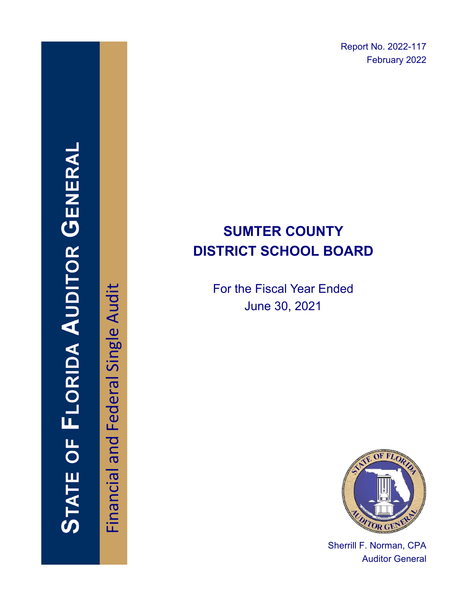Report No. 2022-117 February 2022

# **SUMTER COUNTY DISTRICT SCHOOL BOARD**

For the Fiscal Year Ended June 30, 2021



Sherrill F. Norman, CPA Auditor General

Financial and Federal Single Audit Financial and Federal Single Audit

STATE OF FLORIDA AUDITOR GENERAI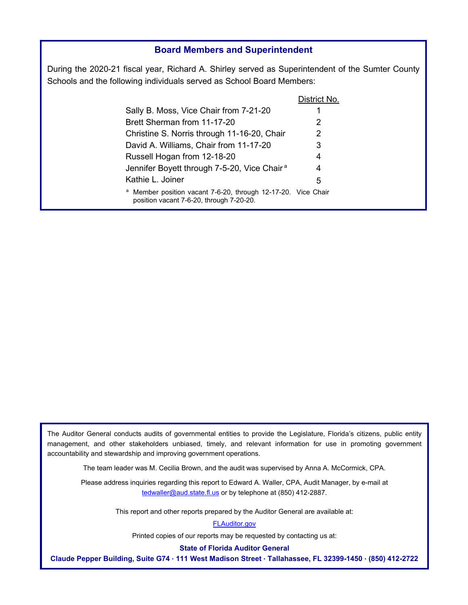#### **Board Members and Superintendent**

During the 2020-21 fiscal year, Richard A. Shirley served as Superintendent of the Sumter County Schools and the following individuals served as School Board Members:

|                                                                                                              | District No. |
|--------------------------------------------------------------------------------------------------------------|--------------|
| Sally B. Moss, Vice Chair from 7-21-20                                                                       |              |
| Brett Sherman from 11-17-20                                                                                  | 2            |
| Christine S. Norris through 11-16-20, Chair                                                                  | 2            |
| David A. Williams, Chair from 11-17-20                                                                       | 3            |
| Russell Hogan from 12-18-20                                                                                  | 4            |
| Jennifer Boyett through 7-5-20, Vice Chair <sup>a</sup>                                                      | 4            |
| Kathie L. Joiner                                                                                             | 5            |
| Member position vacant 7-6-20, through 12-17-20. Vice Chair<br>a<br>position vacant 7-6-20, through 7-20-20. |              |

The Auditor General conducts audits of governmental entities to provide the Legislature, Florida's citizens, public entity management, and other stakeholders unbiased, timely, and relevant information for use in promoting government accountability and stewardship and improving government operations.

The team leader was M. Cecilia Brown, and the audit was supervised by Anna A. McCormick, CPA.

Please address inquiries regarding this report to Edward A. Waller, CPA, Audit Manager, by e-mail at [tedwaller@aud.state.fl.us](mailto:tedwaller@aud.state.fl.us) or by telephone at (850) 412-2887.

This report and other reports prepared by the Auditor General are available at:

[FLAuditor.gov](https://flauditor.gov/)

Printed copies of our reports may be requested by contacting us at:

**State of Florida Auditor General**

**Claude Pepper Building, Suite G74 ∙ 111 West Madison Street ∙ Tallahassee, FL 32399-1450 ∙ (850) 412-2722**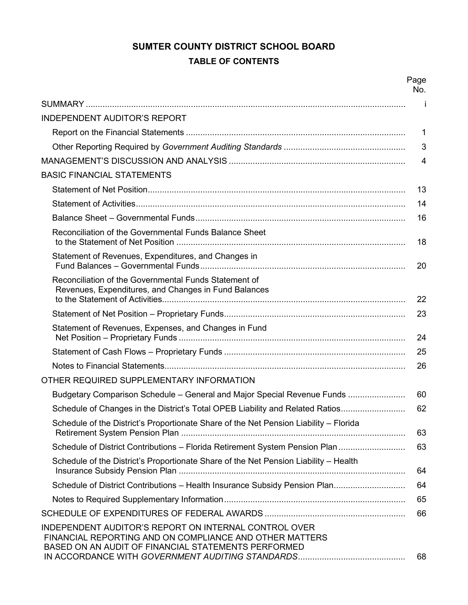## **SUMTER COUNTY DISTRICT SCHOOL BOARD TABLE OF CONTENTS**

|                                                                                                                                                                         | Page<br>No.    |
|-------------------------------------------------------------------------------------------------------------------------------------------------------------------------|----------------|
|                                                                                                                                                                         | Ť              |
| <b>INDEPENDENT AUDITOR'S REPORT</b>                                                                                                                                     |                |
|                                                                                                                                                                         | $\mathbf{1}$   |
|                                                                                                                                                                         | 3              |
|                                                                                                                                                                         | $\overline{4}$ |
| <b>BASIC FINANCIAL STATEMENTS</b>                                                                                                                                       |                |
|                                                                                                                                                                         | 13             |
|                                                                                                                                                                         | 14             |
|                                                                                                                                                                         | 16             |
| Reconciliation of the Governmental Funds Balance Sheet                                                                                                                  | 18             |
| Statement of Revenues, Expenditures, and Changes in                                                                                                                     | 20             |
| Reconciliation of the Governmental Funds Statement of<br>Revenues, Expenditures, and Changes in Fund Balances                                                           | 22             |
|                                                                                                                                                                         | 23             |
| Statement of Revenues, Expenses, and Changes in Fund                                                                                                                    | 24             |
|                                                                                                                                                                         | 25             |
|                                                                                                                                                                         | 26             |
| OTHER REQUIRED SUPPLEMENTARY INFORMATION                                                                                                                                |                |
| Budgetary Comparison Schedule – General and Major Special Revenue Funds                                                                                                 | 60             |
| Schedule of Changes in the District's Total OPEB Liability and Related Ratios                                                                                           | 62             |
| Schedule of the District's Proportionate Share of the Net Pension Liability - Florida                                                                                   | 63             |
| Schedule of District Contributions - Florida Retirement System Pension Plan                                                                                             | 63             |
| Schedule of the District's Proportionate Share of the Net Pension Liability - Health                                                                                    | 64             |
| Schedule of District Contributions - Health Insurance Subsidy Pension Plan                                                                                              | 64             |
|                                                                                                                                                                         | 65             |
|                                                                                                                                                                         | 66             |
| INDEPENDENT AUDITOR'S REPORT ON INTERNAL CONTROL OVER<br>FINANCIAL REPORTING AND ON COMPLIANCE AND OTHER MATTERS<br>BASED ON AN AUDIT OF FINANCIAL STATEMENTS PERFORMED | 68             |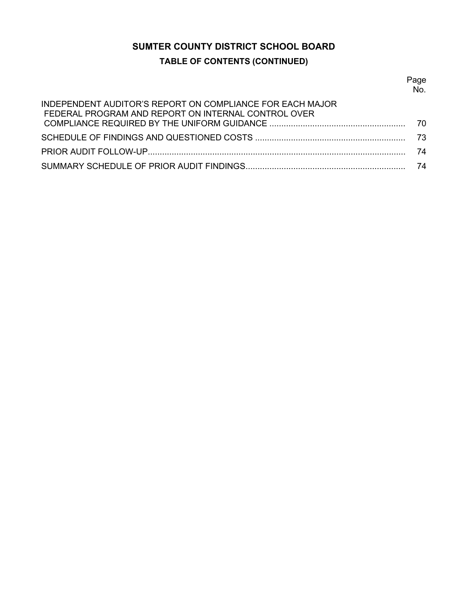## **SUMTER COUNTY DISTRICT SCHOOL BOARD**

## **TABLE OF CONTENTS (CONTINUED)**

Page No.

| INDEPENDENT AUDITOR'S REPORT ON COMPLIANCE FOR EACH MAJOR |  |
|-----------------------------------------------------------|--|
| FEDERAL PROGRAM AND REPORT ON INTERNAL CONTROL OVER       |  |
|                                                           |  |
|                                                           |  |
|                                                           |  |
|                                                           |  |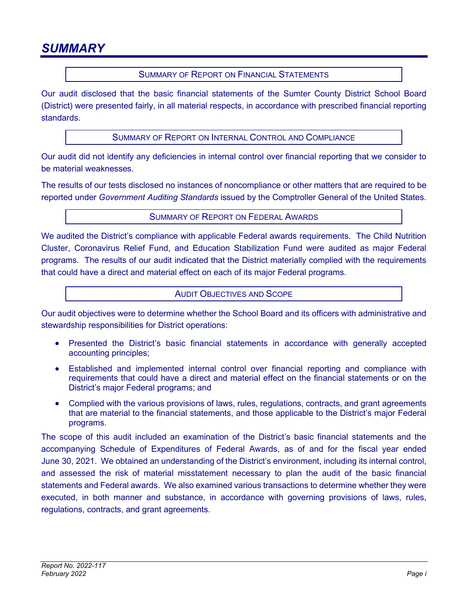#### SUMMARY OF REPORT ON FINANCIAL STATEMENTS

<span id="page-4-0"></span>Our audit disclosed that the basic financial statements of the Sumter County District School Board (District) were presented fairly, in all material respects, in accordance with prescribed financial reporting standards.

SUMMARY OF REPORT ON INTERNAL CONTROL AND COMPLIANCE

Our audit did not identify any deficiencies in internal control over financial reporting that we consider to be material weaknesses.

The results of our tests disclosed no instances of noncompliance or other matters that are required to be reported under *Government Auditing Standards* issued by the Comptroller General of the United States*.* 

#### SUMMARY OF REPORT ON FEDERAL AWARDS

We audited the District's compliance with applicable Federal awards requirements. The Child Nutrition Cluster, Coronavirus Relief Fund, and Education Stabilization Fund were audited as major Federal programs. The results of our audit indicated that the District materially complied with the requirements that could have a direct and material effect on each of its major Federal programs.

#### AUDIT OBJECTIVES AND SCOPE

Our audit objectives were to determine whether the School Board and its officers with administrative and stewardship responsibilities for District operations:

- Presented the District's basic financial statements in accordance with generally accepted accounting principles;
- Established and implemented internal control over financial reporting and compliance with requirements that could have a direct and material effect on the financial statements or on the District's major Federal programs; and
- Complied with the various provisions of laws, rules, regulations, contracts, and grant agreements that are material to the financial statements, and those applicable to the District's major Federal programs.

The scope of this audit included an examination of the District's basic financial statements and the accompanying Schedule of Expenditures of Federal Awards, as of and for the fiscal year ended June 30, 2021. We obtained an understanding of the District's environment, including its internal control, and assessed the risk of material misstatement necessary to plan the audit of the basic financial statements and Federal awards. We also examined various transactions to determine whether they were executed, in both manner and substance, in accordance with governing provisions of laws, rules, regulations, contracts, and grant agreements.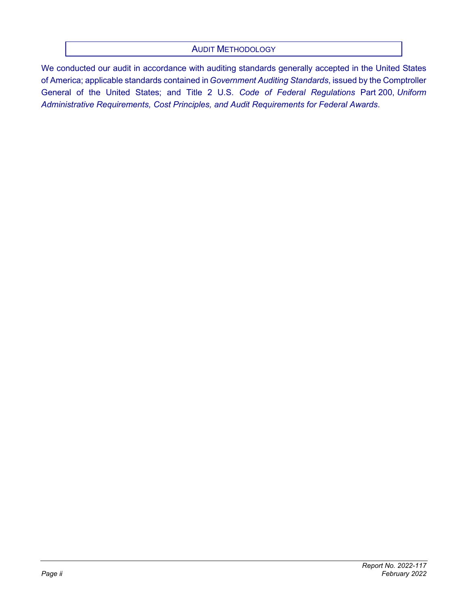#### AUDIT METHODOLOGY

We conducted our audit in accordance with auditing standards generally accepted in the United States of America; applicable standards contained in*Government Auditing Standards*, issued by the Comptroller General of the United States; and Title 2 U.S. *Code of Federal Regulations* Part 200, *Uniform Administrative Requirements, Cost Principles, and Audit Requirements for Federal Awards*.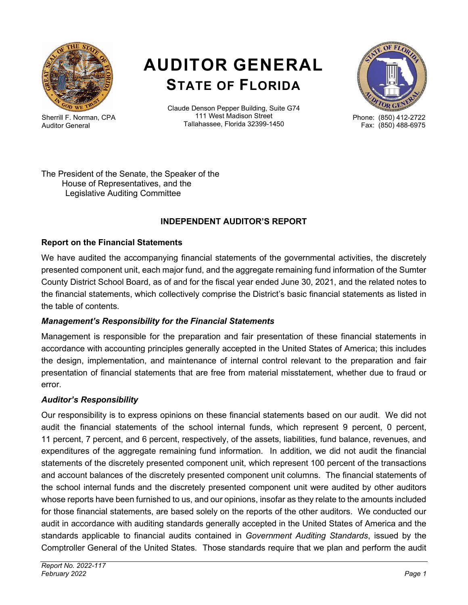<span id="page-6-1"></span>

Sherrill F. Norman, CPA Auditor General

# **AUDITOR GENERAL STATE OF FLORIDA**

Claude Denson Pepper Building, Suite G74 111 West Madison Street Tallahassee, Florida 32399-1450



Phone: (850) 412-2722 Fax: (850) 488-6975

The President of the Senate, the Speaker of the House of Representatives, and the Legislative Auditing Committee

#### **INDEPENDENT AUDITOR'S REPORT**

#### <span id="page-6-0"></span>**Report on the Financial Statements**

We have audited the accompanying financial statements of the governmental activities, the discretely presented component unit, each major fund, and the aggregate remaining fund information of the Sumter County District School Board, as of and for the fiscal year ended June 30, 2021, and the related notes to the financial statements, which collectively comprise the District's basic financial statements as listed in the table of contents.

#### *Management's Responsibility for the Financial Statements*

Management is responsible for the preparation and fair presentation of these financial statements in accordance with accounting principles generally accepted in the United States of America; this includes the design, implementation, and maintenance of internal control relevant to the preparation and fair presentation of financial statements that are free from material misstatement, whether due to fraud or error.

#### *Auditor's Responsibility*

Our responsibility is to express opinions on these financial statements based on our audit. We did not audit the financial statements of the school internal funds, which represent 9 percent, 0 percent, 11 percent, 7 percent, and 6 percent, respectively, of the assets, liabilities, fund balance, revenues, and expenditures of the aggregate remaining fund information. In addition, we did not audit the financial statements of the discretely presented component unit, which represent 100 percent of the transactions and account balances of the discretely presented component unit columns. The financial statements of the school internal funds and the discretely presented component unit were audited by other auditors whose reports have been furnished to us, and our opinions, insofar as they relate to the amounts included for those financial statements, are based solely on the reports of the other auditors. We conducted our audit in accordance with auditing standards generally accepted in the United States of America and the standards applicable to financial audits contained in *Government Auditing Standards*, issued by the Comptroller General of the United States. Those standards require that we plan and perform the audit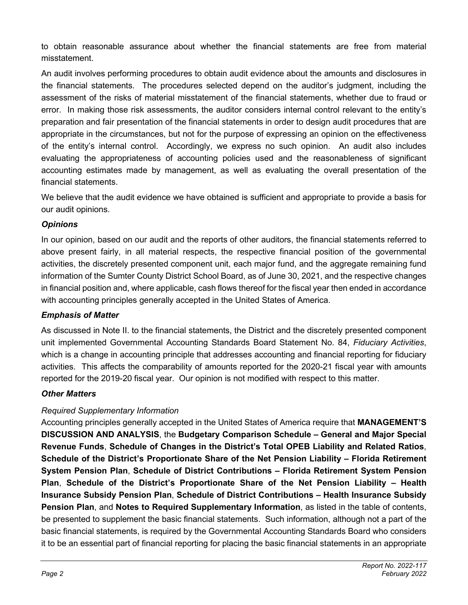to obtain reasonable assurance about whether the financial statements are free from material misstatement.

An audit involves performing procedures to obtain audit evidence about the amounts and disclosures in the financial statements. The procedures selected depend on the auditor's judgment, including the assessment of the risks of material misstatement of the financial statements, whether due to fraud or error. In making those risk assessments, the auditor considers internal control relevant to the entity's preparation and fair presentation of the financial statements in order to design audit procedures that are appropriate in the circumstances, but not for the purpose of expressing an opinion on the effectiveness of the entity's internal control. Accordingly, we express no such opinion. An audit also includes evaluating the appropriateness of accounting policies used and the reasonableness of significant accounting estimates made by management, as well as evaluating the overall presentation of the financial statements.

We believe that the audit evidence we have obtained is sufficient and appropriate to provide a basis for our audit opinions.

#### *Opinions*

In our opinion, based on our audit and the reports of other auditors, the financial statements referred to above present fairly, in all material respects, the respective financial position of the governmental activities, the discretely presented component unit, each major fund, and the aggregate remaining fund information of the Sumter County District School Board, as of June 30, 2021, and the respective changes in financial position and, where applicable, cash flows thereof for the fiscal year then ended in accordance with accounting principles generally accepted in the United States of America.

#### *Emphasis of Matter*

As discussed in Note II. to the financial statements, the District and the discretely presented component unit implemented Governmental Accounting Standards Board Statement No. 84, *Fiduciary Activities*, which is a change in accounting principle that addresses accounting and financial reporting for fiduciary activities. This affects the comparability of amounts reported for the 2020-21 fiscal year with amounts reported for the 2019-20 fiscal year. Our opinion is not modified with respect to this matter.

#### *Other Matters*

#### *Required Supplementary Information*

Accounting principles generally accepted in the United States of America require that **MANAGEMENT'S DISCUSSION AND ANALYSIS**, the **Budgetary Comparison Schedule – General and Major Special Revenue Funds**, **Schedule of Changes in the District's Total OPEB Liability and Related Ratios**, **Schedule of the District's Proportionate Share of the Net Pension Liability – Florida Retirement System Pension Plan**, **Schedule of District Contributions – Florida Retirement System Pension Plan**, **Schedule of the District's Proportionate Share of the Net Pension Liability – Health Insurance Subsidy Pension Plan**, **Schedule of District Contributions – Health Insurance Subsidy Pension Plan**, and **Notes to Required Supplementary Information**, as listed in the table of contents, be presented to supplement the basic financial statements. Such information, although not a part of the basic financial statements, is required by the Governmental Accounting Standards Board who considers it to be an essential part of financial reporting for placing the basic financial statements in an appropriate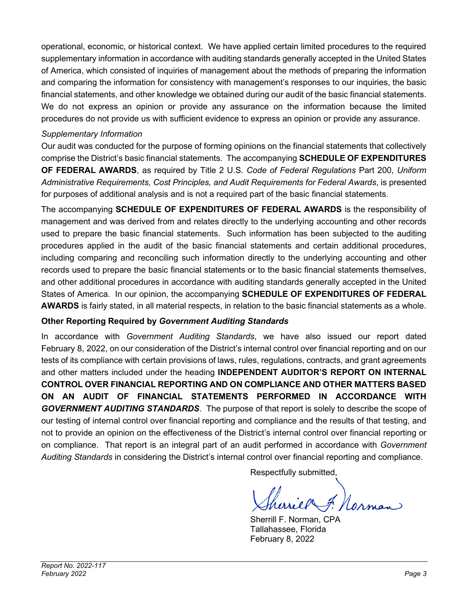<span id="page-8-1"></span>operational, economic, or historical context. We have applied certain limited procedures to the required supplementary information in accordance with auditing standards generally accepted in the United States of America, which consisted of inquiries of management about the methods of preparing the information and comparing the information for consistency with management's responses to our inquiries, the basic financial statements, and other knowledge we obtained during our audit of the basic financial statements. We do not express an opinion or provide any assurance on the information because the limited procedures do not provide us with sufficient evidence to express an opinion or provide any assurance.

#### *Supplementary Information*

Our audit was conducted for the purpose of forming opinions on the financial statements that collectively comprise the District's basic financial statements. The accompanying **SCHEDULE OF EXPENDITURES OF FEDERAL AWARDS**, as required by Title 2 U.S. *Code of Federal Regulations* Part 200, *Uniform Administrative Requirements, Cost Principles, and Audit Requirements for Federal Awards*, is presented for purposes of additional analysis and is not a required part of the basic financial statements.

The accompanying **SCHEDULE OF EXPENDITURES OF FEDERAL AWARDS** is the responsibility of management and was derived from and relates directly to the underlying accounting and other records used to prepare the basic financial statements. Such information has been subjected to the auditing procedures applied in the audit of the basic financial statements and certain additional procedures, including comparing and reconciling such information directly to the underlying accounting and other records used to prepare the basic financial statements or to the basic financial statements themselves, and other additional procedures in accordance with auditing standards generally accepted in the United States of America. In our opinion, the accompanying **SCHEDULE OF EXPENDITURES OF FEDERAL AWARDS** is fairly stated, in all material respects, in relation to the basic financial statements as a whole.

#### <span id="page-8-0"></span>**Other Reporting Required by** *Government Auditing Standards*

In accordance with *Government Auditing Standards*, we have also issued our report dated February 8, 2022, on our consideration of the District's internal control over financial reporting and on our tests of its compliance with certain provisions of laws, rules, regulations, contracts, and grant agreements and other matters included under the heading **INDEPENDENT AUDITOR'S REPORT ON INTERNAL CONTROL OVER FINANCIAL REPORTING AND ON COMPLIANCE AND OTHER MATTERS BASED ON AN AUDIT OF FINANCIAL STATEMENTS PERFORMED IN ACCORDANCE WITH**  *GOVERNMENT AUDITING STANDARDS*. The purpose of that report is solely to describe the scope of our testing of internal control over financial reporting and compliance and the results of that testing, and not to provide an opinion on the effectiveness of the District's internal control over financial reporting or on compliance. That report is an integral part of an audit performed in accordance with *Government Auditing Standards* in considering the District's internal control over financial reporting and compliance.

Respectfully submitted,

Sherrill F. Norman, CPA Tallahassee, Florida February 8, 2022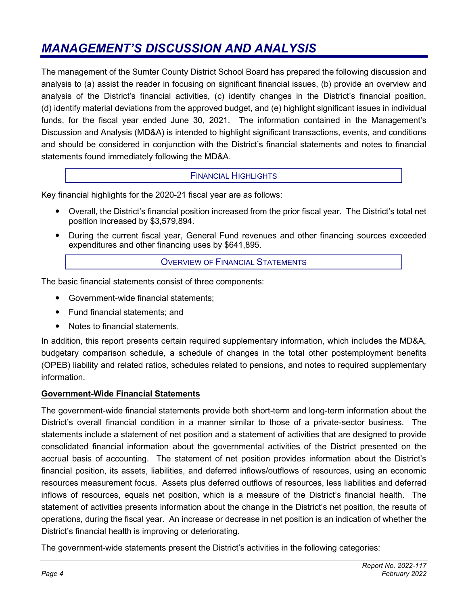## <span id="page-9-1"></span><span id="page-9-0"></span>*MANAGEMENT'S DISCUSSION AND ANALYSIS*

The management of the Sumter County District School Board has prepared the following discussion and analysis to (a) assist the reader in focusing on significant financial issues, (b) provide an overview and analysis of the District's financial activities, (c) identify changes in the District's financial position, (d) identify material deviations from the approved budget, and (e) highlight significant issues in individual funds, for the fiscal year ended June 30, 2021. The information contained in the Management's Discussion and Analysis (MD&A) is intended to highlight significant transactions, events, and conditions and should be considered in conjunction with the District's financial statements and notes to financial statements found immediately following the MD&A.

#### FINANCIAL HIGHLIGHTS

Key financial highlights for the 2020-21 fiscal year are as follows:

- Overall, the District's financial position increased from the prior fiscal year. The District's total net position increased by \$3,579,894.
- During the current fiscal year, General Fund revenues and other financing sources exceeded expenditures and other financing uses by \$641,895.

OVERVIEW OF FINANCIAL STATEMENTS

The basic financial statements consist of three components:

- Government-wide financial statements;
- Fund financial statements: and
- Notes to financial statements.

In addition, this report presents certain required supplementary information, which includes the MD&A, budgetary comparison schedule, a schedule of changes in the total other postemployment benefits (OPEB) liability and related ratios, schedules related to pensions, and notes to required supplementary information.

#### **Government-Wide Financial Statements**

The government-wide financial statements provide both short-term and long-term information about the District's overall financial condition in a manner similar to those of a private-sector business. The statements include a statement of net position and a statement of activities that are designed to provide consolidated financial information about the governmental activities of the District presented on the accrual basis of accounting. The statement of net position provides information about the District's financial position, its assets, liabilities, and deferred inflows/outflows of resources, using an economic resources measurement focus. Assets plus deferred outflows of resources, less liabilities and deferred inflows of resources, equals net position, which is a measure of the District's financial health. The statement of activities presents information about the change in the District's net position, the results of operations, during the fiscal year. An increase or decrease in net position is an indication of whether the District's financial health is improving or deteriorating.

The government-wide statements present the District's activities in the following categories: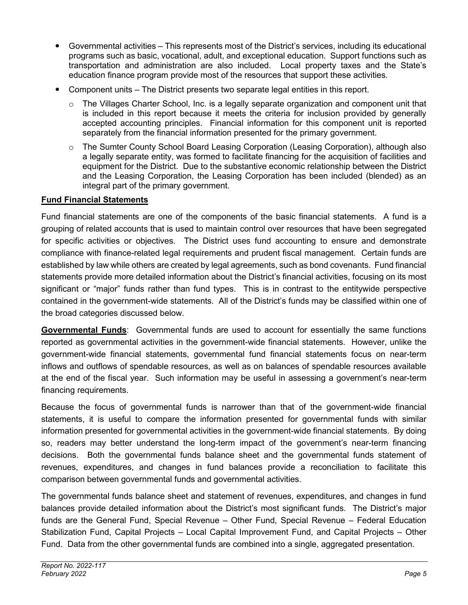- Governmental activities This represents most of the District's services, including its educational programs such as basic, vocational, adult, and exceptional education. Support functions such as transportation and administration are also included. Local property taxes and the State's education finance program provide most of the resources that support these activities.
- Component units The District presents two separate legal entities in this report.
	- $\circ$  The Villages Charter School, Inc. is a legally separate organization and component unit that is included in this report because it meets the criteria for inclusion provided by generally accepted accounting principles. Financial information for this component unit is reported separately from the financial information presented for the primary government.
	- o The Sumter County School Board Leasing Corporation (Leasing Corporation), although also a legally separate entity, was formed to facilitate financing for the acquisition of facilities and equipment for the District. Due to the substantive economic relationship between the District and the Leasing Corporation, the Leasing Corporation has been included (blended) as an integral part of the primary government.

#### **Fund Financial Statements**

Fund financial statements are one of the components of the basic financial statements. A fund is a grouping of related accounts that is used to maintain control over resources that have been segregated for specific activities or objectives. The District uses fund accounting to ensure and demonstrate compliance with finance-related legal requirements and prudent fiscal management. Certain funds are established by law while others are created by legal agreements, such as bond covenants. Fund financial statements provide more detailed information about the District's financial activities, focusing on its most significant or "major" funds rather than fund types. This is in contrast to the entitywide perspective contained in the government-wide statements. All of the District's funds may be classified within one of the broad categories discussed below.

**Governmental Funds**: Governmental funds are used to account for essentially the same functions reported as governmental activities in the government-wide financial statements. However, unlike the government-wide financial statements, governmental fund financial statements focus on near-term inflows and outflows of spendable resources, as well as on balances of spendable resources available at the end of the fiscal year. Such information may be useful in assessing a government's near-term financing requirements.

Because the focus of governmental funds is narrower than that of the government-wide financial statements, it is useful to compare the information presented for governmental funds with similar information presented for governmental activities in the government-wide financial statements. By doing so, readers may better understand the long-term impact of the government's near-term financing decisions. Both the governmental funds balance sheet and the governmental funds statement of revenues, expenditures, and changes in fund balances provide a reconciliation to facilitate this comparison between governmental funds and governmental activities.

The governmental funds balance sheet and statement of revenues, expenditures, and changes in fund balances provide detailed information about the District's most significant funds. The District's major funds are the General Fund, Special Revenue – Other Fund, Special Revenue – Federal Education Stabilization Fund, Capital Projects – Local Capital Improvement Fund, and Capital Projects – Other Fund. Data from the other governmental funds are combined into a single, aggregated presentation.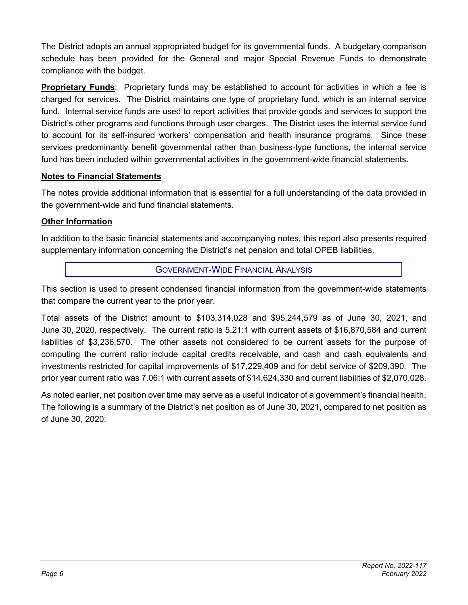The District adopts an annual appropriated budget for its governmental funds. A budgetary comparison schedule has been provided for the General and major Special Revenue Funds to demonstrate compliance with the budget.

**Proprietary Funds**: Proprietary funds may be established to account for activities in which a fee is charged for services. The District maintains one type of proprietary fund, which is an internal service fund. Internal service funds are used to report activities that provide goods and services to support the District's other programs and functions through user charges. The District uses the internal service fund to account for its self-insured workers' compensation and health insurance programs. Since these services predominantly benefit governmental rather than business-type functions, the internal service fund has been included within governmental activities in the government-wide financial statements.

#### **Notes to Financial Statements**

The notes provide additional information that is essential for a full understanding of the data provided in the government-wide and fund financial statements.

#### **Other Information**

In addition to the basic financial statements and accompanying notes, this report also presents required supplementary information concerning the District's net pension and total OPEB liabilities.

GOVERNMENT-WIDE FINANCIAL ANALYSIS

This section is used to present condensed financial information from the government-wide statements that compare the current year to the prior year.

Total assets of the District amount to \$103,314,028 and \$95,244,579 as of June 30, 2021, and June 30, 2020, respectively. The current ratio is 5.21:1 with current assets of \$16,870,584 and current liabilities of \$3,236,570. The other assets not considered to be current assets for the purpose of computing the current ratio include capital credits receivable, and cash and cash equivalents and investments restricted for capital improvements of \$17,229,409 and for debt service of \$209,390. The prior year current ratio was 7.06:1 with current assets of \$14,624,330 and current liabilities of \$2,070,028.

As noted earlier, net position over time may serve as a useful indicator of a government's financial health. The following is a summary of the District's net position as of June 30, 2021, compared to net position as of June 30, 2020: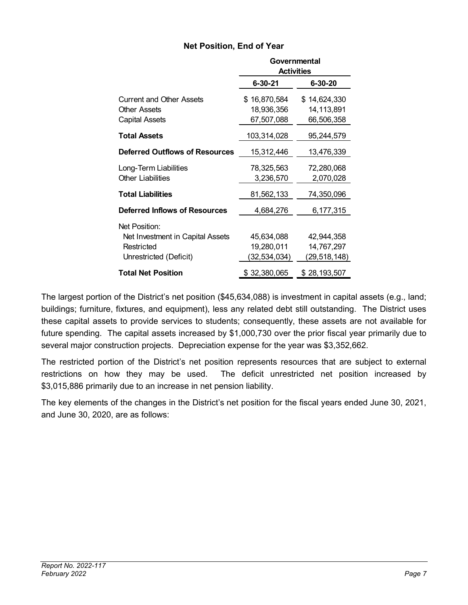#### **Net Position, End of Year**

|                                       | Governmental      |              |  |  |  |
|---------------------------------------|-------------------|--------------|--|--|--|
|                                       | <b>Activities</b> |              |  |  |  |
|                                       | 6-30-21           | 6-30-20      |  |  |  |
| <b>Current and Other Assets</b>       | \$16,870,584      | \$14,624,330 |  |  |  |
| <b>Other Assets</b>                   | 18,936,356        | 14,113,891   |  |  |  |
| <b>Capital Assets</b>                 | 67,507,088        | 66,506,358   |  |  |  |
| <b>Total Assets</b>                   | 103,314,028       | 95,244,579   |  |  |  |
| <b>Deferred Outflows of Resources</b> | 15,312,446        | 13,476,339   |  |  |  |
| Long-Term Liabilities                 | 78,325,563        | 72,280,068   |  |  |  |
| <b>Other Liabilities</b>              | 3,236,570         | 2,070,028    |  |  |  |
| <b>Total Liabilities</b>              | 81,562,133        | 74,350,096   |  |  |  |
| <b>Deferred Inflows of Resources</b>  | 4,684,276         | 6,177,315    |  |  |  |
| Net Position:                         |                   |              |  |  |  |
| Net Investment in Capital Assets      | 45,634,088        | 42,944,358   |  |  |  |
| Restricted                            | 19,280,011        | 14,767,297   |  |  |  |
| Unrestricted (Deficit)                | (32,534,034)      | (29,518,148) |  |  |  |
| <b>Total Net Position</b>             | \$32,380,065      | \$28,193,507 |  |  |  |

The largest portion of the District's net position (\$45,634,088) is investment in capital assets (e.g., land; buildings; furniture, fixtures, and equipment), less any related debt still outstanding. The District uses these capital assets to provide services to students; consequently, these assets are not available for future spending. The capital assets increased by \$1,000,730 over the prior fiscal year primarily due to several major construction projects. Depreciation expense for the year was \$3,352,662.

The restricted portion of the District's net position represents resources that are subject to external restrictions on how they may be used. The deficit unrestricted net position increased by \$3,015,886 primarily due to an increase in net pension liability.

The key elements of the changes in the District's net position for the fiscal years ended June 30, 2021, and June 30, 2020, are as follows: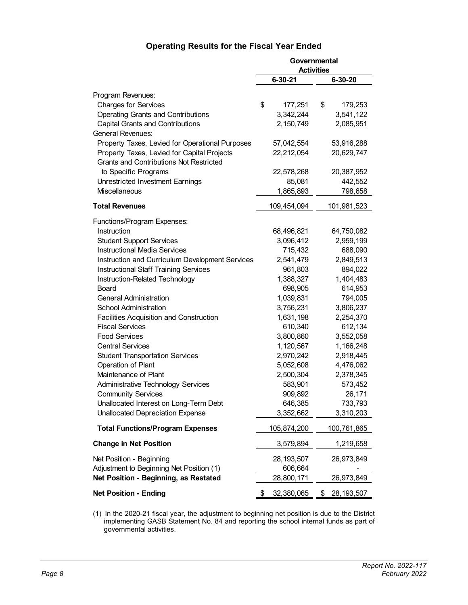#### **Operating Results for the Fiscal Year Ended**

|                                                 | Governmental      |                    |  |  |  |
|-------------------------------------------------|-------------------|--------------------|--|--|--|
|                                                 | <b>Activities</b> |                    |  |  |  |
|                                                 | $6 - 30 - 21$     | $6 - 30 - 20$      |  |  |  |
| Program Revenues:                               |                   |                    |  |  |  |
| <b>Charges for Services</b>                     | \$<br>177,251     | \$<br>179,253      |  |  |  |
| <b>Operating Grants and Contributions</b>       | 3,342,244         | 3,541,122          |  |  |  |
| <b>Capital Grants and Contributions</b>         | 2,150,749         | 2,085,951          |  |  |  |
| <b>General Revenues:</b>                        |                   |                    |  |  |  |
| Property Taxes, Levied for Operational Purposes | 57,042,554        | 53,916,288         |  |  |  |
| Property Taxes, Levied for Capital Projects     | 22,212,054        | 20,629,747         |  |  |  |
| <b>Grants and Contributions Not Restricted</b>  |                   |                    |  |  |  |
| to Specific Programs                            | 22,578,268        | 20,387,952         |  |  |  |
| Unrestricted Investment Earnings                | 85,081            | 442,552            |  |  |  |
| <b>Miscellaneous</b>                            | 1,865,893         | 798,658            |  |  |  |
|                                                 |                   |                    |  |  |  |
| <b>Total Revenues</b>                           | 109,454,094       | 101,981,523        |  |  |  |
| Functions/Program Expenses:                     |                   |                    |  |  |  |
| Instruction                                     | 68,496,821        | 64,750,082         |  |  |  |
| <b>Student Support Services</b>                 | 3,096,412         | 2,959,199          |  |  |  |
| <b>Instructional Media Services</b>             | 715,432           | 688,090            |  |  |  |
| Instruction and Curriculum Development Services | 2,541,479         | 2,849,513          |  |  |  |
| <b>Instructional Staff Training Services</b>    | 961,803           | 894,022            |  |  |  |
| Instruction-Related Technology                  | 1,388,327         | 1,404,483          |  |  |  |
| Board                                           | 698,905           | 614,953            |  |  |  |
| <b>General Administration</b>                   | 1,039,831         | 794,005            |  |  |  |
| School Administration                           | 3,756,231         | 3,806,237          |  |  |  |
| <b>Facilities Acquisition and Construction</b>  | 1,631,198         | 2,254,370          |  |  |  |
| <b>Fiscal Services</b>                          | 610,340           | 612,134            |  |  |  |
| <b>Food Services</b>                            | 3,800,860         | 3,552,058          |  |  |  |
| <b>Central Services</b>                         | 1,120,567         | 1,166,248          |  |  |  |
| <b>Student Transportation Services</b>          | 2,970,242         | 2,918,445          |  |  |  |
| Operation of Plant                              | 5,052,608         | 4,476,062          |  |  |  |
| Maintenance of Plant                            | 2,500,304         | 2,378,345          |  |  |  |
| Administrative Technology Services              | 583,901           | 573,452            |  |  |  |
| <b>Community Services</b>                       | 909,892           | 26,171             |  |  |  |
| Unallocated Interest on Long-Term Debt          | 646,385           | 733,793            |  |  |  |
| <b>Unallocated Depreciation Expense</b>         | 3,352,662         | 3,310,203          |  |  |  |
| <b>Total Functions/Program Expenses</b>         | 105,874,200       | 100,761,865        |  |  |  |
| <b>Change in Net Position</b>                   | 3,579,894         | 1,219,658          |  |  |  |
| Net Position - Beginning                        | 28, 193, 507      | 26,973,849         |  |  |  |
| Adjustment to Beginning Net Position (1)        | 606,664           |                    |  |  |  |
| Net Position - Beginning, as Restated           | 28,800,171        | 26,973,849         |  |  |  |
| <b>Net Position - Ending</b>                    | 32,380,065<br>\$  | \$<br>28, 193, 507 |  |  |  |

(1) In the 2020-21 fiscal year, the adjustment to beginning net position is due to the District implementing GASB Statement No. 84 and reporting the school internal funds as part of governmental activities.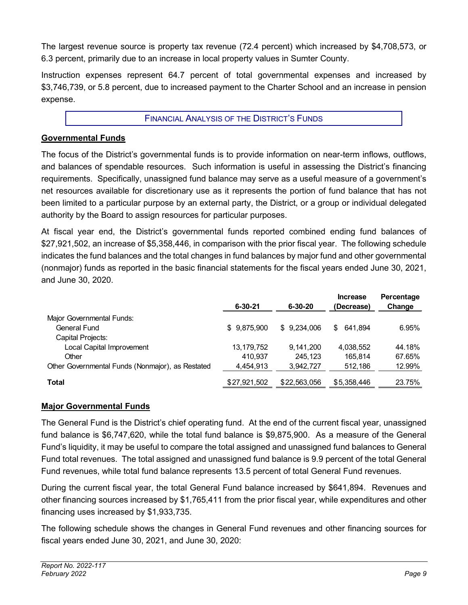The largest revenue source is property tax revenue (72.4 percent) which increased by \$4,708,573, or 6.3 percent, primarily due to an increase in local property values in Sumter County.

Instruction expenses represent 64.7 percent of total governmental expenses and increased by \$3,746,739, or 5.8 percent, due to increased payment to the Charter School and an increase in pension expense.

#### FINANCIAL ANALYSIS OF THE DISTRICT'S FUNDS

#### **Governmental Funds**

The focus of the District's governmental funds is to provide information on near-term inflows, outflows, and balances of spendable resources. Such information is useful in assessing the District's financing requirements. Specifically, unassigned fund balance may serve as a useful measure of a government's net resources available for discretionary use as it represents the portion of fund balance that has not been limited to a particular purpose by an external party, the District, or a group or individual delegated authority by the Board to assign resources for particular purposes.

At fiscal year end, the District's governmental funds reported combined ending fund balances of \$27,921,502, an increase of \$5,358,446, in comparison with the prior fiscal year. The following schedule indicates the fund balances and the total changes in fund balances by major fund and other governmental (nonmajor) funds as reported in the basic financial statements for the fiscal years ended June 30, 2021, and June 30, 2020.

|                                                  | $6 - 30 - 21$ | $6 - 30 - 20$ | <b>Increase</b><br>(Decrease) | Percentage<br>Change |
|--------------------------------------------------|---------------|---------------|-------------------------------|----------------------|
| Major Governmental Funds:                        |               |               |                               |                      |
| General Fund                                     | \$9,875,900   | \$9.234.006   | 641,894<br>\$.                | 6.95%                |
| Capital Projects:                                |               |               |                               |                      |
| Local Capital Improvement                        | 13, 179, 752  | 9.141.200     | 4.038.552                     | 44.18%               |
| Other                                            | 410,937       | 245,123       | 165,814                       | 67.65%               |
| Other Governmental Funds (Nonmajor), as Restated | 4,454,913     | 3,942,727     | 512,186                       | 12.99%               |
| <b>Total</b>                                     | \$27,921,502  | \$22,563,056  | \$5,358,446                   | 23.75%               |

#### **Major Governmental Funds**

The General Fund is the District's chief operating fund. At the end of the current fiscal year, unassigned fund balance is \$6,747,620, while the total fund balance is \$9,875,900. As a measure of the General Fund's liquidity, it may be useful to compare the total assigned and unassigned fund balances to General Fund total revenues. The total assigned and unassigned fund balance is 9.9 percent of the total General Fund revenues, while total fund balance represents 13.5 percent of total General Fund revenues.

During the current fiscal year, the total General Fund balance increased by \$641,894. Revenues and other financing sources increased by \$1,765,411 from the prior fiscal year, while expenditures and other financing uses increased by \$1,933,735.

The following schedule shows the changes in General Fund revenues and other financing sources for fiscal years ended June 30, 2021, and June 30, 2020: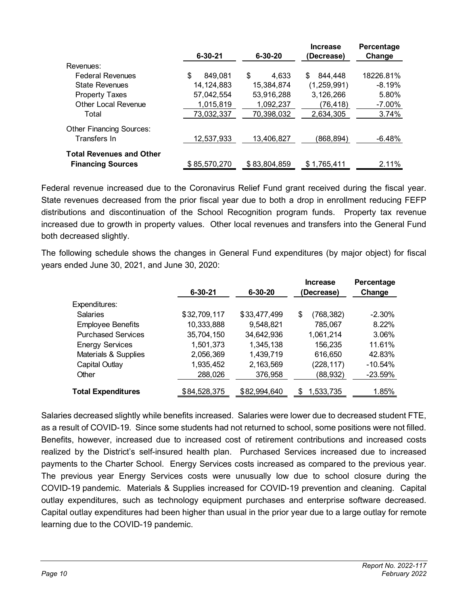|                                 | $6 - 30 - 21$ | $6 - 30 - 20$ | <b>Increase</b><br>(Decrease) | Percentage<br>Change |
|---------------------------------|---------------|---------------|-------------------------------|----------------------|
| Revenues:                       |               |               |                               |                      |
| <b>Federal Revenues</b>         | \$<br>849,081 | \$<br>4.633   | 844.448<br>S                  | 18226.81%            |
| <b>State Revenues</b>           | 14, 124, 883  | 15,384,874    | (1,259,991)                   | $-8.19%$             |
| <b>Property Taxes</b>           | 57,042,554    | 53,916,288    | 3,126,266                     | 5.80%                |
| <b>Other Local Revenue</b>      | 1,015,819     | 1,092,237     | (76,418)                      | $-7.00\%$            |
| Total                           | 73,032,337    | 70,398,032    | 2,634,305                     | 3.74%                |
| <b>Other Financing Sources:</b> |               |               |                               |                      |
| Transfers In                    | 12,537,933    | 13,406,827    | (868,894)                     | -6.48%               |
| <b>Total Revenues and Other</b> |               |               |                               |                      |
| <b>Financing Sources</b>        | \$85,570,270  | \$83,804,859  | \$1,765,411                   | 2.11%                |

Federal revenue increased due to the Coronavirus Relief Fund grant received during the fiscal year. State revenues decreased from the prior fiscal year due to both a drop in enrollment reducing FEFP distributions and discontinuation of the School Recognition program funds. Property tax revenue increased due to growth in property values. Other local revenues and transfers into the General Fund both decreased slightly.

The following schedule shows the changes in General Fund expenditures (by major object) for fiscal years ended June 30, 2021, and June 30, 2020:

|                           | $6 - 30 - 21$ | $6 - 30 - 20$ | <b>Increase</b><br>(Decrease) | Percentage<br>Change |
|---------------------------|---------------|---------------|-------------------------------|----------------------|
| Expenditures:             |               |               |                               |                      |
| <b>Salaries</b>           | \$32,709,117  | \$33,477,499  | (768, 382)<br>\$              | $-2.30%$             |
| <b>Employee Benefits</b>  | 10,333,888    | 9,548,821     | 785,067                       | 8.22%                |
| <b>Purchased Services</b> | 35,704,150    | 34,642,936    | 1,061,214                     | 3.06%                |
| <b>Energy Services</b>    | 1,501,373     | 1,345,138     | 156,235                       | 11.61%               |
| Materials & Supplies      | 2,056,369     | 1,439,719     | 616,650                       | 42.83%               |
| Capital Outlay            | 1,935,452     | 2,163,569     | (228, 117)                    | $-10.54%$            |
| Other                     | 288,026       | 376,958       | (88, 932)                     | $-23.59%$            |
| <b>Total Expenditures</b> | \$84,528,375  | \$82,994,640  | 1,533,735<br>S                | 1.85%                |

Salaries decreased slightly while benefits increased. Salaries were lower due to decreased student FTE, as a result of COVID-19. Since some students had not returned to school, some positions were not filled. Benefits, however, increased due to increased cost of retirement contributions and increased costs realized by the District's self-insured health plan. Purchased Services increased due to increased payments to the Charter School. Energy Services costs increased as compared to the previous year. The previous year Energy Services costs were unusually low due to school closure during the COVID-19 pandemic. Materials & Supplies increased for COVID-19 prevention and cleaning. Capital outlay expenditures, such as technology equipment purchases and enterprise software decreased. Capital outlay expenditures had been higher than usual in the prior year due to a large outlay for remote learning due to the COVID-19 pandemic.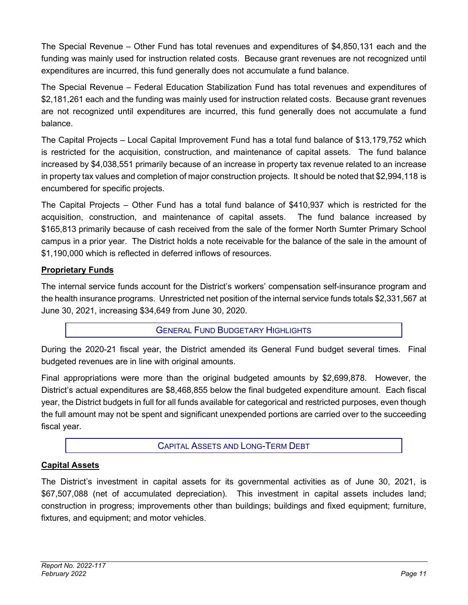The Special Revenue – Other Fund has total revenues and expenditures of \$4,850,131 each and the funding was mainly used for instruction related costs. Because grant revenues are not recognized until expenditures are incurred, this fund generally does not accumulate a fund balance.

The Special Revenue – Federal Education Stabilization Fund has total revenues and expenditures of \$2,181,261 each and the funding was mainly used for instruction related costs. Because grant revenues are not recognized until expenditures are incurred, this fund generally does not accumulate a fund balance.

The Capital Projects – Local Capital Improvement Fund has a total fund balance of \$13,179,752 which is restricted for the acquisition, construction, and maintenance of capital assets. The fund balance increased by \$4,038,551 primarily because of an increase in property tax revenue related to an increase in property tax values and completion of major construction projects. It should be noted that \$2,994,118 is encumbered for specific projects.

The Capital Projects – Other Fund has a total fund balance of \$410,937 which is restricted for the acquisition, construction, and maintenance of capital assets. The fund balance increased by \$165,813 primarily because of cash received from the sale of the former North Sumter Primary School campus in a prior year. The District holds a note receivable for the balance of the sale in the amount of \$1,190,000 which is reflected in deferred inflows of resources.

#### **Proprietary Funds**

The internal service funds account for the District's workers' compensation self-insurance program and the health insurance programs. Unrestricted net position of the internal service funds totals \$2,331,567 at June 30, 2021, increasing \$34,649 from June 30, 2020.

#### GENERAL FUND BUDGETARY HIGHLIGHTS

During the 2020-21 fiscal year, the District amended its General Fund budget several times. Final budgeted revenues are in line with original amounts.

Final appropriations were more than the original budgeted amounts by \$2,699,878. However, the District's actual expenditures are \$8,468,855 below the final budgeted expenditure amount. Each fiscal year, the District budgets in full for all funds available for categorical and restricted purposes, even though the full amount may not be spent and significant unexpended portions are carried over to the succeeding fiscal year.

#### CAPITAL ASSETS AND LONG-TERM DEBT

#### **Capital Assets**

The District's investment in capital assets for its governmental activities as of June 30, 2021, is \$67,507,088 (net of accumulated depreciation). This investment in capital assets includes land; construction in progress; improvements other than buildings; buildings and fixed equipment; furniture, fixtures, and equipment; and motor vehicles.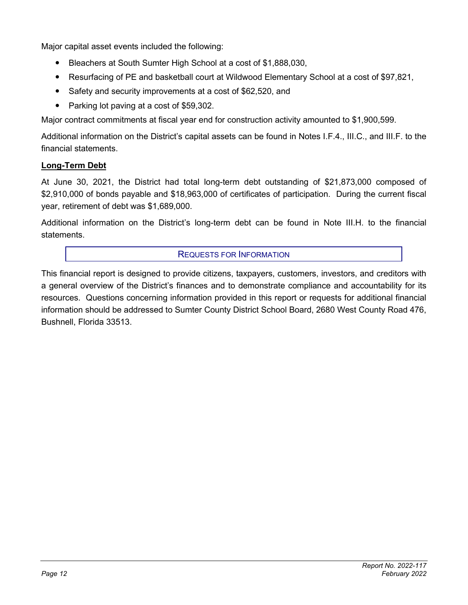Major capital asset events included the following:

- Bleachers at South Sumter High School at a cost of \$1,888,030,
- Resurfacing of PE and basketball court at Wildwood Elementary School at a cost of \$97,821,
- Safety and security improvements at a cost of \$62,520, and
- Parking lot paving at a cost of \$59,302.

Major contract commitments at fiscal year end for construction activity amounted to \$1,900,599.

Additional information on the District's capital assets can be found in Notes I.F.4., III.C., and III.F. to the financial statements.

#### **Long-Term Debt**

At June 30, 2021, the District had total long-term debt outstanding of \$21,873,000 composed of \$2,910,000 of bonds payable and \$18,963,000 of certificates of participation. During the current fiscal year, retirement of debt was \$1,689,000.

Additional information on the District's long-term debt can be found in Note III.H. to the financial statements.

#### REQUESTS FOR INFORMATION

This financial report is designed to provide citizens, taxpayers, customers, investors, and creditors with a general overview of the District's finances and to demonstrate compliance and accountability for its resources. Questions concerning information provided in this report or requests for additional financial information should be addressed to Sumter County District School Board, 2680 West County Road 476, Bushnell, Florida 33513.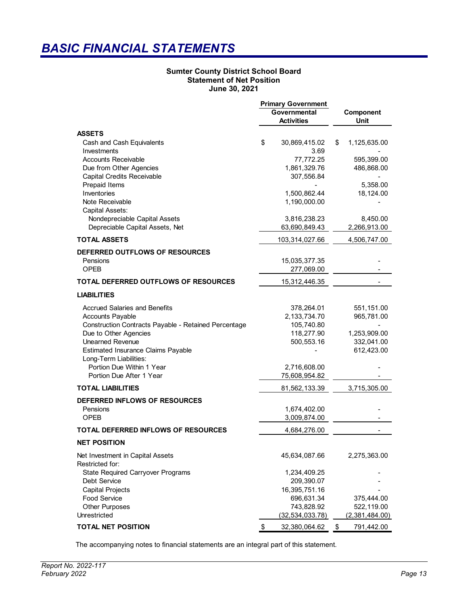## <span id="page-18-1"></span><span id="page-18-0"></span>*BASIC FINANCIAL STATEMENTS*

#### **Sumter County District School Board Statement of Net Position June 30, 2021**

|                                                       | <b>Primary Government</b><br>Governmental<br><b>Activities</b> | Component<br><b>Unit</b>     |
|-------------------------------------------------------|----------------------------------------------------------------|------------------------------|
|                                                       |                                                                |                              |
| <b>ASSETS</b>                                         | \$                                                             |                              |
| Cash and Cash Equivalents<br>Investments              | 30,869,415.02<br>3.69                                          | \$<br>1,125,635.00           |
| <b>Accounts Receivable</b>                            | 77,772.25                                                      | 595,399.00                   |
| Due from Other Agencies                               | 1,861,329.76                                                   | 486,868.00                   |
| Capital Credits Receivable                            | 307,556.84                                                     |                              |
| Prepaid Items                                         |                                                                | 5,358.00                     |
| Inventories                                           | 1,500,862.44                                                   | 18,124.00                    |
| Note Receivable                                       | 1,190,000.00                                                   |                              |
| Capital Assets:                                       |                                                                |                              |
| Nondepreciable Capital Assets                         | 3,816,238.23                                                   | 8,450.00                     |
| Depreciable Capital Assets, Net                       | 63,690,849.43                                                  | 2,266,913.00                 |
| <b>TOTAL ASSETS</b>                                   | 103,314,027.66                                                 | 4,506,747.00                 |
| DEFERRED OUTFLOWS OF RESOURCES                        |                                                                |                              |
| Pensions                                              | 15,035,377.35                                                  |                              |
| OPEB                                                  | 277,069.00                                                     |                              |
| TOTAL DEFERRED OUTFLOWS OF RESOURCES                  | 15,312,446.35                                                  |                              |
| <b>LIABILITIES</b>                                    |                                                                |                              |
| <b>Accrued Salaries and Benefits</b>                  | 378,264.01                                                     | 551,151.00                   |
| <b>Accounts Payable</b>                               | 2, 133, 734. 70                                                | 965,781.00                   |
| Construction Contracts Payable - Retained Percentage  | 105,740.80                                                     |                              |
| Due to Other Agencies                                 | 118,277.90                                                     | 1,253,909.00                 |
| <b>Unearned Revenue</b>                               | 500,553.16                                                     | 332,041.00                   |
| Estimated Insurance Claims Payable                    |                                                                | 612,423.00                   |
| Long-Term Liabilities:                                |                                                                |                              |
| Portion Due Within 1 Year<br>Portion Due After 1 Year | 2,716,608.00<br>75,608,954.82                                  |                              |
|                                                       |                                                                |                              |
| <b>TOTAL LIABILITIES</b>                              | 81,562,133.39                                                  | 3,715,305.00                 |
| DEFERRED INFLOWS OF RESOURCES                         |                                                                |                              |
| Pensions                                              | 1,674,402.00                                                   |                              |
| OPEB                                                  | 3,009,874.00                                                   |                              |
| <b>TOTAL DEFERRED INFLOWS OF RESOURCES</b>            | 4,684,276.00                                                   |                              |
| <b>NET POSITION</b>                                   |                                                                |                              |
| Net Investment in Capital Assets                      | 45,634,087.66                                                  | 2,275,363.00                 |
| Restricted for:                                       |                                                                |                              |
| State Required Carryover Programs                     | 1,234,409.25                                                   |                              |
| Debt Service                                          | 209,390.07                                                     |                              |
| <b>Capital Projects</b>                               | 16,395,751.16                                                  |                              |
| <b>Food Service</b><br>Other Purposes                 | 696,631.34<br>743,828.92                                       | 375,444.00                   |
| Unrestricted                                          | (32, 534, 033.78)                                              | 522,119.00<br>(2,381,484.00) |
|                                                       |                                                                |                              |
| <b>TOTAL NET POSITION</b>                             | \$<br>32,380,064.62                                            | \$<br>791,442.00             |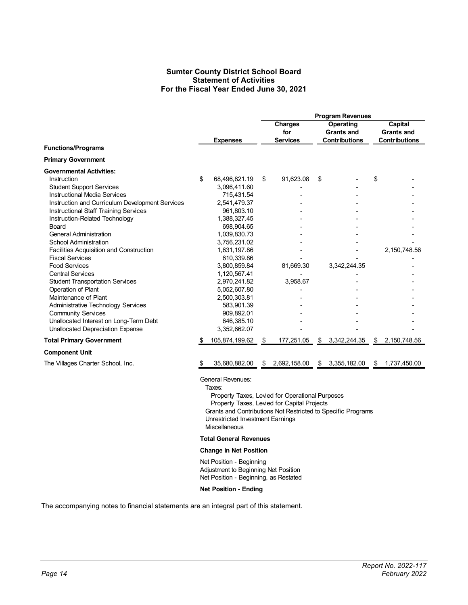#### **Sumter County District School Board Statement of Activities For the Fiscal Year Ended June 30, 2021**

<span id="page-19-1"></span><span id="page-19-0"></span>

|                                                 |    |                 | <b>Program Revenues</b>                  |    |                                                        |    |                                                      |  |
|-------------------------------------------------|----|-----------------|------------------------------------------|----|--------------------------------------------------------|----|------------------------------------------------------|--|
|                                                 |    | <b>Expenses</b> | <b>Charges</b><br>for<br><b>Services</b> |    | Operating<br><b>Grants and</b><br><b>Contributions</b> |    | Capital<br><b>Grants and</b><br><b>Contributions</b> |  |
| <b>Functions/Programs</b>                       |    |                 |                                          |    |                                                        |    |                                                      |  |
| <b>Primary Government</b>                       |    |                 |                                          |    |                                                        |    |                                                      |  |
| <b>Governmental Activities:</b>                 |    |                 |                                          |    |                                                        |    |                                                      |  |
| Instruction                                     | \$ | 68,496,821.19   | \$<br>91,623.08                          | \$ |                                                        | \$ |                                                      |  |
| <b>Student Support Services</b>                 |    | 3,096,411.60    |                                          |    |                                                        |    |                                                      |  |
| <b>Instructional Media Services</b>             |    | 715,431.54      |                                          |    |                                                        |    |                                                      |  |
| Instruction and Curriculum Development Services |    | 2,541,479.37    |                                          |    |                                                        |    |                                                      |  |
| <b>Instructional Staff Training Services</b>    |    | 961,803.10      |                                          |    |                                                        |    |                                                      |  |
| Instruction-Related Technology                  |    | 1,388,327.45    |                                          |    |                                                        |    |                                                      |  |
| Board                                           |    | 698,904.65      |                                          |    |                                                        |    |                                                      |  |
| <b>General Administration</b>                   |    | 1,039,830.73    |                                          |    |                                                        |    |                                                      |  |
| School Administration                           |    | 3,756,231.02    |                                          |    |                                                        |    |                                                      |  |
| <b>Facilities Acquisition and Construction</b>  |    | 1,631,197.86    |                                          |    |                                                        |    | 2,150,748.56                                         |  |
| <b>Fiscal Services</b>                          |    | 610,339.86      |                                          |    |                                                        |    |                                                      |  |
| <b>Food Services</b>                            |    | 3,800,859.84    | 81,669.30                                |    | 3,342,244.35                                           |    |                                                      |  |
| <b>Central Services</b>                         |    | 1,120,567.41    |                                          |    |                                                        |    |                                                      |  |
| <b>Student Transportation Services</b>          |    | 2,970,241.82    | 3,958.67                                 |    |                                                        |    |                                                      |  |
| Operation of Plant                              |    | 5,052,607.80    |                                          |    |                                                        |    |                                                      |  |
| Maintenance of Plant                            |    | 2,500,303.81    |                                          |    |                                                        |    |                                                      |  |
| Administrative Technology Services              |    | 583,901.39      |                                          |    |                                                        |    |                                                      |  |
| <b>Community Services</b>                       |    | 909,892.01      |                                          |    |                                                        |    |                                                      |  |
| Unallocated Interest on Long-Term Debt          |    | 646,385.10      |                                          |    |                                                        |    |                                                      |  |
| <b>Unallocated Depreciation Expense</b>         |    | 3,352,662.07    |                                          |    |                                                        |    |                                                      |  |
| <b>Total Primary Government</b>                 |    | 105,874,199.62  | \$<br>177,251.05                         | \$ | 3,342,244.35                                           | \$ | 2,150,748.56                                         |  |
| <b>Component Unit</b>                           |    |                 |                                          |    |                                                        |    |                                                      |  |
| The Villages Charter School, Inc.               | \$ | 35,680,882.00   | \$<br>2,692,158.00                       | \$ | 3,355,182.00                                           | \$ | 1,737,450.00                                         |  |

General Revenues:

Taxes: Property Taxes, Levied for Operational Purposes

 Property Taxes, Levied for Capital Projects Grants and Contributions Not Restricted to Specific Programs Unrestricted Investment Earnings Miscellaneous

#### **Total General Revenues**

#### **Change in Net Position**

Net Position - Beginning Adjustment to Beginning Net Position Net Position - Beginning, as Restated

**Net Position - Ending**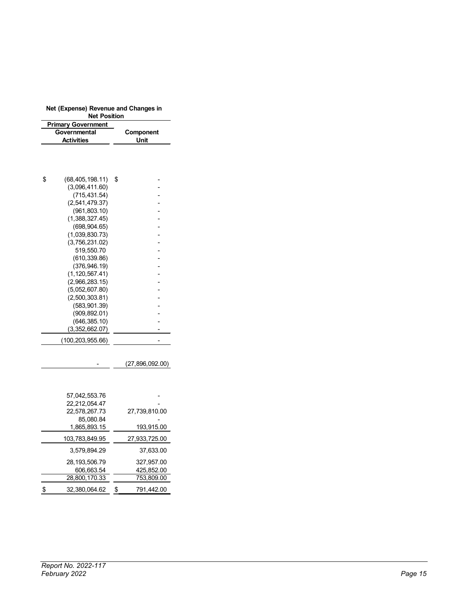| <b>Net Position</b> |                                 |                          |
|---------------------|---------------------------------|--------------------------|
|                     | <b>Primary Government</b>       |                          |
|                     | Governmental                    | Component                |
|                     | <b>Activities</b>               | Unit                     |
|                     |                                 |                          |
|                     |                                 |                          |
|                     |                                 |                          |
| $\,$                | (68, 405, 198.11)               | \$                       |
|                     | (3,096,411.60)                  |                          |
|                     | (715, 431.54)                   |                          |
|                     | (2,541,479.37)                  |                          |
|                     | (961, 803.10)                   |                          |
|                     | (1,388,327.45)<br>(698, 904.65) |                          |
|                     | (1,039,830.73)                  |                          |
|                     | (3,756,231.02)                  |                          |
|                     | 519,550.70                      |                          |
|                     | (610, 339.86)                   |                          |
|                     | (376, 946.19)                   |                          |
|                     | (1, 120, 567.41)                |                          |
|                     | (2,966,283.15)                  |                          |
|                     | (5,052,607.80)                  |                          |
|                     | (2,500,303.81)                  |                          |
|                     | (583, 901.39)                   |                          |
|                     | (909, 892.01)<br>(646, 385.10)  |                          |
|                     | (3,352,662.07)                  |                          |
|                     |                                 |                          |
|                     | (100, 203, 955.66)              |                          |
|                     |                                 |                          |
|                     |                                 | (27,896,092.00)          |
|                     |                                 |                          |
|                     |                                 |                          |
|                     |                                 |                          |
|                     | 57,042,553.76                   |                          |
|                     | 22,212,054.47<br>22,578,267.73  | 27,739,810.00            |
|                     | 85,080.84                       |                          |
|                     | 1,865,893.15                    | 193,915.00               |
|                     | 103,783,849.95                  | 27,933,725.00            |
|                     | 3,579,894.29                    | 37,633.00                |
|                     |                                 |                          |
|                     | 28, 193, 506.79                 | 327,957.00               |
|                     | 606,663.54<br>28,800,170.33     | 425,852.00<br>753,809.00 |
|                     |                                 |                          |
| $\frac{1}{2}$       | 32,380,064.62                   | \$<br>791,442.00         |
|                     |                                 |                          |
|                     |                                 |                          |
|                     |                                 |                          |
|                     |                                 |                          |
|                     |                                 |                          |
|                     |                                 |                          |
|                     |                                 |                          |
|                     | Report No. 2022-117             |                          |
|                     | February 2022                   |                          |

**Net (Expense) Revenue and Changes in**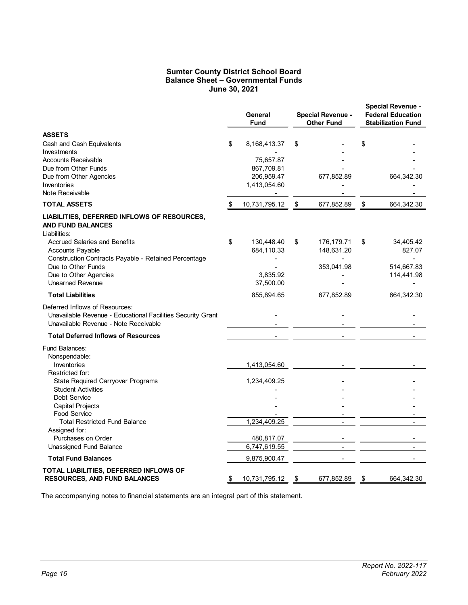#### **Sumter County District School Board Balance Sheet – Governmental Funds June 30, 2021**

<span id="page-21-1"></span><span id="page-21-0"></span>

|                                                                                                                                        | General<br><b>Fund</b> |                       | <b>Special Revenue -</b><br><b>Other Fund</b> | <b>Special Revenue -</b><br><b>Federal Education</b><br><b>Stabilization Fund</b> |                          |  |
|----------------------------------------------------------------------------------------------------------------------------------------|------------------------|-----------------------|-----------------------------------------------|-----------------------------------------------------------------------------------|--------------------------|--|
| <b>ASSETS</b>                                                                                                                          |                        |                       |                                               |                                                                                   |                          |  |
| Cash and Cash Equivalents                                                                                                              | \$                     | 8,168,413.37          | \$                                            | \$                                                                                |                          |  |
| Investments                                                                                                                            |                        |                       |                                               |                                                                                   |                          |  |
| <b>Accounts Receivable</b>                                                                                                             |                        | 75,657.87             |                                               |                                                                                   |                          |  |
| Due from Other Funds                                                                                                                   |                        | 867,709.81            |                                               |                                                                                   |                          |  |
| Due from Other Agencies                                                                                                                |                        | 206,959.47            | 677,852.89                                    |                                                                                   | 664,342.30               |  |
| Inventories                                                                                                                            |                        | 1,413,054.60          |                                               |                                                                                   |                          |  |
| Note Receivable                                                                                                                        |                        |                       |                                               |                                                                                   |                          |  |
| <b>TOTAL ASSETS</b>                                                                                                                    | \$                     | 10,731,795.12         | \$<br>677,852.89                              | \$                                                                                | 664,342.30               |  |
| LIABILITIES, DEFERRED INFLOWS OF RESOURCES,<br>AND FUND BALANCES<br>Liabilities:                                                       |                        |                       |                                               |                                                                                   |                          |  |
| <b>Accrued Salaries and Benefits</b>                                                                                                   | \$                     | 130,448.40            | \$<br>176, 179. 71                            | \$                                                                                | 34,405.42                |  |
| <b>Accounts Payable</b>                                                                                                                |                        | 684,110.33            | 148,631.20                                    |                                                                                   | 827.07                   |  |
| Construction Contracts Payable - Retained Percentage                                                                                   |                        |                       |                                               |                                                                                   |                          |  |
| Due to Other Funds                                                                                                                     |                        |                       | 353,041.98                                    |                                                                                   | 514,667.83               |  |
| Due to Other Agencies<br><b>Unearned Revenue</b>                                                                                       |                        | 3,835.92<br>37,500.00 |                                               |                                                                                   | 114,441.98               |  |
|                                                                                                                                        |                        |                       |                                               |                                                                                   | $\overline{\phantom{a}}$ |  |
| <b>Total Liabilities</b>                                                                                                               |                        | 855,894.65            | 677,852.89                                    |                                                                                   | 664,342.30               |  |
| Deferred Inflows of Resources:<br>Unavailable Revenue - Educational Facilities Security Grant<br>Unavailable Revenue - Note Receivable |                        |                       |                                               |                                                                                   |                          |  |
| <b>Total Deferred Inflows of Resources</b>                                                                                             |                        |                       |                                               |                                                                                   |                          |  |
| Fund Balances:                                                                                                                         |                        |                       |                                               |                                                                                   |                          |  |
| Nonspendable:<br>Inventories                                                                                                           |                        | 1,413,054.60          |                                               |                                                                                   |                          |  |
| Restricted for:                                                                                                                        |                        |                       |                                               |                                                                                   |                          |  |
| State Required Carryover Programs                                                                                                      |                        | 1,234,409.25          |                                               |                                                                                   |                          |  |
| <b>Student Activities</b>                                                                                                              |                        |                       |                                               |                                                                                   |                          |  |
| <b>Debt Service</b>                                                                                                                    |                        |                       |                                               |                                                                                   |                          |  |
| <b>Capital Projects</b>                                                                                                                |                        |                       |                                               |                                                                                   |                          |  |
| <b>Food Service</b>                                                                                                                    |                        |                       |                                               |                                                                                   |                          |  |
| <b>Total Restricted Fund Balance</b>                                                                                                   |                        | 1,234,409.25          |                                               |                                                                                   |                          |  |
| Assigned for:                                                                                                                          |                        |                       |                                               |                                                                                   |                          |  |
| Purchases on Order                                                                                                                     |                        | 480,817.07            |                                               |                                                                                   |                          |  |
| <b>Unassigned Fund Balance</b>                                                                                                         |                        | 6,747,619.55          |                                               |                                                                                   |                          |  |
| <b>Total Fund Balances</b>                                                                                                             |                        | 9,875,900.47          |                                               |                                                                                   |                          |  |
| TOTAL LIABILITIES, DEFERRED INFLOWS OF<br><b>RESOURCES, AND FUND BALANCES</b>                                                          | \$                     | 10,731,795.12         | \$<br>677,852.89                              | \$                                                                                | 664,342.30               |  |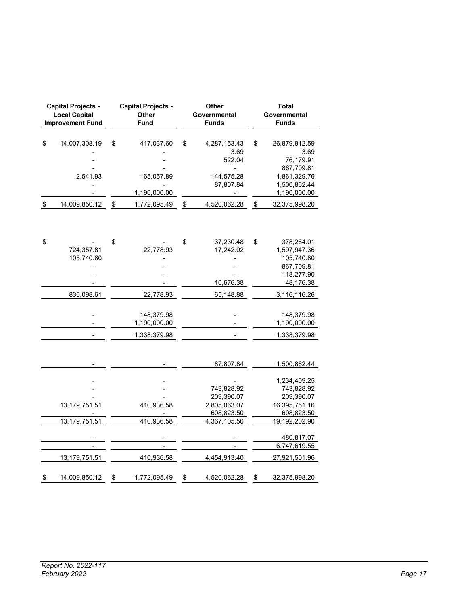| <b>Capital Projects -</b><br><b>Local Capital</b><br><b>Improvement Fund</b> |                                            |          | <b>Capital Projects -</b><br>Other<br><b>Fund</b>        | Other<br>Governmental<br><b>Funds</b> |                                                                                             |          | <b>Total</b><br>Governmental<br><b>Funds</b>                                                                      |  |  |
|------------------------------------------------------------------------------|--------------------------------------------|----------|----------------------------------------------------------|---------------------------------------|---------------------------------------------------------------------------------------------|----------|-------------------------------------------------------------------------------------------------------------------|--|--|
| \$<br>\$                                                                     | 14,007,308.19<br>2,541.93<br>14,009,850.12 | \$<br>\$ | 417,037.60<br>165,057.89<br>1,190,000.00<br>1,772,095.49 | \$<br>\$                              | 4,287,153.43<br>3.69<br>522.04<br>$\overline{a}$<br>144,575.28<br>87,807.84<br>4,520,062.28 | \$<br>\$ | 26,879,912.59<br>3.69<br>76,179.91<br>867,709.81<br>1,861,329.76<br>1,500,862.44<br>1,190,000.00<br>32,375,998.20 |  |  |
|                                                                              |                                            |          |                                                          |                                       |                                                                                             |          |                                                                                                                   |  |  |
| \$                                                                           | 724,357.81<br>105,740.80                   | \$       | 22,778.93                                                | \$                                    | 37,230.48<br>17,242.02<br>10,676.38                                                         | \$       | 378,264.01<br>1,597,947.36<br>105,740.80<br>867,709.81<br>118,277.90<br>48,176.38                                 |  |  |
|                                                                              | 830,098.61                                 |          | 22,778.93                                                |                                       | 65,148.88                                                                                   |          | 3,116,116.26                                                                                                      |  |  |
|                                                                              |                                            |          | 148,379.98<br>1,190,000.00<br>1,338,379.98               |                                       |                                                                                             |          | 148,379.98<br>1,190,000.00<br>1,338,379.98                                                                        |  |  |
|                                                                              |                                            |          |                                                          |                                       | 87,807.84                                                                                   |          | 1,500,862.44                                                                                                      |  |  |
|                                                                              | 13, 179, 751.51<br>13, 179, 751.51         |          | 410,936.58<br>410,936.58                                 |                                       | 743,828.92<br>209,390.07<br>2,805,063.07<br>608,823.50<br>4,367,105.56                      |          | 1,234,409.25<br>743,828.92<br>209,390.07<br>16,395,751.16<br>608,823.50<br>19, 192, 202. 90                       |  |  |
|                                                                              |                                            |          |                                                          |                                       |                                                                                             |          |                                                                                                                   |  |  |
|                                                                              |                                            |          |                                                          |                                       |                                                                                             |          | 480,817.07<br>6,747,619.55                                                                                        |  |  |
|                                                                              | 13, 179, 751.51                            |          | 410,936.58                                               |                                       | 4,454,913.40                                                                                |          | 27,921,501.96                                                                                                     |  |  |
| \$                                                                           | 14,009,850.12                              | \$       | 1,772,095.49                                             | \$                                    | 4,520,062.28                                                                                | \$       | 32,375,998.20                                                                                                     |  |  |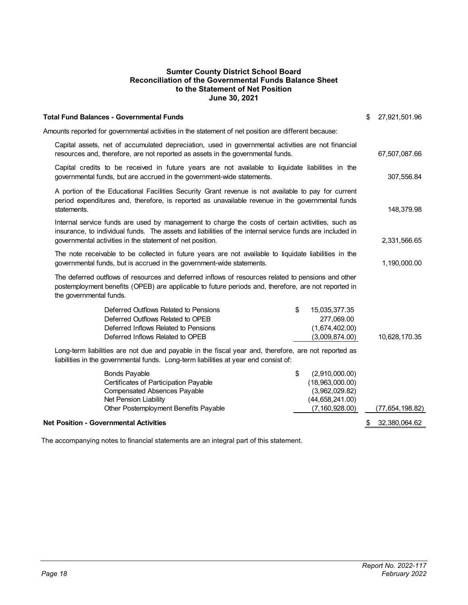#### **Sumter County District School Board Reconciliation of the Governmental Funds Balance Sheet to the Statement of Net Position June 30, 2021**

<span id="page-23-1"></span><span id="page-23-0"></span>

| <b>Total Fund Balances - Governmental Funds</b>                                                                                                                                                                                                                           | \$                                                                                                 | 27,921,501.96 |                 |  |  |
|---------------------------------------------------------------------------------------------------------------------------------------------------------------------------------------------------------------------------------------------------------------------------|----------------------------------------------------------------------------------------------------|---------------|-----------------|--|--|
| Amounts reported for governmental activities in the statement of net position are different because:                                                                                                                                                                      |                                                                                                    |               |                 |  |  |
| Capital assets, net of accumulated depreciation, used in governmental activities are not financial<br>resources and, therefore, are not reported as assets in the governmental funds.                                                                                     |                                                                                                    |               | 67,507,087.66   |  |  |
| Capital credits to be received in future years are not available to liquidate liabilities in the<br>governmental funds, but are accrued in the government-wide statements.                                                                                                |                                                                                                    |               | 307,556.84      |  |  |
| A portion of the Educational Facilities Security Grant revenue is not available to pay for current<br>period expenditures and, therefore, is reported as unavailable revenue in the governmental funds<br>statements.                                                     |                                                                                                    |               | 148,379.98      |  |  |
| Internal service funds are used by management to charge the costs of certain activities, such as<br>insurance, to individual funds. The assets and liabilities of the internal service funds are included in<br>governmental activities in the statement of net position. |                                                                                                    |               | 2,331,566.65    |  |  |
| The note receivable to be collected in future years are not available to liquidate liabilities in the<br>governmental funds, but is accrued in the government-wide statements.                                                                                            |                                                                                                    |               | 1,190,000.00    |  |  |
| The deferred outflows of resources and deferred inflows of resources related to pensions and other<br>postemployment benefits (OPEB) are applicable to future periods and, therefore, are not reported in<br>the governmental funds.                                      |                                                                                                    |               |                 |  |  |
| Deferred Outflows Related to Pensions<br>Deferred Outflows Related to OPEB<br>Deferred Inflows Related to Pensions<br>Deferred Inflows Related to OPEB                                                                                                                    | \$<br>15,035,377.35<br>277,069.00<br>(1,674,402.00)<br>(3,009,874.00)                              |               | 10,628,170.35   |  |  |
| Long-term liabilities are not due and payable in the fiscal year and, therefore, are not reported as<br>liabilities in the governmental funds. Long-term liabilities at year end consist of:                                                                              |                                                                                                    |               |                 |  |  |
| <b>Bonds Payable</b><br>Certificates of Participation Payable<br><b>Compensated Absences Payable</b><br>Net Pension Liability<br>Other Postemployment Benefits Payable                                                                                                    | \$<br>(2,910,000.00)<br>(18,963,000.00)<br>(3,962,029.82)<br>(44, 658, 241.00)<br>(7, 160, 928.00) |               | (77,654,198.82) |  |  |
| <b>Net Position - Governmental Activities</b>                                                                                                                                                                                                                             |                                                                                                    | S.            | 32,380,064.62   |  |  |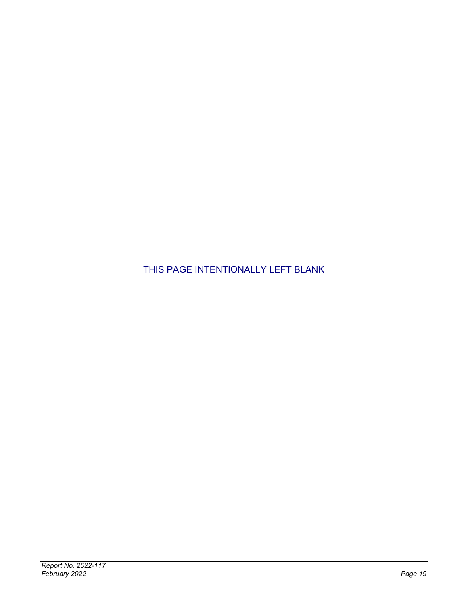THIS PAGE INTENTIONALLY LEFT BLANK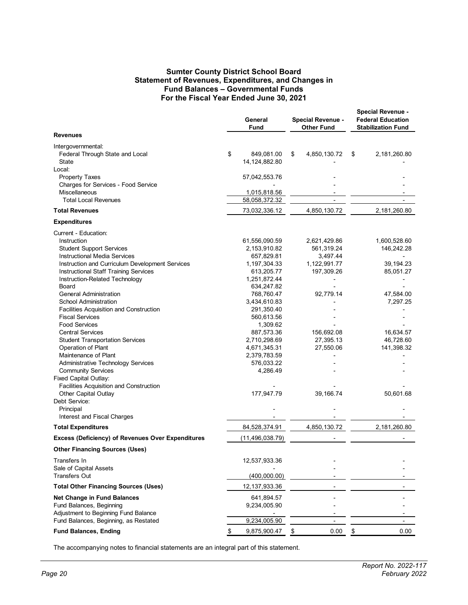#### **Sumter County District School Board Statement of Revenues, Expenditures, and Changes in Fund Balances – Governmental Funds For the Fiscal Year Ended June 30, 2021**

<span id="page-25-1"></span><span id="page-25-0"></span>

|                                                                | General<br>Fund                   | <b>Special Revenue -</b><br><b>Other Fund</b> | <b>Special Revenue -</b><br><b>Federal Education</b><br><b>Stabilization Fund</b> |
|----------------------------------------------------------------|-----------------------------------|-----------------------------------------------|-----------------------------------------------------------------------------------|
| <b>Revenues</b>                                                |                                   |                                               |                                                                                   |
| Intergovernmental:<br>Federal Through State and Local<br>State | \$<br>849,081.00<br>14,124,882.80 | \$<br>4,850,130.72                            | \$<br>2,181,260.80                                                                |
| Local:<br><b>Property Taxes</b>                                | 57,042,553.76                     |                                               |                                                                                   |
| Charges for Services - Food Service                            |                                   |                                               |                                                                                   |
| Miscellaneous                                                  | 1,015,818.56                      |                                               |                                                                                   |
| <b>Total Local Revenues</b>                                    | 58,058,372.32                     |                                               |                                                                                   |
| <b>Total Revenues</b>                                          | 73,032,336.12                     | 4,850,130.72                                  | 2,181,260.80                                                                      |
| <b>Expenditures</b>                                            |                                   |                                               |                                                                                   |
| Current - Education:                                           |                                   |                                               |                                                                                   |
| Instruction                                                    | 61,556,090.59                     | 2,621,429.86                                  | 1,600,528.60                                                                      |
| <b>Student Support Services</b>                                | 2,153,910.82                      | 561,319.24                                    | 146,242.28                                                                        |
| <b>Instructional Media Services</b>                            | 657,829.81                        | 3,497.44                                      |                                                                                   |
| Instruction and Curriculum Development Services                | 1, 197, 304. 33                   | 1,122,991.77                                  | 39, 194. 23                                                                       |
| Instructional Staff Training Services                          | 613,205.77                        | 197,309.26                                    | 85,051.27                                                                         |
| Instruction-Related Technology                                 | 1,251,872.44                      |                                               |                                                                                   |
| Board                                                          | 634,247.82                        |                                               |                                                                                   |
| <b>General Administration</b>                                  | 768,760.47                        | 92,779.14                                     | 47,584.00                                                                         |
| <b>School Administration</b>                                   | 3,434,610.83                      |                                               | 7,297.25                                                                          |
| Facilities Acquisition and Construction                        | 291,350.40                        |                                               |                                                                                   |
| <b>Fiscal Services</b>                                         | 560,613.56                        |                                               |                                                                                   |
| <b>Food Services</b>                                           | 1,309.62                          |                                               |                                                                                   |
| <b>Central Services</b>                                        | 887,573.36                        | 156,692.08                                    | 16,634.57                                                                         |
| <b>Student Transportation Services</b>                         | 2,710,298.69                      | 27,395.13                                     | 46,728.60                                                                         |
| Operation of Plant                                             | 4,671,345.31                      | 27,550.06                                     | 141,398.32                                                                        |
| Maintenance of Plant                                           | 2,379,783.59                      |                                               |                                                                                   |
| <b>Administrative Technology Services</b>                      | 576,033.22                        |                                               |                                                                                   |
| <b>Community Services</b>                                      | 4,286.49                          |                                               |                                                                                   |
| Fixed Capital Outlay:                                          |                                   |                                               |                                                                                   |
| Facilities Acquisition and Construction                        |                                   |                                               |                                                                                   |
| Other Capital Outlay                                           | 177,947.79                        | 39,166.74                                     | 50,601.68                                                                         |
| Debt Service:                                                  |                                   |                                               |                                                                                   |
| Principal                                                      |                                   |                                               |                                                                                   |
| Interest and Fiscal Charges                                    |                                   |                                               |                                                                                   |
| <b>Total Expenditures</b>                                      | 84,528,374.91                     | 4,850,130.72                                  | 2,181,260.80                                                                      |
| <b>Excess (Deficiency) of Revenues Over Expenditures</b>       | (11, 496, 038.79)                 |                                               |                                                                                   |
| <b>Other Financing Sources (Uses)</b>                          |                                   |                                               |                                                                                   |
| Transfers In                                                   | 12,537,933.36                     |                                               |                                                                                   |
| Sale of Capital Assets                                         |                                   |                                               |                                                                                   |
| <b>Transfers Out</b>                                           | (400,000.00)                      |                                               |                                                                                   |
| <b>Total Other Financing Sources (Uses)</b>                    | 12, 137, 933. 36                  |                                               |                                                                                   |
| <b>Net Change in Fund Balances</b>                             | 641,894.57                        |                                               |                                                                                   |
| Fund Balances, Beginning                                       | 9,234,005.90                      |                                               |                                                                                   |
| Adjustment to Beginning Fund Balance                           |                                   |                                               |                                                                                   |
| Fund Balances, Beginning, as Restated                          | 9,234,005.90                      |                                               |                                                                                   |
| <b>Fund Balances, Ending</b>                                   | \$<br>9,875,900.47                | \$<br>0.00                                    | \$<br>0.00                                                                        |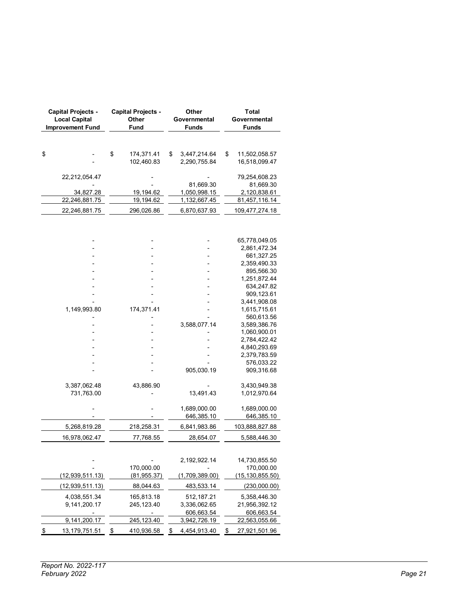| <b>Capital Projects -</b><br><b>Local Capital</b><br><b>Improvement Fund</b> |                   | <b>Capital Projects -</b><br>Other<br>Fund |              | Other<br>Governmental<br><b>Funds</b> |               | Total<br>Governmental<br><b>Funds</b> |
|------------------------------------------------------------------------------|-------------------|--------------------------------------------|--------------|---------------------------------------|---------------|---------------------------------------|
|                                                                              |                   |                                            |              |                                       |               |                                       |
| \$                                                                           |                   | \$<br>174,371.41<br>102,460.83             | \$           | 3,447,214.64<br>2,290,755.84          | \$            | 11,502,058.57<br>16,518,099.47        |
|                                                                              | 22,212,054.47     |                                            |              |                                       |               | 79,254,608.23                         |
|                                                                              | 34,827.28         | 19,194.62                                  |              | 81,669.30<br>1,050,998.15             |               | 81,669.30<br>2,120,838.61             |
|                                                                              | 22,246,881.75     | 19,194.62                                  |              | 1,132,667.45                          |               | 81,457,116.14                         |
|                                                                              |                   |                                            |              |                                       |               |                                       |
|                                                                              | 22,246,881.75     | 296,026.86                                 |              | 6,870,637.93                          |               | 109,477,274.18                        |
|                                                                              |                   |                                            |              |                                       |               |                                       |
|                                                                              |                   |                                            |              |                                       |               | 65,778,049.05                         |
|                                                                              |                   |                                            |              |                                       |               | 2,861,472.34                          |
|                                                                              |                   |                                            |              |                                       |               | 661,327.25                            |
|                                                                              |                   |                                            |              |                                       |               | 2,359,490.33                          |
|                                                                              |                   |                                            |              |                                       |               | 895,566.30<br>1,251,872.44            |
|                                                                              |                   |                                            |              |                                       |               | 634,247.82                            |
|                                                                              |                   |                                            |              |                                       |               | 909, 123.61                           |
|                                                                              |                   |                                            |              |                                       |               | 3,441,908.08                          |
|                                                                              | 1,149,993.80      | 174,371.41                                 |              |                                       |               | 1,615,715.61                          |
|                                                                              |                   |                                            |              |                                       |               | 560,613.56                            |
|                                                                              |                   |                                            |              | 3,588,077.14                          |               | 3,589,386.76                          |
|                                                                              |                   |                                            |              |                                       |               | 1,060,900.01                          |
|                                                                              |                   |                                            |              |                                       |               | 2,784,422.42                          |
|                                                                              |                   |                                            |              |                                       |               | 4,840,293.69                          |
|                                                                              |                   |                                            |              |                                       |               | 2,379,783.59                          |
|                                                                              |                   |                                            |              |                                       |               | 576,033.22                            |
|                                                                              |                   |                                            |              | 905,030.19                            |               | 909,316.68                            |
|                                                                              | 3,387,062.48      | 43,886.90                                  |              |                                       |               | 3,430,949.38                          |
|                                                                              | 731,763.00        |                                            |              | 13,491.43                             |               | 1,012,970.64                          |
|                                                                              |                   |                                            |              |                                       |               |                                       |
|                                                                              |                   |                                            |              | 1,689,000.00<br>646,385.10            |               | 1,689,000.00<br>646,385.10            |
|                                                                              | 5,268,819.28      | 218,258.31                                 |              | 6,841,983.86                          |               | 103,888,827.88                        |
|                                                                              | 16,978,062.47     |                                            |              | 28,654.07                             |               | 5,588,446.30                          |
|                                                                              |                   | 77,768.55                                  |              |                                       |               |                                       |
|                                                                              |                   |                                            |              | 2,192,922.14                          |               | 14,730,855.50                         |
|                                                                              |                   | 170,000.00                                 |              |                                       |               | 170,000.00                            |
|                                                                              | (12,939,511.13)   | (81, 955.37)                               |              | (1,709,389.00)                        |               | (15, 130, 855.50)                     |
|                                                                              | (12, 939, 511.13) | 88,044.63                                  |              | 483,533.14                            |               | (230,000.00)                          |
|                                                                              | 4,038,551.34      | 165,813.18                                 |              | 512, 187.21                           |               | 5,358,446.30                          |
|                                                                              | 9,141,200.17      | 245,123.40                                 | 3,336,062.65 |                                       | 21,956,392.12 |                                       |
|                                                                              |                   |                                            |              | 606,663.54                            |               | 606,663.54                            |
|                                                                              | 9,141,200.17      | 245, 123.40                                |              | 3,942,726.19                          |               | 22,563,055.66                         |
| \$                                                                           | 13,179,751.51     | \$<br>410,936.58                           | \$           | 4,454,913.40                          | \$            | 27,921,501.96                         |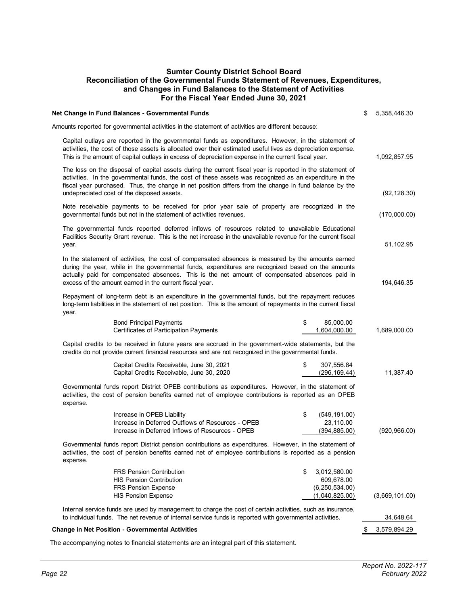#### <span id="page-27-1"></span>**Sumter County District School Board Reconciliation of the Governmental Funds Statement of Revenues, Expenditures, and Changes in Fund Balances to the Statement of Activities For the Fiscal Year Ended June 30, 2021**

<span id="page-27-0"></span>

| Net Change in Fund Balances - Governmental Funds                                                                                                                                                                                                                                                                                                                             | \$<br>5,358,446.30 |
|------------------------------------------------------------------------------------------------------------------------------------------------------------------------------------------------------------------------------------------------------------------------------------------------------------------------------------------------------------------------------|--------------------|
| Amounts reported for governmental activities in the statement of activities are different because:                                                                                                                                                                                                                                                                           |                    |
| Capital outlays are reported in the governmental funds as expenditures. However, in the statement of<br>activities, the cost of those assets is allocated over their estimated useful lives as depreciation expense.<br>This is the amount of capital outlays in excess of depreciation expense in the current fiscal year.                                                  | 1,092,857.95       |
| The loss on the disposal of capital assets during the current fiscal year is reported in the statement of<br>activities. In the governmental funds, the cost of these assets was recognized as an expenditure in the<br>fiscal year purchased. Thus, the change in net position differs from the change in fund balance by the<br>undepreciated cost of the disposed assets. | (92, 128.30)       |
| Note receivable payments to be received for prior year sale of property are recognized in the<br>governmental funds but not in the statement of activities revenues.                                                                                                                                                                                                         | (170,000.00)       |
| The governmental funds reported deferred inflows of resources related to unavailable Educational<br>Facilities Security Grant revenue. This is the net increase in the unavailable revenue for the current fiscal<br>year.                                                                                                                                                   | 51,102.95          |
| In the statement of activities, the cost of compensated absences is measured by the amounts earned<br>during the year, while in the governmental funds, expenditures are recognized based on the amounts<br>actually paid for compensated absences. This is the net amount of compensated absences paid in<br>excess of the amount earned in the current fiscal year.        | 194,646.35         |
| Repayment of long-term debt is an expenditure in the governmental funds, but the repayment reduces<br>long-term liabilities in the statement of net position. This is the amount of repayments in the current fiscal<br>year.                                                                                                                                                |                    |
| \$<br>85,000.00<br><b>Bond Principal Payments</b><br>1,604,000.00<br>Certificates of Participation Payments                                                                                                                                                                                                                                                                  | 1,689,000.00       |
| Capital credits to be received in future years are accrued in the government-wide statements, but the<br>credits do not provide current financial resources and are not recognized in the governmental funds.                                                                                                                                                                |                    |
| Capital Credits Receivable, June 30, 2021<br>\$<br>307,556.84<br>Capital Credits Receivable, June 30, 2020<br>(296, 169.44)                                                                                                                                                                                                                                                  | 11,387.40          |
| Governmental funds report District OPEB contributions as expenditures. However, in the statement of<br>activities, the cost of pension benefits earned net of employee contributions is reported as an OPEB<br>expense.                                                                                                                                                      |                    |
| Increase in OPEB Liability<br>\$<br>(549, 191.00)<br>Increase in Deferred Outflows of Resources - OPEB<br>23,110.00<br>Increase in Deferred Inflows of Resources - OPEB<br>(394, 885.00)                                                                                                                                                                                     | (920, 966.00)      |
| Governmental funds report District pension contributions as expenditures. However, in the statement of<br>activities, the cost of pension benefits earned net of employee contributions is reported as a pension<br>expense.                                                                                                                                                 |                    |
| <b>FRS Pension Contribution</b><br>\$<br>3,012,580.00<br><b>HIS Pension Contribution</b><br>609,678.00                                                                                                                                                                                                                                                                       |                    |
| (6, 250, 534.00)<br><b>FRS Pension Expense</b>                                                                                                                                                                                                                                                                                                                               |                    |
| <b>HIS Pension Expense</b><br>(1,040,825.00)                                                                                                                                                                                                                                                                                                                                 | (3,669,101.00)     |
| Internal service funds are used by management to charge the cost of certain activities, such as insurance,<br>to individual funds. The net revenue of internal service funds is reported with governmental activities.                                                                                                                                                       | 34,648.64          |
| <b>Change in Net Position - Governmental Activities</b>                                                                                                                                                                                                                                                                                                                      | \$<br>3,579,894.29 |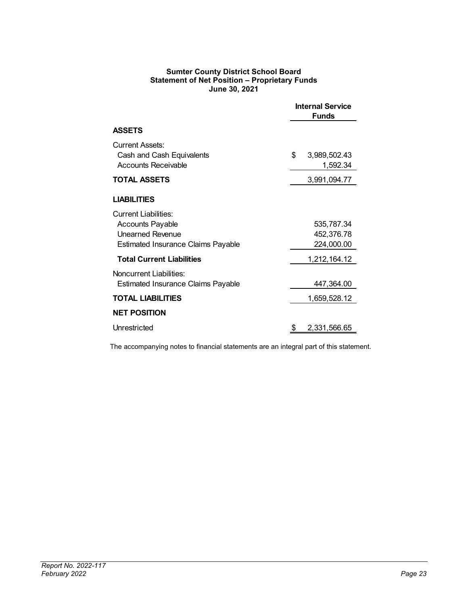#### **Sumter County District School Board Statement of Net Position – Proprietary Funds June 30, 2021**

<span id="page-28-1"></span><span id="page-28-0"></span>

|                                                                                                                  | <b>Internal Service</b><br><b>Funds</b> |  |  |
|------------------------------------------------------------------------------------------------------------------|-----------------------------------------|--|--|
| <b>ASSETS</b>                                                                                                    |                                         |  |  |
| <b>Current Assets:</b><br>Cash and Cash Equivalents<br>Accounts Receivable                                       | \$<br>3,989,502.43<br>1,592.34          |  |  |
| <b>TOTAL ASSETS</b>                                                                                              | 3,991,094.77                            |  |  |
| <b>LIABILITIES</b>                                                                                               |                                         |  |  |
| Current Liabilities:<br><b>Accounts Payable</b><br>Unearned Revenue<br><b>Estimated Insurance Claims Payable</b> | 535,787.34<br>452,376.78<br>224,000.00  |  |  |
| <b>Total Current Liabilities</b>                                                                                 | 1,212,164.12                            |  |  |
| Noncurrent Liabilities:<br><b>Estimated Insurance Claims Payable</b>                                             | 447,364.00                              |  |  |
| <b>TOTAL LIABILITIES</b>                                                                                         | 1,659,528.12                            |  |  |
| <b>NET POSITION</b>                                                                                              |                                         |  |  |
| Unrestricted                                                                                                     | \$<br>2,331,566.65                      |  |  |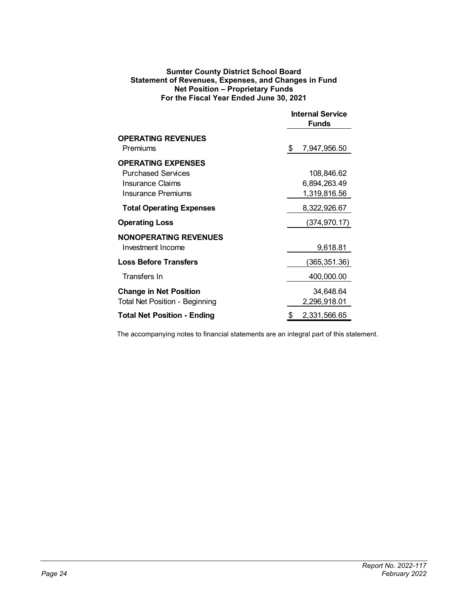#### <span id="page-29-1"></span>**Sumter County District School Board Statement of Revenues, Expenses, and Changes in Fund Net Position – Proprietary Funds For the Fiscal Year Ended June 30, 2021**

<span id="page-29-0"></span>

|                                                                                                         | <b>Internal Service</b><br><b>Funds</b>    |
|---------------------------------------------------------------------------------------------------------|--------------------------------------------|
| <b>OPERATING REVENUES</b><br>Premiums                                                                   | \$<br>7,947,956.50                         |
| <b>OPERATING EXPENSES</b><br><b>Purchased Services</b><br><b>Insurance Claims</b><br>Insurance Premiums | 108,846.62<br>6,894,263.49<br>1,319,816.56 |
| <b>Total Operating Expenses</b>                                                                         | 8,322,926.67                               |
| <b>Operating Loss</b>                                                                                   | (374, 970.17)                              |
| <b>NONOPERATING REVENUES</b><br>Investment Income                                                       | 9,618.81                                   |
| <b>Loss Before Transfers</b>                                                                            | (365,351.36)                               |
| Transfers In                                                                                            | 400,000.00                                 |
| <b>Change in Net Position</b><br><b>Total Net Position - Beginning</b>                                  | 34,648.64<br>2,296,918.01                  |
| <b>Total Net Position - Ending</b>                                                                      | 2,331,566.65<br>\$                         |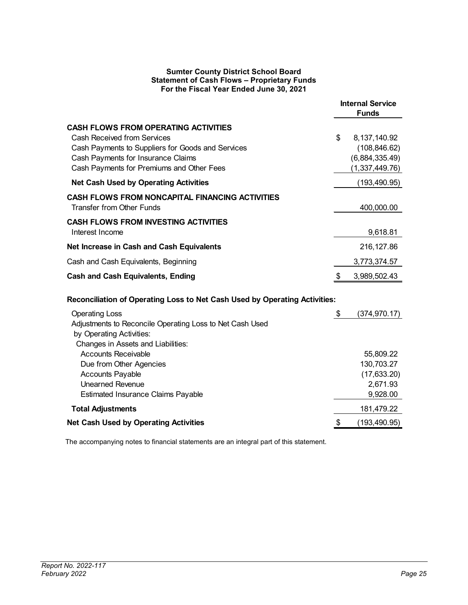#### **Sumter County District School Board Statement of Cash Flows – Proprietary Funds For the Fiscal Year Ended June 30, 2021**

<span id="page-30-1"></span><span id="page-30-0"></span>

|                                                                            | <b>Internal Service</b><br><b>Funds</b> |
|----------------------------------------------------------------------------|-----------------------------------------|
| <b>CASH FLOWS FROM OPERATING ACTIVITIES</b>                                |                                         |
| <b>Cash Received from Services</b>                                         | \$<br>8, 137, 140.92                    |
| Cash Payments to Suppliers for Goods and Services                          | (108, 846.62)                           |
| Cash Payments for Insurance Claims                                         | (6,884,335.49)                          |
| Cash Payments for Premiums and Other Fees                                  | (1,337,449.76)                          |
| <b>Net Cash Used by Operating Activities</b>                               | (193, 490.95)                           |
| <b>CASH FLOWS FROM NONCAPITAL FINANCING ACTIVITIES</b>                     |                                         |
| Transfer from Other Funds                                                  | 400,000.00                              |
| <b>CASH FLOWS FROM INVESTING ACTIVITIES</b>                                |                                         |
| Interest Income                                                            | 9,618.81                                |
| Net Increase in Cash and Cash Equivalents                                  | 216,127.86                              |
| Cash and Cash Equivalents, Beginning                                       | 3,773,374.57                            |
| <b>Cash and Cash Equivalents, Ending</b>                                   | \$<br>3,989,502.43                      |
| Reconciliation of Operating Loss to Net Cash Used by Operating Activities: |                                         |
| <b>Operating Loss</b>                                                      | \$<br>(374,970.17)                      |
| Adjustments to Reconcile Operating Loss to Net Cash Used                   |                                         |
| by Operating Activities:                                                   |                                         |
| Changes in Assets and Liabilities:                                         |                                         |
| <b>Accounts Receivable</b>                                                 | 55,809.22<br>$100 - 200 - 25$           |

| <b>Net Cash Used by Operating Activities</b> | (193,490.95)<br>S |
|----------------------------------------------|-------------------|
| <b>Total Adjustments</b>                     | 181,479.22        |
| <b>Estimated Insurance Claims Payable</b>    | 9,928.00          |
| <b>Unearned Revenue</b>                      | 2,671.93          |
| <b>Accounts Payable</b>                      | (17, 633.20)      |
| Due from Other Agencies                      | 130,703.27        |
| Accounts Receivable                          | 55,809.22         |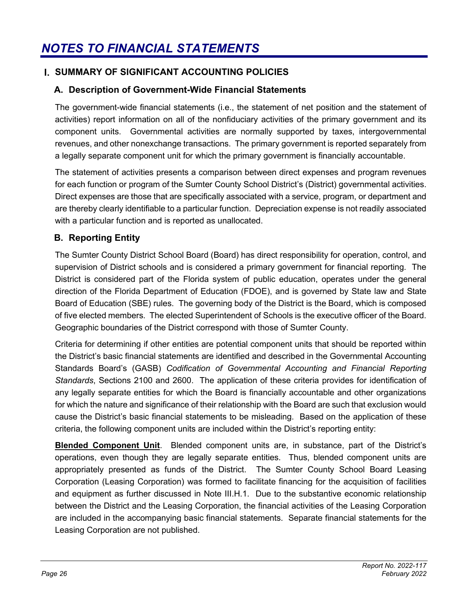### <span id="page-31-1"></span><span id="page-31-0"></span>**SUMMARY OF SIGNIFICANT ACCOUNTING POLICIES**

### **A. Description of Government-Wide Financial Statements**

The government-wide financial statements (i.e., the statement of net position and the statement of activities) report information on all of the nonfiduciary activities of the primary government and its component units. Governmental activities are normally supported by taxes, intergovernmental revenues, and other nonexchange transactions. The primary government is reported separately from a legally separate component unit for which the primary government is financially accountable.

The statement of activities presents a comparison between direct expenses and program revenues for each function or program of the Sumter County School District's (District) governmental activities. Direct expenses are those that are specifically associated with a service, program, or department and are thereby clearly identifiable to a particular function. Depreciation expense is not readily associated with a particular function and is reported as unallocated.

### **B. Reporting Entity**

The Sumter County District School Board (Board) has direct responsibility for operation, control, and supervision of District schools and is considered a primary government for financial reporting. The District is considered part of the Florida system of public education, operates under the general direction of the Florida Department of Education (FDOE), and is governed by State law and State Board of Education (SBE) rules. The governing body of the District is the Board, which is composed of five elected members. The elected Superintendent of Schools is the executive officer of the Board. Geographic boundaries of the District correspond with those of Sumter County.

Criteria for determining if other entities are potential component units that should be reported within the District's basic financial statements are identified and described in the Governmental Accounting Standards Board's (GASB) *Codification of Governmental Accounting and Financial Reporting Standards*, Sections 2100 and 2600. The application of these criteria provides for identification of any legally separate entities for which the Board is financially accountable and other organizations for which the nature and significance of their relationship with the Board are such that exclusion would cause the District's basic financial statements to be misleading. Based on the application of these criteria, the following component units are included within the District's reporting entity:

**Blended Component Unit**. Blended component units are, in substance, part of the District's operations, even though they are legally separate entities. Thus, blended component units are appropriately presented as funds of the District. The Sumter County School Board Leasing Corporation (Leasing Corporation) was formed to facilitate financing for the acquisition of facilities and equipment as further discussed in Note III.H.1. Due to the substantive economic relationship between the District and the Leasing Corporation, the financial activities of the Leasing Corporation are included in the accompanying basic financial statements. Separate financial statements for the Leasing Corporation are not published.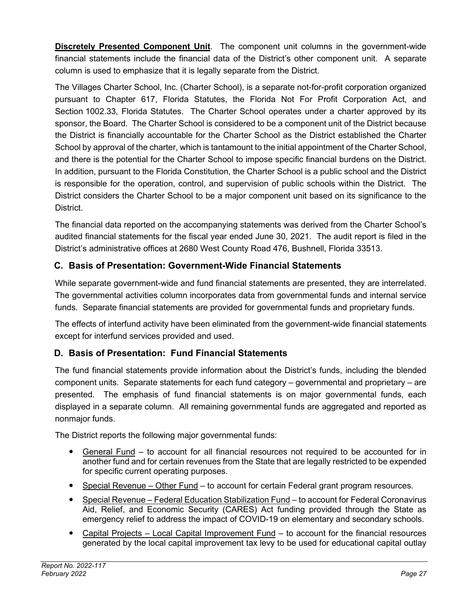**Discretely Presented Component Unit**. The component unit columns in the government-wide financial statements include the financial data of the District's other component unit. A separate column is used to emphasize that it is legally separate from the District.

The Villages Charter School, Inc. (Charter School), is a separate not-for-profit corporation organized pursuant to Chapter 617, Florida Statutes, the Florida Not For Profit Corporation Act, and Section 1002.33, Florida Statutes. The Charter School operates under a charter approved by its sponsor, the Board. The Charter School is considered to be a component unit of the District because the District is financially accountable for the Charter School as the District established the Charter School by approval of the charter, which is tantamount to the initial appointment of the Charter School, and there is the potential for the Charter School to impose specific financial burdens on the District. In addition, pursuant to the Florida Constitution, the Charter School is a public school and the District is responsible for the operation, control, and supervision of public schools within the District. The District considers the Charter School to be a major component unit based on its significance to the District.

The financial data reported on the accompanying statements was derived from the Charter School's audited financial statements for the fiscal year ended June 30, 2021. The audit report is filed in the District's administrative offices at 2680 West County Road 476, Bushnell, Florida 33513.

## **C. Basis of Presentation: Government-Wide Financial Statements**

While separate government-wide and fund financial statements are presented, they are interrelated. The governmental activities column incorporates data from governmental funds and internal service funds. Separate financial statements are provided for governmental funds and proprietary funds.

The effects of interfund activity have been eliminated from the government-wide financial statements except for interfund services provided and used.

## **D. Basis of Presentation: Fund Financial Statements**

The fund financial statements provide information about the District's funds, including the blended component units. Separate statements for each fund category – governmental and proprietary – are presented. The emphasis of fund financial statements is on major governmental funds, each displayed in a separate column. All remaining governmental funds are aggregated and reported as nonmajor funds.

The District reports the following major governmental funds:

- General Fund to account for all financial resources not required to be accounted for in another fund and for certain revenues from the State that are legally restricted to be expended for specific current operating purposes.
- Special Revenue Other Fund to account for certain Federal grant program resources.
- Special Revenue Federal Education Stabilization Fund to account for Federal Coronavirus Aid, Relief, and Economic Security (CARES) Act funding provided through the State as emergency relief to address the impact of COVID-19 on elementary and secondary schools.
- Capital Projects Local Capital Improvement Fund to account for the financial resources generated by the local capital improvement tax levy to be used for educational capital outlay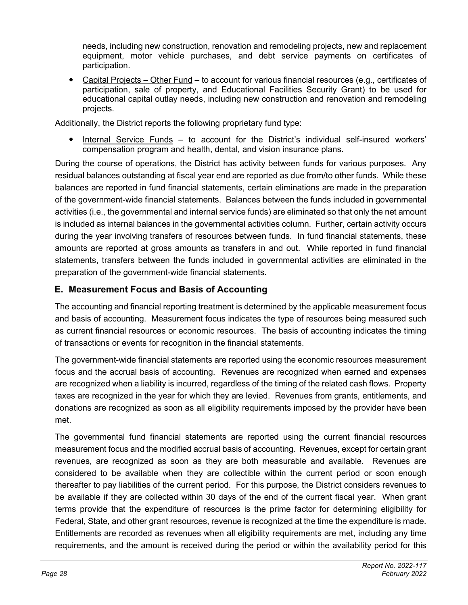needs, including new construction, renovation and remodeling projects, new and replacement equipment, motor vehicle purchases, and debt service payments on certificates of participation.

• Capital Projects – Other Fund – to account for various financial resources (e.g., certificates of participation, sale of property, and Educational Facilities Security Grant) to be used for educational capital outlay needs, including new construction and renovation and remodeling projects.

Additionally, the District reports the following proprietary fund type:

 Internal Service Funds – to account for the District's individual self-insured workers' compensation program and health, dental, and vision insurance plans.

During the course of operations, the District has activity between funds for various purposes. Any residual balances outstanding at fiscal year end are reported as due from/to other funds. While these balances are reported in fund financial statements, certain eliminations are made in the preparation of the government-wide financial statements. Balances between the funds included in governmental activities (i.e., the governmental and internal service funds) are eliminated so that only the net amount is included as internal balances in the governmental activities column. Further, certain activity occurs during the year involving transfers of resources between funds. In fund financial statements, these amounts are reported at gross amounts as transfers in and out. While reported in fund financial statements, transfers between the funds included in governmental activities are eliminated in the preparation of the government-wide financial statements.

## **E. Measurement Focus and Basis of Accounting**

The accounting and financial reporting treatment is determined by the applicable measurement focus and basis of accounting. Measurement focus indicates the type of resources being measured such as current financial resources or economic resources. The basis of accounting indicates the timing of transactions or events for recognition in the financial statements.

The government-wide financial statements are reported using the economic resources measurement focus and the accrual basis of accounting. Revenues are recognized when earned and expenses are recognized when a liability is incurred, regardless of the timing of the related cash flows. Property taxes are recognized in the year for which they are levied. Revenues from grants, entitlements, and donations are recognized as soon as all eligibility requirements imposed by the provider have been met.

The governmental fund financial statements are reported using the current financial resources measurement focus and the modified accrual basis of accounting. Revenues, except for certain grant revenues, are recognized as soon as they are both measurable and available. Revenues are considered to be available when they are collectible within the current period or soon enough thereafter to pay liabilities of the current period. For this purpose, the District considers revenues to be available if they are collected within 30 days of the end of the current fiscal year. When grant terms provide that the expenditure of resources is the prime factor for determining eligibility for Federal, State, and other grant resources, revenue is recognized at the time the expenditure is made. Entitlements are recorded as revenues when all eligibility requirements are met, including any time requirements, and the amount is received during the period or within the availability period for this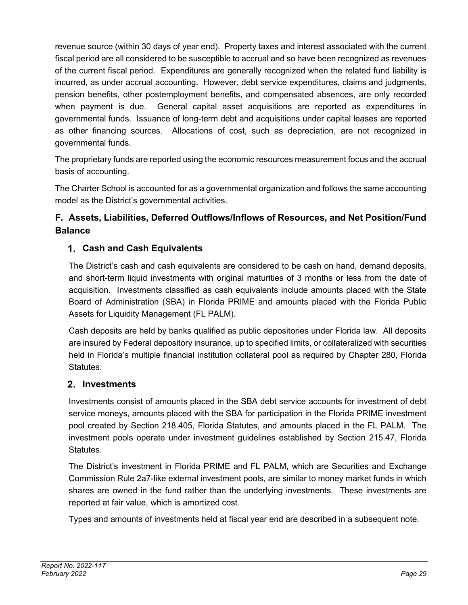revenue source (within 30 days of year end). Property taxes and interest associated with the current fiscal period are all considered to be susceptible to accrual and so have been recognized as revenues of the current fiscal period. Expenditures are generally recognized when the related fund liability is incurred, as under accrual accounting. However, debt service expenditures, claims and judgments, pension benefits, other postemployment benefits, and compensated absences, are only recorded when payment is due. General capital asset acquisitions are reported as expenditures in governmental funds. Issuance of long-term debt and acquisitions under capital leases are reported as other financing sources. Allocations of cost, such as depreciation, are not recognized in governmental funds.

The proprietary funds are reported using the economic resources measurement focus and the accrual basis of accounting.

The Charter School is accounted for as a governmental organization and follows the same accounting model as the District's governmental activities.

## **F. Assets, Liabilities, Deferred Outflows/Inflows of Resources, and Net Position/Fund Balance**

## **Cash and Cash Equivalents**

The District's cash and cash equivalents are considered to be cash on hand, demand deposits, and short-term liquid investments with original maturities of 3 months or less from the date of acquisition. Investments classified as cash equivalents include amounts placed with the State Board of Administration (SBA) in Florida PRIME and amounts placed with the Florida Public Assets for Liquidity Management (FL PALM).

Cash deposits are held by banks qualified as public depositories under Florida law. All deposits are insured by Federal depository insurance, up to specified limits, or collateralized with securities held in Florida's multiple financial institution collateral pool as required by Chapter 280, Florida Statutes.

#### **Investments**

Investments consist of amounts placed in the SBA debt service accounts for investment of debt service moneys, amounts placed with the SBA for participation in the Florida PRIME investment pool created by Section 218.405, Florida Statutes, and amounts placed in the FL PALM. The investment pools operate under investment guidelines established by Section 215.47, Florida Statutes.

The District's investment in Florida PRIME and FL PALM, which are Securities and Exchange Commission Rule 2a7-like external investment pools, are similar to money market funds in which shares are owned in the fund rather than the underlying investments. These investments are reported at fair value, which is amortized cost.

Types and amounts of investments held at fiscal year end are described in a subsequent note.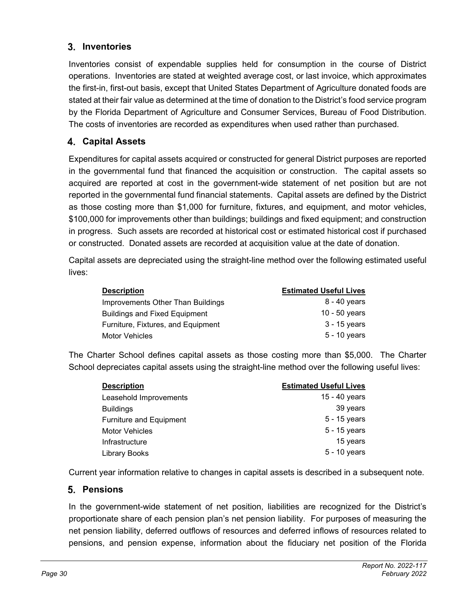#### **Inventories**

Inventories consist of expendable supplies held for consumption in the course of District operations. Inventories are stated at weighted average cost, or last invoice, which approximates the first-in, first-out basis, except that United States Department of Agriculture donated foods are stated at their fair value as determined at the time of donation to the District's food service program by the Florida Department of Agriculture and Consumer Services, Bureau of Food Distribution. The costs of inventories are recorded as expenditures when used rather than purchased.

### **Capital Assets**

Expenditures for capital assets acquired or constructed for general District purposes are reported in the governmental fund that financed the acquisition or construction. The capital assets so acquired are reported at cost in the government-wide statement of net position but are not reported in the governmental fund financial statements. Capital assets are defined by the District as those costing more than \$1,000 for furniture, fixtures, and equipment, and motor vehicles, \$100,000 for improvements other than buildings; buildings and fixed equipment; and construction in progress. Such assets are recorded at historical cost or estimated historical cost if purchased or constructed. Donated assets are recorded at acquisition value at the date of donation.

Capital assets are depreciated using the straight-line method over the following estimated useful lives:

| <b>Description</b>                   | <b>Estimated Useful Lives</b> |
|--------------------------------------|-------------------------------|
| Improvements Other Than Buildings    | 8 - 40 years                  |
| <b>Buildings and Fixed Equipment</b> | 10 - 50 years                 |
| Furniture, Fixtures, and Equipment   | 3 - 15 years                  |
| <b>Motor Vehicles</b>                | $5 - 10$ years                |

The Charter School defines capital assets as those costing more than \$5,000. The Charter School depreciates capital assets using the straight-line method over the following useful lives:

| <b>Description</b>             | <b>Estimated Useful Lives</b> |
|--------------------------------|-------------------------------|
| Leasehold Improvements         | 15 - 40 years                 |
| <b>Buildings</b>               | 39 years                      |
| <b>Furniture and Equipment</b> | 5 - 15 years                  |
| <b>Motor Vehicles</b>          | 5 - 15 years                  |
| Infrastructure                 | 15 years                      |
| Library Books                  | 5 - 10 years                  |

Current year information relative to changes in capital assets is described in a subsequent note.

## **Pensions**

In the government-wide statement of net position, liabilities are recognized for the District's proportionate share of each pension plan's net pension liability. For purposes of measuring the net pension liability, deferred outflows of resources and deferred inflows of resources related to pensions, and pension expense, information about the fiduciary net position of the Florida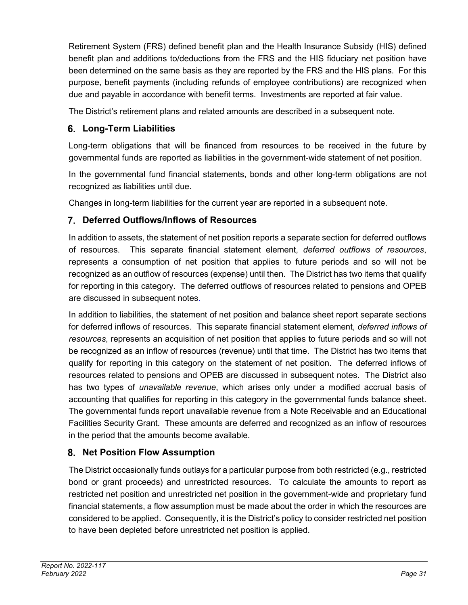Retirement System (FRS) defined benefit plan and the Health Insurance Subsidy (HIS) defined benefit plan and additions to/deductions from the FRS and the HIS fiduciary net position have been determined on the same basis as they are reported by the FRS and the HIS plans. For this purpose, benefit payments (including refunds of employee contributions) are recognized when due and payable in accordance with benefit terms. Investments are reported at fair value.

The District's retirement plans and related amounts are described in a subsequent note.

## **Long-Term Liabilities**

Long-term obligations that will be financed from resources to be received in the future by governmental funds are reported as liabilities in the government-wide statement of net position.

In the governmental fund financial statements, bonds and other long-term obligations are not recognized as liabilities until due.

Changes in long-term liabilities for the current year are reported in a subsequent note.

## **Deferred Outflows/Inflows of Resources**

In addition to assets, the statement of net position reports a separate section for deferred outflows of resources. This separate financial statement element, *deferred outflows of resources*, represents a consumption of net position that applies to future periods and so will not be recognized as an outflow of resources (expense) until then. The District has two items that qualify for reporting in this category. The deferred outflows of resources related to pensions and OPEB are discussed in subsequent notes.

In addition to liabilities, the statement of net position and balance sheet report separate sections for deferred inflows of resources. This separate financial statement element, *deferred inflows of resources*, represents an acquisition of net position that applies to future periods and so will not be recognized as an inflow of resources (revenue) until that time. The District has two items that qualify for reporting in this category on the statement of net position. The deferred inflows of resources related to pensions and OPEB are discussed in subsequent notes. The District also has two types of *unavailable revenue*, which arises only under a modified accrual basis of accounting that qualifies for reporting in this category in the governmental funds balance sheet. The governmental funds report unavailable revenue from a Note Receivable and an Educational Facilities Security Grant. These amounts are deferred and recognized as an inflow of resources in the period that the amounts become available.

## **Net Position Flow Assumption**

The District occasionally funds outlays for a particular purpose from both restricted (e.g., restricted bond or grant proceeds) and unrestricted resources. To calculate the amounts to report as restricted net position and unrestricted net position in the government-wide and proprietary fund financial statements, a flow assumption must be made about the order in which the resources are considered to be applied. Consequently, it is the District's policy to consider restricted net position to have been depleted before unrestricted net position is applied.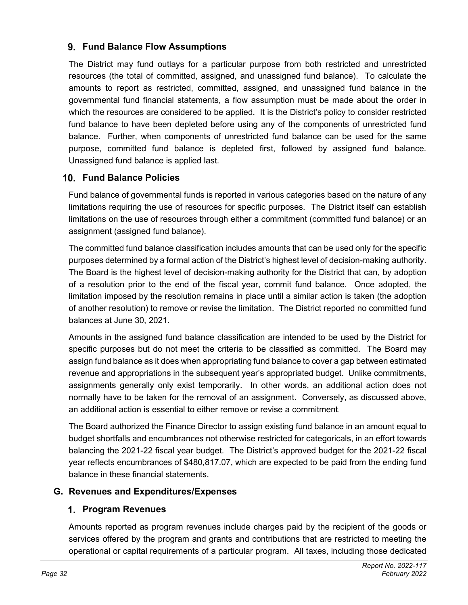### **Fund Balance Flow Assumptions**

The District may fund outlays for a particular purpose from both restricted and unrestricted resources (the total of committed, assigned, and unassigned fund balance). To calculate the amounts to report as restricted, committed, assigned, and unassigned fund balance in the governmental fund financial statements, a flow assumption must be made about the order in which the resources are considered to be applied. It is the District's policy to consider restricted fund balance to have been depleted before using any of the components of unrestricted fund balance. Further, when components of unrestricted fund balance can be used for the same purpose, committed fund balance is depleted first, followed by assigned fund balance. Unassigned fund balance is applied last.

### **Fund Balance Policies**

Fund balance of governmental funds is reported in various categories based on the nature of any limitations requiring the use of resources for specific purposes. The District itself can establish limitations on the use of resources through either a commitment (committed fund balance) or an assignment (assigned fund balance).

The committed fund balance classification includes amounts that can be used only for the specific purposes determined by a formal action of the District's highest level of decision-making authority. The Board is the highest level of decision-making authority for the District that can, by adoption of a resolution prior to the end of the fiscal year, commit fund balance. Once adopted, the limitation imposed by the resolution remains in place until a similar action is taken (the adoption of another resolution) to remove or revise the limitation. The District reported no committed fund balances at June 30, 2021.

Amounts in the assigned fund balance classification are intended to be used by the District for specific purposes but do not meet the criteria to be classified as committed. The Board may assign fund balance as it does when appropriating fund balance to cover a gap between estimated revenue and appropriations in the subsequent year's appropriated budget. Unlike commitments, assignments generally only exist temporarily. In other words, an additional action does not normally have to be taken for the removal of an assignment. Conversely, as discussed above, an additional action is essential to either remove or revise a commitment.

The Board authorized the Finance Director to assign existing fund balance in an amount equal to budget shortfalls and encumbrances not otherwise restricted for categoricals, in an effort towards balancing the 2021-22 fiscal year budget. The District's approved budget for the 2021-22 fiscal year reflects encumbrances of \$480,817.07, which are expected to be paid from the ending fund balance in these financial statements.

### **G. Revenues and Expenditures/Expenses**

### **Program Revenues**

Amounts reported as program revenues include charges paid by the recipient of the goods or services offered by the program and grants and contributions that are restricted to meeting the operational or capital requirements of a particular program. All taxes, including those dedicated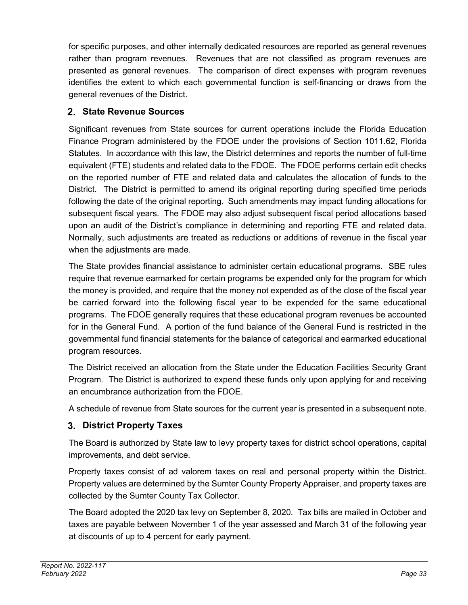for specific purposes, and other internally dedicated resources are reported as general revenues rather than program revenues. Revenues that are not classified as program revenues are presented as general revenues. The comparison of direct expenses with program revenues identifies the extent to which each governmental function is self-financing or draws from the general revenues of the District.

### **State Revenue Sources**

Significant revenues from State sources for current operations include the Florida Education Finance Program administered by the FDOE under the provisions of Section 1011.62, Florida Statutes. In accordance with this law, the District determines and reports the number of full-time equivalent (FTE) students and related data to the FDOE. The FDOE performs certain edit checks on the reported number of FTE and related data and calculates the allocation of funds to the District. The District is permitted to amend its original reporting during specified time periods following the date of the original reporting. Such amendments may impact funding allocations for subsequent fiscal years. The FDOE may also adjust subsequent fiscal period allocations based upon an audit of the District's compliance in determining and reporting FTE and related data. Normally, such adjustments are treated as reductions or additions of revenue in the fiscal year when the adjustments are made.

The State provides financial assistance to administer certain educational programs. SBE rules require that revenue earmarked for certain programs be expended only for the program for which the money is provided, and require that the money not expended as of the close of the fiscal year be carried forward into the following fiscal year to be expended for the same educational programs. The FDOE generally requires that these educational program revenues be accounted for in the General Fund. A portion of the fund balance of the General Fund is restricted in the governmental fund financial statements for the balance of categorical and earmarked educational program resources.

The District received an allocation from the State under the Education Facilities Security Grant Program. The District is authorized to expend these funds only upon applying for and receiving an encumbrance authorization from the FDOE.

A schedule of revenue from State sources for the current year is presented in a subsequent note.

## **District Property Taxes**

The Board is authorized by State law to levy property taxes for district school operations, capital improvements, and debt service.

Property taxes consist of ad valorem taxes on real and personal property within the District. Property values are determined by the Sumter County Property Appraiser, and property taxes are collected by the Sumter County Tax Collector.

The Board adopted the 2020 tax levy on September 8, 2020. Tax bills are mailed in October and taxes are payable between November 1 of the year assessed and March 31 of the following year at discounts of up to 4 percent for early payment.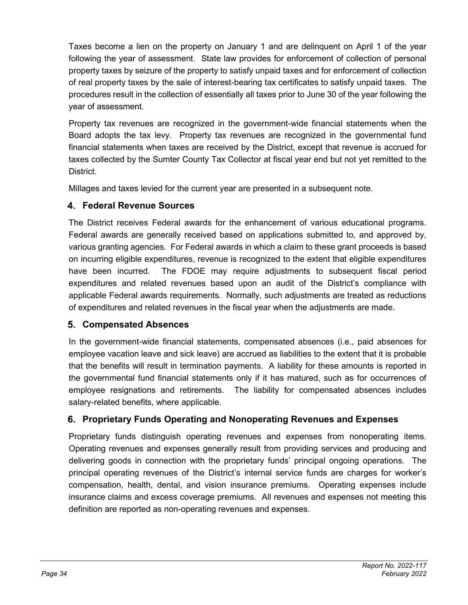Taxes become a lien on the property on January 1 and are delinquent on April 1 of the year following the year of assessment. State law provides for enforcement of collection of personal property taxes by seizure of the property to satisfy unpaid taxes and for enforcement of collection of real property taxes by the sale of interest-bearing tax certificates to satisfy unpaid taxes. The procedures result in the collection of essentially all taxes prior to June 30 of the year following the year of assessment.

Property tax revenues are recognized in the government-wide financial statements when the Board adopts the tax levy. Property tax revenues are recognized in the governmental fund financial statements when taxes are received by the District, except that revenue is accrued for taxes collected by the Sumter County Tax Collector at fiscal year end but not yet remitted to the District.

Millages and taxes levied for the current year are presented in a subsequent note.

### **Federal Revenue Sources**

The District receives Federal awards for the enhancement of various educational programs. Federal awards are generally received based on applications submitted to, and approved by, various granting agencies. For Federal awards in which a claim to these grant proceeds is based on incurring eligible expenditures, revenue is recognized to the extent that eligible expenditures have been incurred. The FDOE may require adjustments to subsequent fiscal period expenditures and related revenues based upon an audit of the District's compliance with applicable Federal awards requirements. Normally, such adjustments are treated as reductions of expenditures and related revenues in the fiscal year when the adjustments are made.

### **Compensated Absences**

In the government-wide financial statements, compensated absences (i.e., paid absences for employee vacation leave and sick leave) are accrued as liabilities to the extent that it is probable that the benefits will result in termination payments. A liability for these amounts is reported in the governmental fund financial statements only if it has matured, such as for occurrences of employee resignations and retirements. The liability for compensated absences includes salary-related benefits, where applicable.

### **Proprietary Funds Operating and Nonoperating Revenues and Expenses**

Proprietary funds distinguish operating revenues and expenses from nonoperating items. Operating revenues and expenses generally result from providing services and producing and delivering goods in connection with the proprietary funds' principal ongoing operations. The principal operating revenues of the District's internal service funds are charges for worker's compensation, health, dental, and vision insurance premiums. Operating expenses include insurance claims and excess coverage premiums. All revenues and expenses not meeting this definition are reported as non-operating revenues and expenses.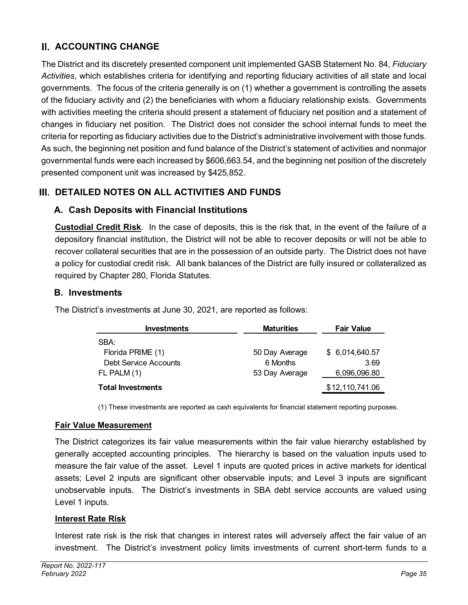## **ACCOUNTING CHANGE**

The District and its discretely presented component unit implemented GASB Statement No. 84, *Fiduciary Activities*, which establishes criteria for identifying and reporting fiduciary activities of all state and local governments. The focus of the criteria generally is on (1) whether a government is controlling the assets of the fiduciary activity and (2) the beneficiaries with whom a fiduciary relationship exists. Governments with activities meeting the criteria should present a statement of fiduciary net position and a statement of changes in fiduciary net position. The District does not consider the school internal funds to meet the criteria for reporting as fiduciary activities due to the District's administrative involvement with those funds. As such, the beginning net position and fund balance of the District's statement of activities and nonmajor governmental funds were each increased by \$606,663.54, and the beginning net position of the discretely presented component unit was increased by \$425,852.

### **III. DETAILED NOTES ON ALL ACTIVITIES AND FUNDS**

### **A. Cash Deposits with Financial Institutions**

**Custodial Credit Risk**. In the case of deposits, this is the risk that, in the event of the failure of a depository financial institution, the District will not be able to recover deposits or will not be able to recover collateral securities that are in the possession of an outside party. The District does not have a policy for custodial credit risk. All bank balances of the District are fully insured or collateralized as required by Chapter 280, Florida Statutes.

#### **B. Investments**

The District's investments at June 30, 2021, are reported as follows:

| <b>Investments</b>       | <b>Maturities</b> | <b>Fair Value</b> |
|--------------------------|-------------------|-------------------|
| SBA:                     |                   |                   |
| Florida PRIME (1)        | 50 Day Average    | \$6,014,640.57    |
| Debt Service Accounts    | 6 Months          | 3.69              |
| FL PALM (1)              | 53 Day Average    | 6,096,096.80      |
| <b>Total Investments</b> |                   | \$12,110,741.06   |

(1) These investments are reported as cash equivalents for financial statement reporting purposes.

#### **Fair Value Measurement**

The District categorizes its fair value measurements within the fair value hierarchy established by generally accepted accounting principles. The hierarchy is based on the valuation inputs used to measure the fair value of the asset. Level 1 inputs are quoted prices in active markets for identical assets; Level 2 inputs are significant other observable inputs; and Level 3 inputs are significant unobservable inputs. The District's investments in SBA debt service accounts are valued using Level 1 inputs.

#### **Interest Rate Risk**

Interest rate risk is the risk that changes in interest rates will adversely affect the fair value of an investment. The District's investment policy limits investments of current short-term funds to a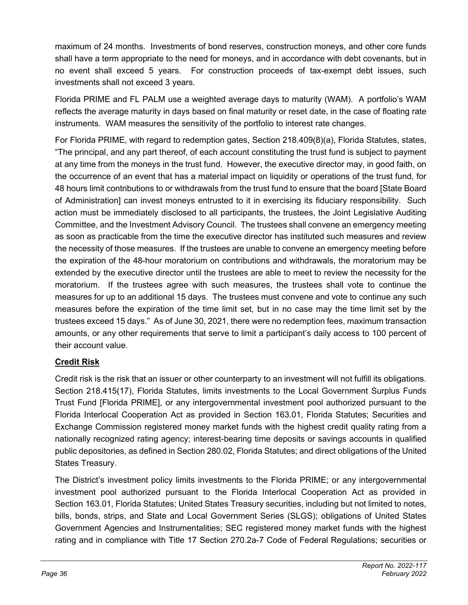maximum of 24 months. Investments of bond reserves, construction moneys, and other core funds shall have a term appropriate to the need for moneys, and in accordance with debt covenants, but in no event shall exceed 5 years. For construction proceeds of tax-exempt debt issues, such investments shall not exceed 3 years.

Florida PRIME and FL PALM use a weighted average days to maturity (WAM). A portfolio's WAM reflects the average maturity in days based on final maturity or reset date, in the case of floating rate instruments. WAM measures the sensitivity of the portfolio to interest rate changes.

For Florida PRIME, with regard to redemption gates, Section 218.409(8)(a), Florida Statutes, states, "The principal, and any part thereof, of each account constituting the trust fund is subject to payment at any time from the moneys in the trust fund. However, the executive director may, in good faith, on the occurrence of an event that has a material impact on liquidity or operations of the trust fund, for 48 hours limit contributions to or withdrawals from the trust fund to ensure that the board [State Board of Administration] can invest moneys entrusted to it in exercising its fiduciary responsibility. Such action must be immediately disclosed to all participants, the trustees, the Joint Legislative Auditing Committee, and the Investment Advisory Council. The trustees shall convene an emergency meeting as soon as practicable from the time the executive director has instituted such measures and review the necessity of those measures. If the trustees are unable to convene an emergency meeting before the expiration of the 48-hour moratorium on contributions and withdrawals, the moratorium may be extended by the executive director until the trustees are able to meet to review the necessity for the moratorium. If the trustees agree with such measures, the trustees shall vote to continue the measures for up to an additional 15 days. The trustees must convene and vote to continue any such measures before the expiration of the time limit set, but in no case may the time limit set by the trustees exceed 15 days." As of June 30, 2021, there were no redemption fees, maximum transaction amounts, or any other requirements that serve to limit a participant's daily access to 100 percent of their account value.

### **Credit Risk**

Credit risk is the risk that an issuer or other counterparty to an investment will not fulfill its obligations. Section 218.415(17), Florida Statutes, limits investments to the Local Government Surplus Funds Trust Fund [Florida PRIME], or any intergovernmental investment pool authorized pursuant to the Florida Interlocal Cooperation Act as provided in Section 163.01, Florida Statutes; Securities and Exchange Commission registered money market funds with the highest credit quality rating from a nationally recognized rating agency; interest-bearing time deposits or savings accounts in qualified public depositories, as defined in Section 280.02, Florida Statutes; and direct obligations of the United States Treasury.

The District's investment policy limits investments to the Florida PRIME; or any intergovernmental investment pool authorized pursuant to the Florida Interlocal Cooperation Act as provided in Section 163.01, Florida Statutes; United States Treasury securities, including but not limited to notes, bills, bonds, strips, and State and Local Government Series (SLGS); obligations of United States Government Agencies and Instrumentalities; SEC registered money market funds with the highest rating and in compliance with Title 17 Section 270.2a-7 Code of Federal Regulations; securities or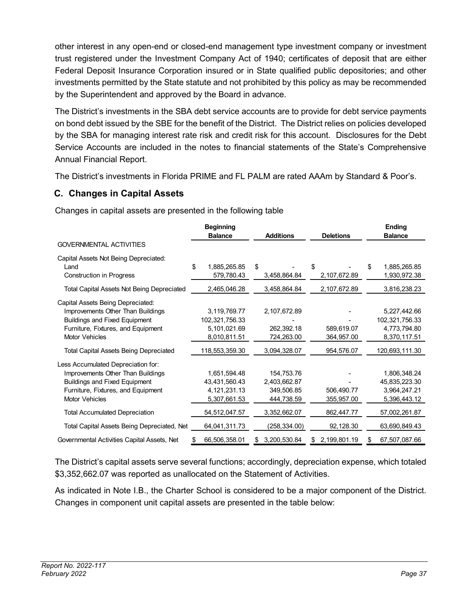other interest in any open-end or closed-end management type investment company or investment trust registered under the Investment Company Act of 1940; certificates of deposit that are either Federal Deposit Insurance Corporation insured or in State qualified public depositories; and other investments permitted by the State statute and not prohibited by this policy as may be recommended by the Superintendent and approved by the Board in advance.

The District's investments in the SBA debt service accounts are to provide for debt service payments on bond debt issued by the SBE for the benefit of the District. The District relies on policies developed by the SBA for managing interest rate risk and credit risk for this account. Disclosures for the Debt Service Accounts are included in the notes to financial statements of the State's Comprehensive Annual Financial Report.

The District's investments in Florida PRIME and FL PALM are rated AAAm by Standard & Poor's.

### **C. Changes in Capital Assets**

Changes in capital assets are presented in the following table

|                                                                                                                                                                                | <b>Beginning</b><br><b>Balance</b>                               | <b>Additions</b>                                       | <b>Deletions</b>         | <b>Ending</b><br><b>Balance</b>                               |
|--------------------------------------------------------------------------------------------------------------------------------------------------------------------------------|------------------------------------------------------------------|--------------------------------------------------------|--------------------------|---------------------------------------------------------------|
| <b>GOVERNMENTAL ACTIVITIES</b>                                                                                                                                                 |                                                                  |                                                        |                          |                                                               |
| Capital Assets Not Being Depreciated:<br>Land<br><b>Construction in Progress</b>                                                                                               | 1,885,265.85<br>\$<br>579,780.43                                 | \$<br>3,458,864.84                                     | \$<br>2,107,672.89       | \$<br>1,885,265.85<br>1,930,972.38                            |
| <b>Total Capital Assets Not Being Depreciated</b>                                                                                                                              | 2,465,046.28                                                     | 3,458,864.84                                           | 2,107,672.89             | 3,816,238.23                                                  |
| Capital Assets Being Depreciated:<br>Improvements Other Than Buildings                                                                                                         | 3,119,769.77                                                     | 2,107,672.89                                           |                          | 5,227,442.66                                                  |
| <b>Buildings and Fixed Equipment</b><br>Furniture, Fixtures, and Equipment<br><b>Motor Vehicles</b>                                                                            | 102,321,756.33<br>5,101,021.69<br>8,010,811.51                   | 262,392.18<br>724,263.00                               | 589,619.07<br>364,957.00 | 102,321,756.33<br>4,773,794.80<br>8,370,117.51                |
| <b>Total Capital Assets Being Depreciated</b>                                                                                                                                  | 118,553,359.30                                                   | 3,094,328.07                                           | 954,576.07               | 120,693,111.30                                                |
| Less Accumulated Depreciation for:<br>Improvements Other Than Buildings<br><b>Buildings and Fixed Equipment</b><br>Furniture, Fixtures, and Equipment<br><b>Motor Vehicles</b> | 1,651,594.48<br>43,431,560.43<br>4, 121, 231. 13<br>5,307,661.53 | 154,753.76<br>2,403,662.87<br>349,506.85<br>444,738.59 | 506,490.77<br>355,957.00 | 1,806,348.24<br>45,835,223.30<br>3,964,247.21<br>5,396,443.12 |
| <b>Total Accumulated Depreciation</b>                                                                                                                                          | 54,512,047.57                                                    | 3,352,662.07                                           | 862,447.77               | 57,002,261.87                                                 |
| Total Capital Assets Being Depreciated, Net                                                                                                                                    | 64,041,311.73                                                    | (258,334.00)                                           | 92,128.30                | 63,690,849.43                                                 |
| Governmental Activities Capital Assets, Net                                                                                                                                    | 66,506,358.01                                                    | 3,200,530.84<br>S                                      | 2,199,801.19<br>S.       | 67,507,087.66                                                 |

The District's capital assets serve several functions; accordingly, depreciation expense, which totaled \$3,352,662.07 was reported as unallocated on the Statement of Activities.

As indicated in Note I.B., the Charter School is considered to be a major component of the District. Changes in component unit capital assets are presented in the table below: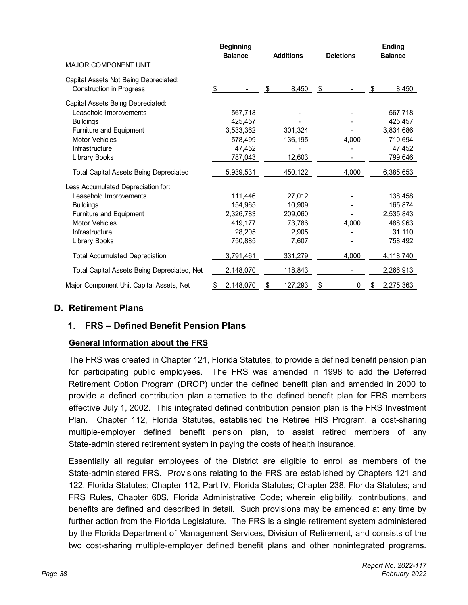|                                               | <b>Beginning</b><br><b>Balance</b> | <b>Additions</b> | <b>Deletions</b> | <b>Ending</b><br><b>Balance</b> |
|-----------------------------------------------|------------------------------------|------------------|------------------|---------------------------------|
| <b>MAJOR COMPONENT UNIT</b>                   |                                    |                  |                  |                                 |
| Capital Assets Not Being Depreciated:         |                                    |                  |                  |                                 |
| <b>Construction in Progress</b>               | \$                                 | 8,450<br>\$      | \$               | \$<br>8,450                     |
| Capital Assets Being Depreciated:             |                                    |                  |                  |                                 |
| Leasehold Improvements                        | 567,718                            |                  |                  | 567,718                         |
| <b>Buildings</b>                              | 425.457                            |                  |                  | 425,457                         |
| Furniture and Equipment                       | 3,533,362                          | 301,324          |                  | 3,834,686                       |
| <b>Motor Vehicles</b>                         | 578,499                            | 136,195          | 4,000            | 710,694                         |
| Infrastructure                                | 47,452                             |                  |                  | 47,452                          |
| Library Books                                 | 787,043                            | 12,603           |                  | 799,646                         |
| <b>Total Capital Assets Being Depreciated</b> | 5,939,531                          | 450,122          | 4,000            | 6,385,653                       |
| Less Accumulated Depreciation for:            |                                    |                  |                  |                                 |
| Leasehold Improvements                        | 111,446                            | 27,012           |                  | 138,458                         |
| <b>Buildings</b>                              | 154,965                            | 10,909           |                  | 165,874                         |
| Furniture and Equipment                       | 2,326,783                          | 209,060          |                  | 2,535,843                       |
| <b>Motor Vehicles</b>                         | 419,177                            | 73,786           | 4,000            | 488,963                         |
| Infrastructure                                | 28,205                             | 2,905            |                  | 31,110                          |
| Library Books                                 | 750,885                            | 7,607            |                  | 758,492                         |
| <b>Total Accumulated Depreciation</b>         | 3,791,461                          | 331,279          | 4,000            | 4,118,740                       |
| Total Capital Assets Being Depreciated, Net   | 2,148,070                          | 118,843          |                  | 2,266,913                       |
| Major Component Unit Capital Assets, Net      | 2,148,070<br>S                     | 127,293<br>\$    | \$<br>0          | 2,275,363<br>\$                 |

### **D. Retirement Plans**

### **FRS – Defined Benefit Pension Plans**

#### **General Information about the FRS**

The FRS was created in Chapter 121, Florida Statutes, to provide a defined benefit pension plan for participating public employees. The FRS was amended in 1998 to add the Deferred Retirement Option Program (DROP) under the defined benefit plan and amended in 2000 to provide a defined contribution plan alternative to the defined benefit plan for FRS members effective July 1, 2002. This integrated defined contribution pension plan is the FRS Investment Plan. Chapter 112, Florida Statutes, established the Retiree HIS Program, a cost-sharing multiple-employer defined benefit pension plan, to assist retired members of any State-administered retirement system in paying the costs of health insurance.

Essentially all regular employees of the District are eligible to enroll as members of the State-administered FRS. Provisions relating to the FRS are established by Chapters 121 and 122, Florida Statutes; Chapter 112, Part IV, Florida Statutes; Chapter 238, Florida Statutes; and FRS Rules, Chapter 60S, Florida Administrative Code; wherein eligibility, contributions, and benefits are defined and described in detail. Such provisions may be amended at any time by further action from the Florida Legislature. The FRS is a single retirement system administered by the Florida Department of Management Services, Division of Retirement, and consists of the two cost-sharing multiple-employer defined benefit plans and other nonintegrated programs.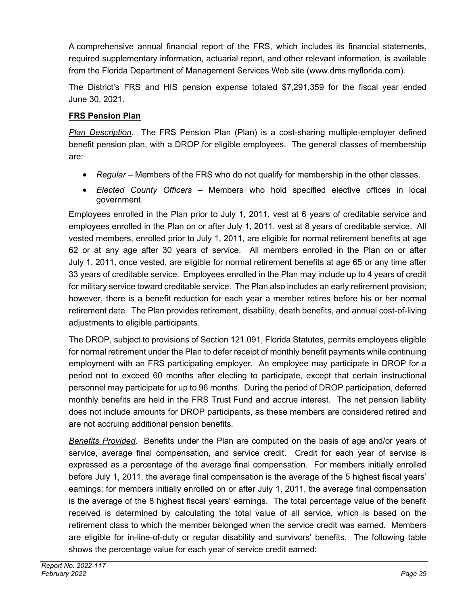A comprehensive annual financial report of the FRS, which includes its financial statements, required supplementary information, actuarial report, and other relevant information, is available from the Florida Department of Management Services Web site (www.dms.myflorida.com).

The District's FRS and HIS pension expense totaled \$7,291,359 for the fiscal year ended June 30, 2021.

### **FRS Pension Plan**

*Plan Description*. The FRS Pension Plan (Plan) is a cost-sharing multiple-employer defined benefit pension plan, with a DROP for eligible employees. The general classes of membership are:

- *Regular* Members of the FRS who do not qualify for membership in the other classes.
- *Elected County Officers* Members who hold specified elective offices in local government.

Employees enrolled in the Plan prior to July 1, 2011, vest at 6 years of creditable service and employees enrolled in the Plan on or after July 1, 2011, vest at 8 years of creditable service. All vested members, enrolled prior to July 1, 2011, are eligible for normal retirement benefits at age 62 or at any age after 30 years of service. All members enrolled in the Plan on or after July 1, 2011, once vested, are eligible for normal retirement benefits at age 65 or any time after 33 years of creditable service. Employees enrolled in the Plan may include up to 4 years of credit for military service toward creditable service. The Plan also includes an early retirement provision; however, there is a benefit reduction for each year a member retires before his or her normal retirement date. The Plan provides retirement, disability, death benefits, and annual cost-of-living adjustments to eligible participants.

The DROP, subject to provisions of Section 121.091, Florida Statutes, permits employees eligible for normal retirement under the Plan to defer receipt of monthly benefit payments while continuing employment with an FRS participating employer. An employee may participate in DROP for a period not to exceed 60 months after electing to participate, except that certain instructional personnel may participate for up to 96 months. During the period of DROP participation, deferred monthly benefits are held in the FRS Trust Fund and accrue interest. The net pension liability does not include amounts for DROP participants, as these members are considered retired and are not accruing additional pension benefits.

*Benefits Provided*. Benefits under the Plan are computed on the basis of age and/or years of service, average final compensation, and service credit. Credit for each year of service is expressed as a percentage of the average final compensation. For members initially enrolled before July 1, 2011, the average final compensation is the average of the 5 highest fiscal years' earnings; for members initially enrolled on or after July 1, 2011, the average final compensation is the average of the 8 highest fiscal years' earnings. The total percentage value of the benefit received is determined by calculating the total value of all service, which is based on the retirement class to which the member belonged when the service credit was earned. Members are eligible for in-line-of-duty or regular disability and survivors' benefits. The following table shows the percentage value for each year of service credit earned: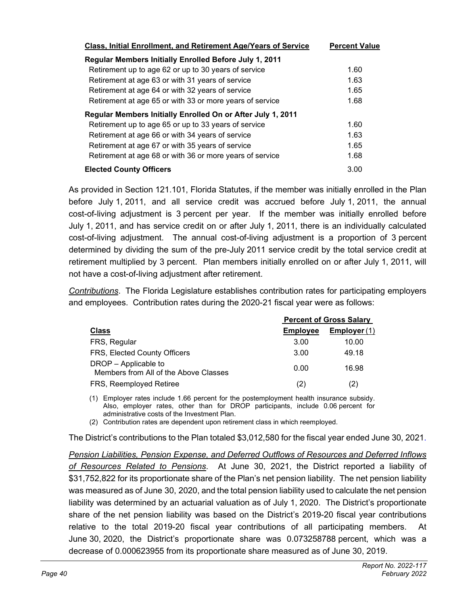| Class, Initial Enrollment, and Retirement Age/Years of Service | <b>Percent Value</b> |
|----------------------------------------------------------------|----------------------|
| <b>Regular Members Initially Enrolled Before July 1, 2011</b>  |                      |
| Retirement up to age 62 or up to 30 years of service           | 1.60                 |
| Retirement at age 63 or with 31 years of service               | 1.63                 |
| Retirement at age 64 or with 32 years of service               | 1.65                 |
| Retirement at age 65 or with 33 or more years of service       | 1.68                 |
| Regular Members Initially Enrolled On or After July 1, 2011    |                      |
| Retirement up to age 65 or up to 33 years of service           | 1.60                 |
| Retirement at age 66 or with 34 years of service               | 1.63                 |
| Retirement at age 67 or with 35 years of service               | 1.65                 |
| Retirement at age 68 or with 36 or more years of service       | 1.68                 |
| <b>Elected County Officers</b>                                 | 3.00                 |

As provided in Section 121.101, Florida Statutes, if the member was initially enrolled in the Plan before July 1, 2011, and all service credit was accrued before July 1, 2011, the annual cost-of-living adjustment is 3 percent per year. If the member was initially enrolled before July 1, 2011, and has service credit on or after July 1, 2011, there is an individually calculated cost-of-living adjustment. The annual cost-of-living adjustment is a proportion of 3 percent determined by dividing the sum of the pre-July 2011 service credit by the total service credit at retirement multiplied by 3 percent. Plan members initially enrolled on or after July 1, 2011, will not have a cost-of-living adjustment after retirement.

*Contributions*. The Florida Legislature establishes contribution rates for participating employers and employees. Contribution rates during the 2020-21 fiscal year were as follows:

|                                                               |                 | <b>Percent of Gross Salary</b> |
|---------------------------------------------------------------|-----------------|--------------------------------|
| <b>Class</b>                                                  | <b>Employee</b> | Emplover(1)                    |
| FRS, Regular                                                  | 3.00            | 10.00                          |
| FRS, Elected County Officers                                  | 3.00            | 49.18                          |
| DROP - Applicable to<br>Members from All of the Above Classes | 0.00            | 16.98                          |
| FRS, Reemployed Retiree                                       | (2)             | (2)                            |

(1) Employer rates include 1.66 percent for the postemployment health insurance subsidy. Also, employer rates, other than for DROP participants, include 0.06 percent for administrative costs of the Investment Plan.

(2) Contribution rates are dependent upon retirement class in which reemployed.

The District's contributions to the Plan totaled \$3,012,580 for the fiscal year ended June 30, 2021.

*Pension Liabilities, Pension Expense, and Deferred Outflows of Resources and Deferred Inflows of Resources Related to Pensions*. At June 30, 2021, the District reported a liability of \$31,752,822 for its proportionate share of the Plan's net pension liability. The net pension liability was measured as of June 30, 2020, and the total pension liability used to calculate the net pension liability was determined by an actuarial valuation as of July 1, 2020. The District's proportionate share of the net pension liability was based on the District's 2019-20 fiscal year contributions relative to the total 2019-20 fiscal year contributions of all participating members. At June 30, 2020, the District's proportionate share was 0.073258788 percent, which was a decrease of 0.000623955 from its proportionate share measured as of June 30, 2019.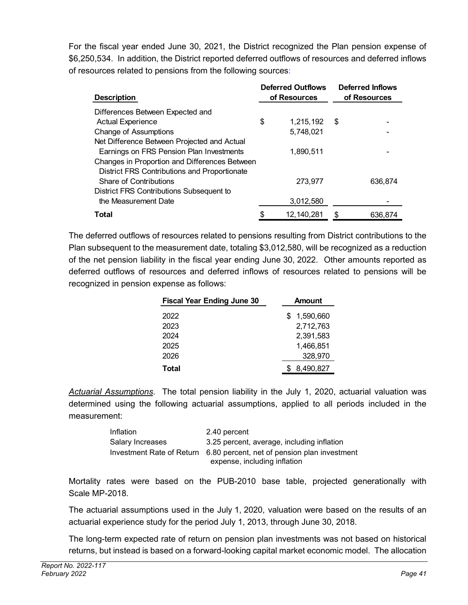For the fiscal year ended June 30, 2021, the District recognized the Plan pension expense of \$6,250,534. In addition, the District reported deferred outflows of resources and deferred inflows of resources related to pensions from the following sources:

| <b>Description</b>                            | <b>Deferred Outflows</b><br>of Resources |    | <b>Deferred Inflows</b><br>of Resources |
|-----------------------------------------------|------------------------------------------|----|-----------------------------------------|
| Differences Between Expected and              |                                          |    |                                         |
| <b>Actual Experience</b>                      | \$<br>1,215,192                          | S  |                                         |
| <b>Change of Assumptions</b>                  | 5,748,021                                |    |                                         |
| Net Difference Between Projected and Actual   |                                          |    |                                         |
| Earnings on FRS Pension Plan Investments      | 1,890,511                                |    |                                         |
| Changes in Proportion and Differences Between |                                          |    |                                         |
| District FRS Contributions and Proportionate  |                                          |    |                                         |
| Share of Contributions                        | 273,977                                  |    | 636,874                                 |
| District FRS Contributions Subsequent to      |                                          |    |                                         |
| the Measurement Date                          | 3,012,580                                |    |                                         |
| Total                                         | 12,140,281                               | \$ | 636,874                                 |

The deferred outflows of resources related to pensions resulting from District contributions to the Plan subsequent to the measurement date, totaling \$3,012,580, will be recognized as a reduction of the net pension liability in the fiscal year ending June 30, 2022. Other amounts reported as deferred outflows of resources and deferred inflows of resources related to pensions will be recognized in pension expense as follows:

| <b>Fiscal Year Ending June 30</b> | Amount      |
|-----------------------------------|-------------|
| 2022                              | \$1,590,660 |
| 2023                              | 2,712,763   |
| 2024                              | 2,391,583   |
| 2025                              | 1,466,851   |
| 2026                              | 328,970     |
| Total                             | 8,490,827   |

*Actuarial Assumptions*. The total pension liability in the July 1, 2020, actuarial valuation was determined using the following actuarial assumptions, applied to all periods included in the measurement:

| Inflation        | 2.40 percent                                                           |
|------------------|------------------------------------------------------------------------|
| Salary Increases | 3.25 percent, average, including inflation                             |
|                  | Investment Rate of Return 6.80 percent, net of pension plan investment |
|                  | expense, including inflation                                           |

Mortality rates were based on the PUB-2010 base table, projected generationally with Scale MP-2018.

The actuarial assumptions used in the July 1, 2020, valuation were based on the results of an actuarial experience study for the period July 1, 2013, through June 30, 2018.

The long-term expected rate of return on pension plan investments was not based on historical returns, but instead is based on a forward-looking capital market economic model. The allocation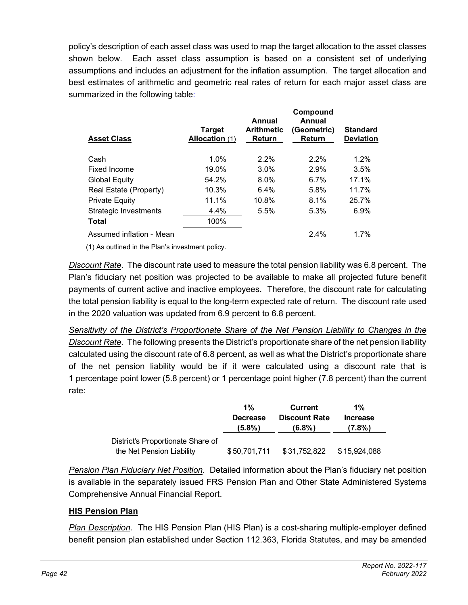policy's description of each asset class was used to map the target allocation to the asset classes shown below. Each asset class assumption is based on a consistent set of underlying assumptions and includes an adjustment for the inflation assumption. The target allocation and best estimates of arithmetic and geometric real rates of return for each major asset class are summarized in the following table:

| <b>Asset Class</b>       | <b>Target</b><br><b>Allocation (1)</b> | Annual<br><b>Arithmetic</b><br>Return | Compound<br>Annual<br>(Geometric)<br>Return | <b>Standard</b><br><b>Deviation</b> |
|--------------------------|----------------------------------------|---------------------------------------|---------------------------------------------|-------------------------------------|
| Cash                     | 1.0%                                   | $2.2\%$                               | 2.2%                                        | 1.2%                                |
| Fixed Income             | 19.0%                                  | $3.0\%$                               | 2.9%                                        | 3.5%                                |
| <b>Global Equity</b>     | 54.2%                                  | $8.0\%$                               | 6.7%                                        | 17.1%                               |
| Real Estate (Property)   | 10.3%                                  | 6.4%                                  | 5.8%                                        | 11.7%                               |
| <b>Private Equity</b>    | 11.1%                                  | 10.8%                                 | 8.1%                                        | 25.7%                               |
| Strategic Investments    | 4.4%                                   | 5.5%                                  | 5.3%                                        | 6.9%                                |
| Total                    | 100%                                   |                                       |                                             |                                     |
| Assumed inflation - Mean |                                        |                                       | 2.4%                                        | $1.7\%$                             |
|                          |                                        |                                       |                                             |                                     |

(1) As outlined in the Plan's investment policy.

*Discount Rate*. The discount rate used to measure the total pension liability was 6.8 percent. The Plan's fiduciary net position was projected to be available to make all projected future benefit payments of current active and inactive employees. Therefore, the discount rate for calculating the total pension liability is equal to the long-term expected rate of return. The discount rate used in the 2020 valuation was updated from 6.9 percent to 6.8 percent.

*Sensitivity of the District's Proportionate Share of the Net Pension Liability to Changes in the Discount Rate*. The following presents the District's proportionate share of the net pension liability calculated using the discount rate of 6.8 percent, as well as what the District's proportionate share of the net pension liability would be if it were calculated using a discount rate that is 1 percentage point lower (5.8 percent) or 1 percentage point higher (7.8 percent) than the current rate:

|                                   | $1\%$                        | Current                           | $1\%$                     |
|-----------------------------------|------------------------------|-----------------------------------|---------------------------|
|                                   | <b>Decrease</b><br>$(5.8\%)$ | <b>Discount Rate</b><br>$(6.8\%)$ | <b>Increase</b><br>(7.8%) |
| District's Proportionate Share of |                              |                                   |                           |
| the Net Pension Liability         | \$50,701,711                 | \$31,752,822                      | \$15,924,088              |

*Pension Plan Fiduciary Net Position*. Detailed information about the Plan's fiduciary net position is available in the separately issued FRS Pension Plan and Other State Administered Systems Comprehensive Annual Financial Report.

#### **HIS Pension Plan**

*Plan Description*. The HIS Pension Plan (HIS Plan) is a cost-sharing multiple-employer defined benefit pension plan established under Section 112.363, Florida Statutes, and may be amended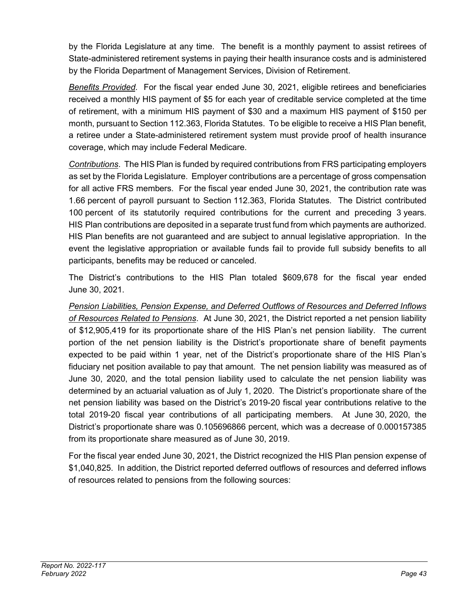by the Florida Legislature at any time. The benefit is a monthly payment to assist retirees of State-administered retirement systems in paying their health insurance costs and is administered by the Florida Department of Management Services, Division of Retirement.

*Benefits Provided*. For the fiscal year ended June 30, 2021, eligible retirees and beneficiaries received a monthly HIS payment of \$5 for each year of creditable service completed at the time of retirement, with a minimum HIS payment of \$30 and a maximum HIS payment of \$150 per month, pursuant to Section 112.363, Florida Statutes. To be eligible to receive a HIS Plan benefit, a retiree under a State-administered retirement system must provide proof of health insurance coverage, which may include Federal Medicare.

*Contributions*. The HIS Plan is funded by required contributions from FRS participating employers as set by the Florida Legislature. Employer contributions are a percentage of gross compensation for all active FRS members. For the fiscal year ended June 30, 2021, the contribution rate was 1.66 percent of payroll pursuant to Section 112.363, Florida Statutes. The District contributed 100 percent of its statutorily required contributions for the current and preceding 3 years. HIS Plan contributions are deposited in a separate trust fund from which payments are authorized. HIS Plan benefits are not guaranteed and are subject to annual legislative appropriation. In the event the legislative appropriation or available funds fail to provide full subsidy benefits to all participants, benefits may be reduced or canceled.

The District's contributions to the HIS Plan totaled \$609,678 for the fiscal year ended June 30, 2021.

*Pension Liabilities, Pension Expense, and Deferred Outflows of Resources and Deferred Inflows of Resources Related to Pensions*. At June 30, 2021, the District reported a net pension liability of \$12,905,419 for its proportionate share of the HIS Plan's net pension liability. The current portion of the net pension liability is the District's proportionate share of benefit payments expected to be paid within 1 year, net of the District's proportionate share of the HIS Plan's fiduciary net position available to pay that amount. The net pension liability was measured as of June 30, 2020, and the total pension liability used to calculate the net pension liability was determined by an actuarial valuation as of July 1, 2020. The District's proportionate share of the net pension liability was based on the District's 2019-20 fiscal year contributions relative to the total 2019-20 fiscal year contributions of all participating members. At June 30, 2020, the District's proportionate share was 0.105696866 percent, which was a decrease of 0.000157385 from its proportionate share measured as of June 30, 2019.

For the fiscal year ended June 30, 2021, the District recognized the HIS Plan pension expense of \$1,040,825. In addition, the District reported deferred outflows of resources and deferred inflows of resources related to pensions from the following sources: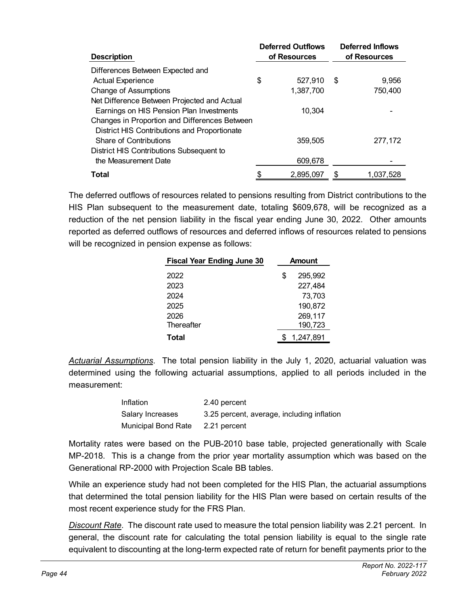| <b>Description</b>                            | <b>Deferred Outflows</b><br>of Resources |           | <b>Deferred Inflows</b><br>of Resources |           |
|-----------------------------------------------|------------------------------------------|-----------|-----------------------------------------|-----------|
| Differences Between Expected and              |                                          |           |                                         |           |
| <b>Actual Experience</b>                      | \$                                       | 527,910   | \$                                      | 9.956     |
| <b>Change of Assumptions</b>                  |                                          | 1,387,700 |                                         | 750,400   |
| Net Difference Between Projected and Actual   |                                          |           |                                         |           |
| Earnings on HIS Pension Plan Investments      |                                          | 10,304    |                                         |           |
| Changes in Proportion and Differences Between |                                          |           |                                         |           |
| District HIS Contributions and Proportionate  |                                          |           |                                         |           |
| <b>Share of Contributions</b>                 |                                          | 359,505   |                                         | 277,172   |
| District HIS Contributions Subsequent to      |                                          |           |                                         |           |
| the Measurement Date                          |                                          | 609,678   |                                         |           |
| <b>Total</b>                                  | \$                                       | 2,895,097 | \$                                      | 1.037.528 |

The deferred outflows of resources related to pensions resulting from District contributions to the HIS Plan subsequent to the measurement date, totaling \$609,678, will be recognized as a reduction of the net pension liability in the fiscal year ending June 30, 2022. Other amounts reported as deferred outflows of resources and deferred inflows of resources related to pensions will be recognized in pension expense as follows:

| <b>Fiscal Year Ending June 30</b> |    | Amount    |  |  |
|-----------------------------------|----|-----------|--|--|
| 2022                              | \$ | 295,992   |  |  |
| 2023                              |    | 227,484   |  |  |
| 2024                              |    | 73,703    |  |  |
| 2025                              |    | 190,872   |  |  |
| 2026                              |    | 269,117   |  |  |
| Thereafter                        |    | 190,723   |  |  |
| <b>Total</b>                      |    | 1,247,891 |  |  |

*Actuarial Assumptions*. The total pension liability in the July 1, 2020, actuarial valuation was determined using the following actuarial assumptions, applied to all periods included in the measurement:

| Inflation                  | 2.40 percent                               |
|----------------------------|--------------------------------------------|
| Salary Increases           | 3.25 percent, average, including inflation |
| <b>Municipal Bond Rate</b> | 2.21 percent                               |

Mortality rates were based on the PUB-2010 base table, projected generationally with Scale MP-2018. This is a change from the prior year mortality assumption which was based on the Generational RP-2000 with Projection Scale BB tables.

While an experience study had not been completed for the HIS Plan, the actuarial assumptions that determined the total pension liability for the HIS Plan were based on certain results of the most recent experience study for the FRS Plan.

*Discount Rate*. The discount rate used to measure the total pension liability was 2.21 percent. In general, the discount rate for calculating the total pension liability is equal to the single rate equivalent to discounting at the long-term expected rate of return for benefit payments prior to the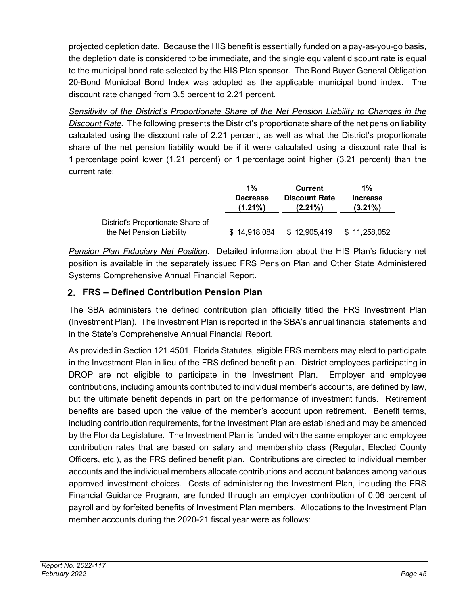projected depletion date. Because the HIS benefit is essentially funded on a pay-as-you-go basis, the depletion date is considered to be immediate, and the single equivalent discount rate is equal to the municipal bond rate selected by the HIS Plan sponsor. The Bond Buyer General Obligation 20-Bond Municipal Bond Index was adopted as the applicable municipal bond index. The discount rate changed from 3.5 percent to 2.21 percent.

*Sensitivity of the District's Proportionate Share of the Net Pension Liability to Changes in the Discount Rate*. The following presents the District's proportionate share of the net pension liability calculated using the discount rate of 2.21 percent, as well as what the District's proportionate share of the net pension liability would be if it were calculated using a discount rate that is 1 percentage point lower (1.21 percent) or 1 percentage point higher (3.21 percent) than the current rate:

|                                                                | 1%                            | <b>Current</b>                     | $1\%$                         |  |
|----------------------------------------------------------------|-------------------------------|------------------------------------|-------------------------------|--|
|                                                                | <b>Decrease</b><br>$(1.21\%)$ | <b>Discount Rate</b><br>$(2.21\%)$ | <b>Increase</b><br>$(3.21\%)$ |  |
| District's Proportionate Share of<br>the Net Pension Liability | \$14,918,084                  | \$12,905,419                       | \$11,258,052                  |  |

*Pension Plan Fiduciary Net Position*. Detailed information about the HIS Plan's fiduciary net position is available in the separately issued FRS Pension Plan and Other State Administered Systems Comprehensive Annual Financial Report.

### **FRS – Defined Contribution Pension Plan**

The SBA administers the defined contribution plan officially titled the FRS Investment Plan (Investment Plan). The Investment Plan is reported in the SBA's annual financial statements and in the State's Comprehensive Annual Financial Report.

As provided in Section 121.4501, Florida Statutes, eligible FRS members may elect to participate in the Investment Plan in lieu of the FRS defined benefit plan. District employees participating in DROP are not eligible to participate in the Investment Plan. Employer and employee contributions, including amounts contributed to individual member's accounts, are defined by law, but the ultimate benefit depends in part on the performance of investment funds. Retirement benefits are based upon the value of the member's account upon retirement. Benefit terms, including contribution requirements, for the Investment Plan are established and may be amended by the Florida Legislature. The Investment Plan is funded with the same employer and employee contribution rates that are based on salary and membership class (Regular, Elected County Officers, etc.), as the FRS defined benefit plan. Contributions are directed to individual member accounts and the individual members allocate contributions and account balances among various approved investment choices. Costs of administering the Investment Plan, including the FRS Financial Guidance Program, are funded through an employer contribution of 0.06 percent of payroll and by forfeited benefits of Investment Plan members. Allocations to the Investment Plan member accounts during the 2020-21 fiscal year were as follows: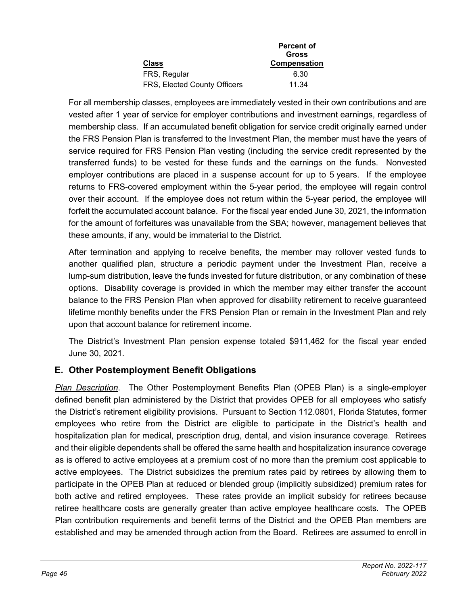|                                     | <b>Percent of</b> |
|-------------------------------------|-------------------|
|                                     | <b>Gross</b>      |
| <b>Class</b>                        | Compensation      |
| FRS, Regular                        | 6.30              |
| <b>FRS, Elected County Officers</b> | 11.34             |

For all membership classes, employees are immediately vested in their own contributions and are vested after 1 year of service for employer contributions and investment earnings, regardless of membership class. If an accumulated benefit obligation for service credit originally earned under the FRS Pension Plan is transferred to the Investment Plan, the member must have the years of service required for FRS Pension Plan vesting (including the service credit represented by the transferred funds) to be vested for these funds and the earnings on the funds. Nonvested employer contributions are placed in a suspense account for up to 5 years. If the employee returns to FRS-covered employment within the 5-year period, the employee will regain control over their account. If the employee does not return within the 5-year period, the employee will forfeit the accumulated account balance. For the fiscal year ended June 30, 2021, the information for the amount of forfeitures was unavailable from the SBA; however, management believes that these amounts, if any, would be immaterial to the District.

After termination and applying to receive benefits, the member may rollover vested funds to another qualified plan, structure a periodic payment under the Investment Plan, receive a lump-sum distribution, leave the funds invested for future distribution, or any combination of these options. Disability coverage is provided in which the member may either transfer the account balance to the FRS Pension Plan when approved for disability retirement to receive guaranteed lifetime monthly benefits under the FRS Pension Plan or remain in the Investment Plan and rely upon that account balance for retirement income.

The District's Investment Plan pension expense totaled \$911,462 for the fiscal year ended June 30, 2021.

### **E. Other Postemployment Benefit Obligations**

*Plan Description*. The Other Postemployment Benefits Plan (OPEB Plan) is a single-employer defined benefit plan administered by the District that provides OPEB for all employees who satisfy the District's retirement eligibility provisions. Pursuant to Section 112.0801, Florida Statutes, former employees who retire from the District are eligible to participate in the District's health and hospitalization plan for medical, prescription drug, dental, and vision insurance coverage. Retirees and their eligible dependents shall be offered the same health and hospitalization insurance coverage as is offered to active employees at a premium cost of no more than the premium cost applicable to active employees. The District subsidizes the premium rates paid by retirees by allowing them to participate in the OPEB Plan at reduced or blended group (implicitly subsidized) premium rates for both active and retired employees. These rates provide an implicit subsidy for retirees because retiree healthcare costs are generally greater than active employee healthcare costs. The OPEB Plan contribution requirements and benefit terms of the District and the OPEB Plan members are established and may be amended through action from the Board. Retirees are assumed to enroll in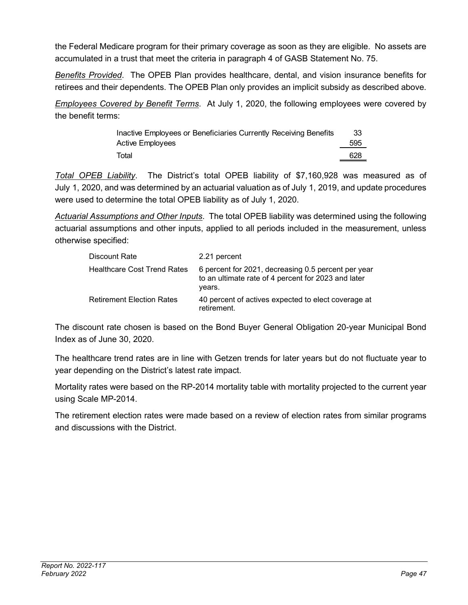the Federal Medicare program for their primary coverage as soon as they are eligible. No assets are accumulated in a trust that meet the criteria in paragraph 4 of GASB Statement No. 75.

*Benefits Provided*.The OPEB Plan provides healthcare, dental, and vision insurance benefits for retirees and their dependents. The OPEB Plan only provides an implicit subsidy as described above.

*Employees Covered by Benefit Terms*. At July 1, 2020, the following employees were covered by the benefit terms:

| Inactive Employees or Beneficiaries Currently Receiving Benefits | -33 |
|------------------------------------------------------------------|-----|
| Active Employees                                                 | 595 |
| Total                                                            | 628 |

*Total OPEB Liability*. The District's total OPEB liability of \$7,160,928 was measured as of July 1, 2020, and was determined by an actuarial valuation as of July 1, 2019, and update procedures were used to determine the total OPEB liability as of July 1, 2020.

*Actuarial Assumptions and Other Inputs*. The total OPEB liability was determined using the following actuarial assumptions and other inputs, applied to all periods included in the measurement, unless otherwise specified:

| Discount Rate                      | 2.21 percent                                                                                                         |
|------------------------------------|----------------------------------------------------------------------------------------------------------------------|
| <b>Healthcare Cost Trend Rates</b> | 6 percent for 2021, decreasing 0.5 percent per year<br>to an ultimate rate of 4 percent for 2023 and later<br>years. |
| <b>Retirement Election Rates</b>   | 40 percent of actives expected to elect coverage at<br>retirement.                                                   |

The discount rate chosen is based on the Bond Buyer General Obligation 20-year Municipal Bond Index as of June 30, 2020.

The healthcare trend rates are in line with Getzen trends for later years but do not fluctuate year to year depending on the District's latest rate impact.

Mortality rates were based on the RP-2014 mortality table with mortality projected to the current year using Scale MP-2014.

The retirement election rates were made based on a review of election rates from similar programs and discussions with the District.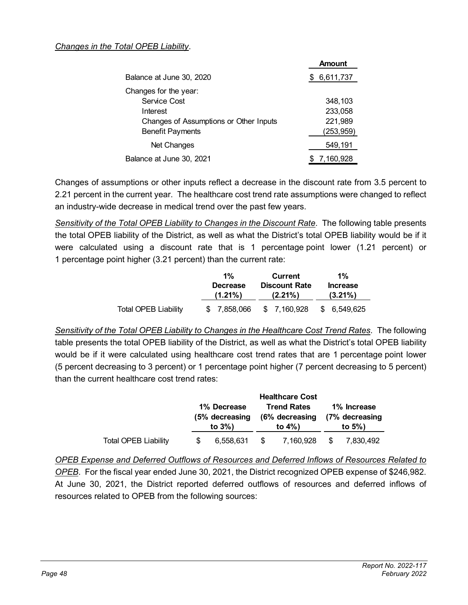#### *Changes in the Total OPEB Liability*.

|                                        | <b>Amount</b> |
|----------------------------------------|---------------|
| Balance at June 30, 2020               | 6,611,737     |
| Changes for the year:                  |               |
| Service Cost                           | 348,103       |
| Interest                               | 233,058       |
| Changes of Assumptions or Other Inputs | 221,989       |
| <b>Benefit Payments</b>                | (253, 959)    |
| Net Changes                            | 549,191       |
| Balance at June 30, 2021               | 7.160.928     |

Changes of assumptions or other inputs reflect a decrease in the discount rate from 3.5 percent to 2.21 percent in the current year. The healthcare cost trend rate assumptions were changed to reflect an industry-wide decrease in medical trend over the past few years.

*Sensitivity of the Total OPEB Liability to Changes in the Discount Rate*. The following table presents the total OPEB liability of the District, as well as what the District's total OPEB liability would be if it were calculated using a discount rate that is 1 percentage point lower (1.21 percent) or 1 percentage point higher (3.21 percent) than the current rate:

|                             | $1\%$           | <b>Current</b>       | $1\%$           |  |
|-----------------------------|-----------------|----------------------|-----------------|--|
|                             | <b>Decrease</b> | <b>Discount Rate</b> | <b>Increase</b> |  |
|                             | $(1.21\%)$      | $(2.21\%)$           | $(3.21\%)$      |  |
| <b>Total OPEB Liability</b> | \$ 7,858,066    | \$7.160.928          | \$ 6.549.625    |  |

*Sensitivity of the Total OPEB Liability to Changes in the Healthcare Cost Trend Rates*. The following table presents the total OPEB liability of the District, as well as what the District's total OPEB liability would be if it were calculated using healthcare cost trend rates that are 1 percentage point lower (5 percent decreasing to 3 percent) or 1 percentage point higher (7 percent decreasing to 5 percent) than the current healthcare cost trend rates:

|                             |                                             |     | <b>Healthcare Cost</b>                             |   |                                             |
|-----------------------------|---------------------------------------------|-----|----------------------------------------------------|---|---------------------------------------------|
|                             | 1% Decrease<br>(5% decreasing<br>to $3\%$ ) |     | <b>Trend Rates</b><br>(6% decreasing<br>to $4\%$ ) |   | 1% Increase<br>(7% decreasing<br>to $5\%$ ) |
| <b>Total OPEB Liability</b> | 6,558,631                                   | -SS | 7,160,928                                          | S | 7,830,492                                   |

*OPEB Expense and Deferred Outflows of Resources and Deferred Inflows of Resources Related to OPEB*. For the fiscal year ended June 30, 2021, the District recognized OPEB expense of \$246,982. At June 30, 2021, the District reported deferred outflows of resources and deferred inflows of resources related to OPEB from the following sources: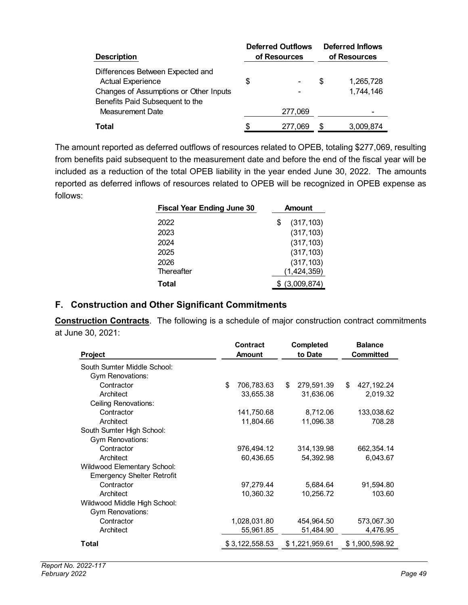| <b>Description</b>                                                                                                                        |   | <b>Deferred Outflows</b><br>of Resources |    | <b>Deferred Inflows</b><br>of Resources |  |
|-------------------------------------------------------------------------------------------------------------------------------------------|---|------------------------------------------|----|-----------------------------------------|--|
| Differences Between Expected and<br><b>Actual Experience</b><br>Changes of Assumptions or Other Inputs<br>Benefits Paid Subsequent to the | S |                                          | \$ | 1,265,728<br>1,744,146                  |  |
| Measurement Date                                                                                                                          |   | 277,069                                  |    |                                         |  |
| Total                                                                                                                                     | S | 277.069                                  | S  | 3,009,874                               |  |

The amount reported as deferred outflows of resources related to OPEB, totaling \$277,069, resulting from benefits paid subsequent to the measurement date and before the end of the fiscal year will be included as a reduction of the total OPEB liability in the year ended June 30, 2022. The amounts reported as deferred inflows of resources related to OPEB will be recognized in OPEB expense as follows:

| <b>Fiscal Year Ending June 30</b> | Amount           |  |  |
|-----------------------------------|------------------|--|--|
| 2022                              | (317, 103)<br>\$ |  |  |
| 2023                              | (317, 103)       |  |  |
| 2024                              | (317, 103)       |  |  |
| 2025                              | (317, 103)       |  |  |
| 2026                              | (317, 103)       |  |  |
| Thereafter                        | (1,424,359)      |  |  |
| Total                             | (3,009,874)      |  |  |

#### **F. Construction and Other Significant Commitments**

**Construction Contracts**. The following is a schedule of major construction contract commitments at June 30, 2021:

|                                   | <b>Contract</b>  | <b>Completed</b> | <b>Balance</b>     |
|-----------------------------------|------------------|------------------|--------------------|
| Project                           | <b>Amount</b>    | to Date          | <b>Committed</b>   |
| South Sumter Middle School:       |                  |                  |                    |
| Gym Renovations:                  |                  |                  |                    |
| Contractor                        | \$<br>706,783.63 | \$<br>279,591.39 | \$<br>427, 192. 24 |
| Architect                         | 33,655.38        | 31,636.06        | 2,019.32           |
| <b>Ceiling Renovations:</b>       |                  |                  |                    |
| Contractor                        | 141,750.68       | 8,712.06         | 133,038.62         |
| Architect                         | 11,804.66        | 11,096.38        | 708.28             |
| South Sumter High School:         |                  |                  |                    |
| Gym Renovations:                  |                  |                  |                    |
| Contractor                        | 976,494.12       | 314,139.98       | 662,354.14         |
| Architect                         | 60,436.65        | 54,392.98        | 6,043.67           |
| Wildwood Elementary School:       |                  |                  |                    |
| <b>Emergency Shelter Retrofit</b> |                  |                  |                    |
| Contractor                        | 97,279.44        | 5,684.64         | 91,594.80          |
| Architect                         | 10,360.32        | 10,256.72        | 103.60             |
| Wildwood Middle High School:      |                  |                  |                    |
| Gym Renovations:                  |                  |                  |                    |
| Contractor                        | 1,028,031.80     | 454,964.50       | 573,067.30         |
| Architect                         | 55,961.85        | 51,484.90        | 4,476.95           |
| Total                             | \$3,122,558.53   | \$1,221,959.61   | \$1,900,598.92     |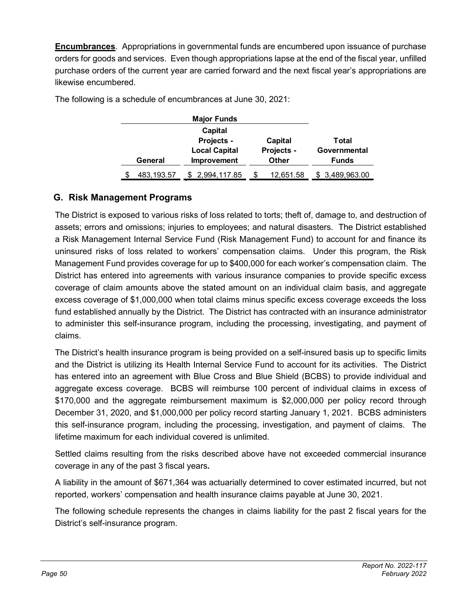**Encumbrances**. Appropriations in governmental funds are encumbered upon issuance of purchase orders for goods and services. Even though appropriations lapse at the end of the fiscal year, unfilled purchase orders of the current year are carried forward and the next fiscal year's appropriations are likewise encumbered.

|                      | <b>Major Funds</b>           |             |                    |              |              |                |
|----------------------|------------------------------|-------------|--------------------|--------------|--------------|----------------|
|                      | Capital                      |             |                    |              |              |                |
|                      | Projects -<br><b>Capital</b> |             |                    |              |              | Total          |
| <b>Local Capital</b> |                              |             | Projects -         | Governmental |              |                |
| General              |                              |             | <b>Improvement</b> |              | <b>Other</b> | <b>Funds</b>   |
|                      |                              | 483, 193.57 | \$2,994,117.85     | S            | 12,651.58    | \$3,489,963.00 |
|                      |                              |             |                    |              |              |                |

The following is a schedule of encumbrances at June 30, 2021:

### **G. Risk Management Programs**

The District is exposed to various risks of loss related to torts; theft of, damage to, and destruction of assets; errors and omissions; injuries to employees; and natural disasters. The District established a Risk Management Internal Service Fund (Risk Management Fund) to account for and finance its uninsured risks of loss related to workers' compensation claims. Under this program, the Risk Management Fund provides coverage for up to \$400,000 for each worker's compensation claim. The District has entered into agreements with various insurance companies to provide specific excess coverage of claim amounts above the stated amount on an individual claim basis, and aggregate excess coverage of \$1,000,000 when total claims minus specific excess coverage exceeds the loss fund established annually by the District. The District has contracted with an insurance administrator to administer this self-insurance program, including the processing, investigating, and payment of claims.

The District's health insurance program is being provided on a self-insured basis up to specific limits and the District is utilizing its Health Internal Service Fund to account for its activities. The District has entered into an agreement with Blue Cross and Blue Shield (BCBS) to provide individual and aggregate excess coverage. BCBS will reimburse 100 percent of individual claims in excess of \$170,000 and the aggregate reimbursement maximum is \$2,000,000 per policy record through December 31, 2020, and \$1,000,000 per policy record starting January 1, 2021. BCBS administers this self-insurance program, including the processing, investigation, and payment of claims. The lifetime maximum for each individual covered is unlimited.

Settled claims resulting from the risks described above have not exceeded commercial insurance coverage in any of the past 3 fiscal years**.**

A liability in the amount of \$671,364 was actuarially determined to cover estimated incurred, but not reported, workers' compensation and health insurance claims payable at June 30, 2021.

The following schedule represents the changes in claims liability for the past 2 fiscal years for the District's self-insurance program.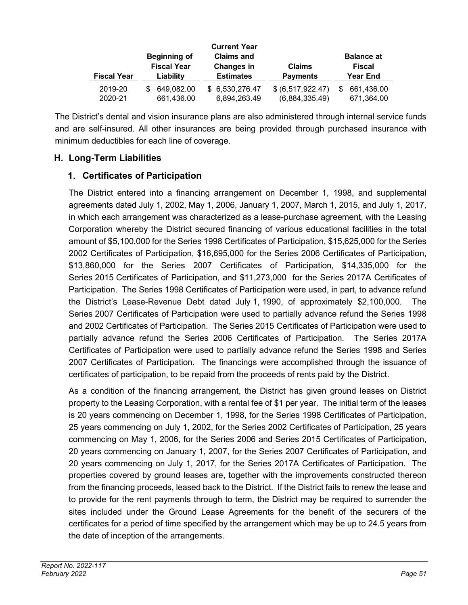|                    | <b>Beginning of</b><br><b>Fiscal Year</b> | <b>Current Year</b><br><b>Claims and</b><br><b>Changes in</b> | <b>Claims</b>                      | <b>Balance at</b><br><b>Fiscal</b> |
|--------------------|-------------------------------------------|---------------------------------------------------------------|------------------------------------|------------------------------------|
| <b>Fiscal Year</b> | Liability                                 | <b>Estimates</b>                                              | <b>Payments</b>                    | <b>Year End</b>                    |
| 2019-20<br>2020-21 | 649,082.00<br>\$.<br>661,436.00           | \$6,530,276.47<br>6,894,263.49                                | \$(6,517,922.47)<br>(6,884,335.49) | 661,436.00<br>\$.<br>671,364.00    |

The District's dental and vision insurance plans are also administered through internal service funds and are self-insured. All other insurances are being provided through purchased insurance with minimum deductibles for each line of coverage.

### **H. Long-Term Liabilities**

### **Certificates of Participation**

The District entered into a financing arrangement on December 1, 1998, and supplemental agreements dated July 1, 2002, May 1, 2006, January 1, 2007, March 1, 2015, and July 1, 2017, in which each arrangement was characterized as a lease-purchase agreement, with the Leasing Corporation whereby the District secured financing of various educational facilities in the total amount of \$5,100,000 for the Series 1998 Certificates of Participation, \$15,625,000 for the Series 2002 Certificates of Participation, \$16,695,000 for the Series 2006 Certificates of Participation, \$13,860,000 for the Series 2007 Certificates of Participation, \$14,335,000 for the Series 2015 Certificates of Participation, and \$11,273,000 for the Series 2017A Certificates of Participation. The Series 1998 Certificates of Participation were used, in part, to advance refund the District's Lease-Revenue Debt dated July 1, 1990, of approximately \$2,100,000. The Series 2007 Certificates of Participation were used to partially advance refund the Series 1998 and 2002 Certificates of Participation. The Series 2015 Certificates of Participation were used to partially advance refund the Series 2006 Certificates of Participation. The Series 2017A Certificates of Participation were used to partially advance refund the Series 1998 and Series 2007 Certificates of Participation. The financings were accomplished through the issuance of certificates of participation, to be repaid from the proceeds of rents paid by the District.

As a condition of the financing arrangement, the District has given ground leases on District property to the Leasing Corporation, with a rental fee of \$1 per year. The initial term of the leases is 20 years commencing on December 1, 1998, for the Series 1998 Certificates of Participation, 25 years commencing on July 1, 2002, for the Series 2002 Certificates of Participation, 25 years commencing on May 1, 2006, for the Series 2006 and Series 2015 Certificates of Participation, 20 years commencing on January 1, 2007, for the Series 2007 Certificates of Participation, and 20 years commencing on July 1, 2017, for the Series 2017A Certificates of Participation. The properties covered by ground leases are, together with the improvements constructed thereon from the financing proceeds, leased back to the District. If the District fails to renew the lease and to provide for the rent payments through to term, the District may be required to surrender the sites included under the Ground Lease Agreements for the benefit of the securers of the certificates for a period of time specified by the arrangement which may be up to 24.5 years from the date of inception of the arrangements.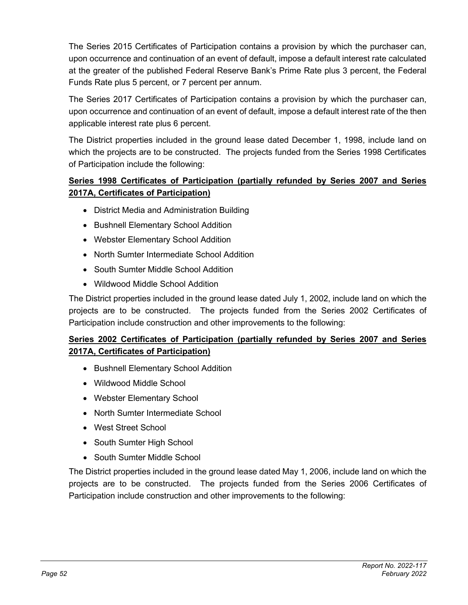The Series 2015 Certificates of Participation contains a provision by which the purchaser can, upon occurrence and continuation of an event of default, impose a default interest rate calculated at the greater of the published Federal Reserve Bank's Prime Rate plus 3 percent, the Federal Funds Rate plus 5 percent, or 7 percent per annum.

The Series 2017 Certificates of Participation contains a provision by which the purchaser can, upon occurrence and continuation of an event of default, impose a default interest rate of the then applicable interest rate plus 6 percent.

The District properties included in the ground lease dated December 1, 1998, include land on which the projects are to be constructed. The projects funded from the Series 1998 Certificates of Participation include the following:

### **Series 1998 Certificates of Participation (partially refunded by Series 2007 and Series 2017A, Certificates of Participation)**

- District Media and Administration Building
- Bushnell Elementary School Addition
- Webster Elementary School Addition
- North Sumter Intermediate School Addition
- South Sumter Middle School Addition
- Wildwood Middle School Addition

The District properties included in the ground lease dated July 1, 2002, include land on which the projects are to be constructed. The projects funded from the Series 2002 Certificates of Participation include construction and other improvements to the following:

### **Series 2002 Certificates of Participation (partially refunded by Series 2007 and Series 2017A, Certificates of Participation)**

- Bushnell Elementary School Addition
- Wildwood Middle School
- Webster Elementary School
- North Sumter Intermediate School
- West Street School
- South Sumter High School
- South Sumter Middle School

The District properties included in the ground lease dated May 1, 2006, include land on which the projects are to be constructed. The projects funded from the Series 2006 Certificates of Participation include construction and other improvements to the following: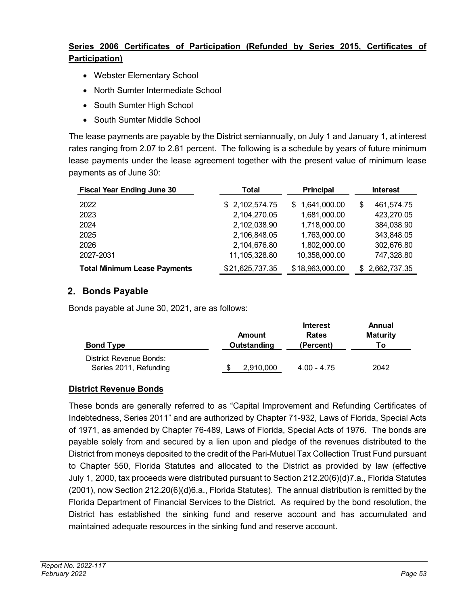### **Series 2006 Certificates of Participation (Refunded by Series 2015, Certificates of Participation)**

- Webster Elementary School
- North Sumter Intermediate School
- South Sumter High School
- South Sumter Middle School

The lease payments are payable by the District semiannually, on July 1 and January 1, at interest rates ranging from 2.07 to 2.81 percent. The following is a schedule by years of future minimum lease payments under the lease agreement together with the present value of minimum lease payments as of June 30:

| <b>Fiscal Year Ending June 30</b>   | <b>Principal</b><br>Total |                 |     | <b>Interest</b> |
|-------------------------------------|---------------------------|-----------------|-----|-----------------|
| 2022                                | \$2,102,574.75            | \$1,641,000.00  | \$  | 461,574.75      |
| 2023                                | 2,104,270.05              | 1,681,000.00    |     | 423,270.05      |
| 2024                                | 2,102,038.90              | 1,718,000.00    |     | 384,038.90      |
| 2025                                | 2,106,848.05              | 1,763,000.00    |     | 343,848.05      |
| 2026                                | 2,104,676.80              | 1,802,000.00    |     | 302,676.80      |
| 2027-2031                           | 11,105,328.80             | 10,358,000.00   |     | 747,328.80      |
| <b>Total Minimum Lease Payments</b> | \$21,625,737.35           | \$18,963,000.00 | \$. | 2,662,737.35    |

#### **Bonds Payable**

Bonds payable at June 30, 2021, are as follows:

| <b>Bond Type</b>                                  |  | Amount<br>Outstanding | <b>Interest</b><br><b>Rates</b><br>(Percent) | Annual<br><b>Maturity</b><br>Т٥ |
|---------------------------------------------------|--|-----------------------|----------------------------------------------|---------------------------------|
| District Revenue Bonds:<br>Series 2011, Refunding |  | 2.910.000             | $4.00 - 4.75$                                | 2042                            |

#### **District Revenue Bonds**

These bonds are generally referred to as "Capital Improvement and Refunding Certificates of Indebtedness, Series 2011" and are authorized by Chapter 71-932, Laws of Florida, Special Acts of 1971, as amended by Chapter 76-489, Laws of Florida, Special Acts of 1976. The bonds are payable solely from and secured by a lien upon and pledge of the revenues distributed to the District from moneys deposited to the credit of the Pari-Mutuel Tax Collection Trust Fund pursuant to Chapter 550, Florida Statutes and allocated to the District as provided by law (effective July 1, 2000, tax proceeds were distributed pursuant to Section 212.20(6)(d)7.a., Florida Statutes (2001), now Section 212.20(6)(d)6.a., Florida Statutes). The annual distribution is remitted by the Florida Department of Financial Services to the District. As required by the bond resolution, the District has established the sinking fund and reserve account and has accumulated and maintained adequate resources in the sinking fund and reserve account.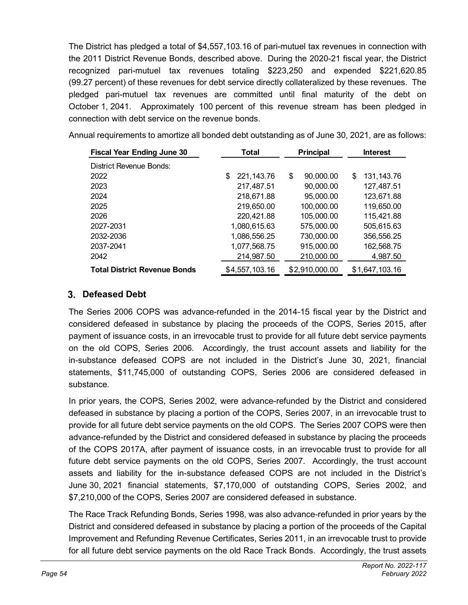The District has pledged a total of \$4,557,103.16 of pari-mutuel tax revenues in connection with the 2011 District Revenue Bonds, described above. During the 2020-21 fiscal year, the District recognized pari-mutuel tax revenues totaling \$223,250 and expended \$221,620.85 (99.27 percent) of these revenues for debt service directly collateralized by these revenues. The pledged pari-mutuel tax revenues are committed until final maturity of the debt on October 1, 2041. Approximately 100 percent of this revenue stream has been pledged in connection with debt service on the revenue bonds.

Annual requirements to amortize all bonded debt outstanding as of June 30, 2021, are as follows:

| <b>Fiscal Year Ending June 30</b>   | Total             | <b>Principal</b> | <b>Interest</b>    |  |  |
|-------------------------------------|-------------------|------------------|--------------------|--|--|
| District Revenue Bonds:             |                   |                  |                    |  |  |
| 2022                                | 221, 143. 76<br>S | 90,000.00<br>\$  | 131, 143. 76<br>\$ |  |  |
| 2023                                | 217,487.51        | 90,000.00        | 127,487.51         |  |  |
| 2024                                | 218,671.88        | 95,000.00        | 123,671.88         |  |  |
| 2025                                | 219,650.00        | 100,000.00       | 119,650.00         |  |  |
| 2026                                | 220,421.88        | 105,000.00       | 115,421.88         |  |  |
| 2027-2031                           | 1,080,615.63      | 575,000.00       | 505,615.63         |  |  |
| 2032-2036                           | 1,086,556.25      | 730,000.00       | 356,556.25         |  |  |
| 2037-2041                           | 1,077,568.75      | 915,000.00       | 162,568.75         |  |  |
| 2042                                | 214,987.50        | 210,000.00       | 4,987.50           |  |  |
| <b>Total District Revenue Bonds</b> | \$4,557,103.16    | \$2,910,000.00   | \$1,647,103.16     |  |  |

### **Defeased Debt**

The Series 2006 COPS was advance-refunded in the 2014-15 fiscal year by the District and considered defeased in substance by placing the proceeds of the COPS, Series 2015, after payment of issuance costs, in an irrevocable trust to provide for all future debt service payments on the old COPS, Series 2006. Accordingly, the trust account assets and liability for the in-substance defeased COPS are not included in the District's June 30, 2021, financial statements, \$11,745,000 of outstanding COPS, Series 2006 are considered defeased in substance.

In prior years, the COPS, Series 2002, were advance-refunded by the District and considered defeased in substance by placing a portion of the COPS, Series 2007, in an irrevocable trust to provide for all future debt service payments on the old COPS. The Series 2007 COPS were then advance-refunded by the District and considered defeased in substance by placing the proceeds of the COPS 2017A, after payment of issuance costs, in an irrevocable trust to provide for all future debt service payments on the old COPS, Series 2007. Accordingly, the trust account assets and liability for the in-substance defeased COPS are not included in the District's June 30, 2021 financial statements, \$7,170,000 of outstanding COPS, Series 2002, and \$7,210,000 of the COPS, Series 2007 are considered defeased in substance.

The Race Track Refunding Bonds, Series 1998, was also advance-refunded in prior years by the District and considered defeased in substance by placing a portion of the proceeds of the Capital Improvement and Refunding Revenue Certificates, Series 2011, in an irrevocable trust to provide for all future debt service payments on the old Race Track Bonds. Accordingly, the trust assets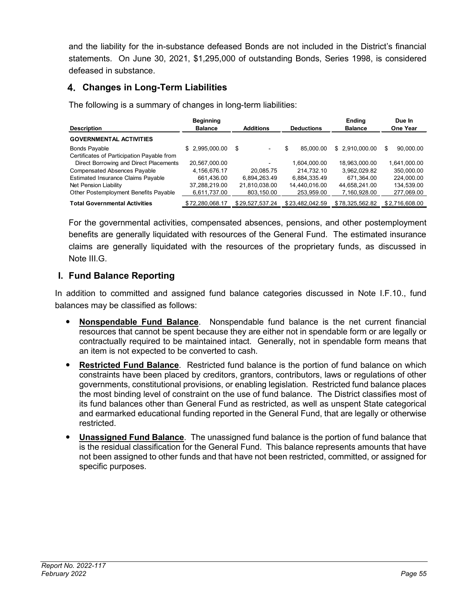and the liability for the in-substance defeased Bonds are not included in the District's financial statements. On June 30, 2021, \$1,295,000 of outstanding Bonds, Series 1998, is considered defeased in substance.

### **Changes in Long-Term Liabilities**

| <b>Description</b>                         | <b>Beginning</b><br><b>Balance</b> | <b>Additions</b> | <b>Deductions</b> | <b>Ending</b><br><b>Balance</b> | Due In<br><b>One Year</b> |
|--------------------------------------------|------------------------------------|------------------|-------------------|---------------------------------|---------------------------|
| <b>GOVERNMENTAL ACTIVITIES</b>             |                                    |                  |                   |                                 |                           |
| <b>Bonds Payable</b>                       | \$2.995.000.00                     | S                | \$<br>85.000.00   | \$2.910.000.00                  | 90.000.00<br>S            |
| Certificates of Participation Payable from |                                    |                  |                   |                                 |                           |
| Direct Borrowing and Direct Placements     | 20,567,000.00                      |                  | 1.604.000.00      | 18.963.000.00                   | 1.641.000.00              |
| <b>Compensated Absences Payable</b>        | 4.156.676.17                       | 20.085.75        | 214.732.10        | 3.962.029.82                    | 350.000.00                |
| <b>Estimated Insurance Claims Payable</b>  | 661.436.00                         | 6.894.263.49     | 6.884.335.49      | 671.364.00                      | 224,000.00                |
| Net Pension Liability                      | 37.288.219.00                      | 21.810.038.00    | 14.440.016.00     | 44.658.241.00                   | 134,539.00                |
| Other Postemployment Benefits Payable      | 6,611,737.00                       | 803,150.00       | 253,959.00        | 7,160,928.00                    | 277,069.00                |
| <b>Total Governmental Activities</b>       | \$72.280.068.17                    | \$29.527.537.24  | \$23.482.042.59   | \$78.325.562.82                 | \$2.716.608.00            |

The following is a summary of changes in long-term liabilities:

For the governmental activities, compensated absences, pensions, and other postemployment benefits are generally liquidated with resources of the General Fund. The estimated insurance claims are generally liquidated with the resources of the proprietary funds, as discussed in Note III.G.

#### **I. Fund Balance Reporting**

In addition to committed and assigned fund balance categories discussed in Note I.F.10., fund balances may be classified as follows:

- **Nonspendable Fund Balance**. Nonspendable fund balance is the net current financial resources that cannot be spent because they are either not in spendable form or are legally or contractually required to be maintained intact. Generally, not in spendable form means that an item is not expected to be converted to cash.
- **Restricted Fund Balance**. Restricted fund balance is the portion of fund balance on which constraints have been placed by creditors, grantors, contributors, laws or regulations of other governments, constitutional provisions, or enabling legislation. Restricted fund balance places the most binding level of constraint on the use of fund balance. The District classifies most of its fund balances other than General Fund as restricted, as well as unspent State categorical and earmarked educational funding reported in the General Fund, that are legally or otherwise restricted.
- **Unassigned Fund Balance**. The unassigned fund balance is the portion of fund balance that is the residual classification for the General Fund. This balance represents amounts that have not been assigned to other funds and that have not been restricted, committed, or assigned for specific purposes.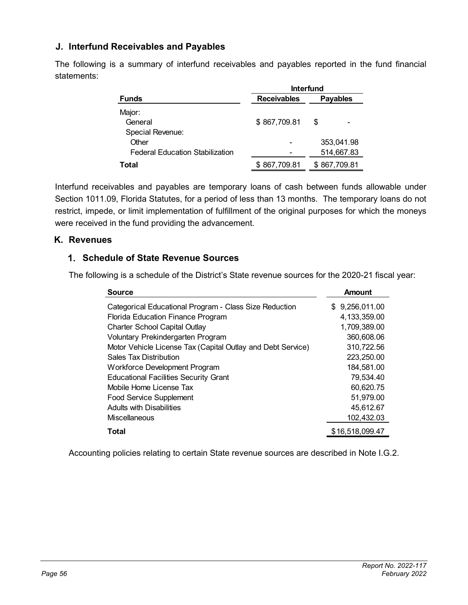#### **J. Interfund Receivables and Payables**

The following is a summary of interfund receivables and payables reported in the fund financial statements:

|                                        | <b>Interfund</b>   |                 |  |  |
|----------------------------------------|--------------------|-----------------|--|--|
| <b>Funds</b>                           | <b>Receivables</b> | <b>Payables</b> |  |  |
| Major:                                 |                    |                 |  |  |
| General                                | \$867,709.81       | S               |  |  |
| Special Revenue:                       |                    |                 |  |  |
| Other                                  |                    | 353,041.98      |  |  |
| <b>Federal Education Stabilization</b> |                    | 514,667.83      |  |  |
| Total                                  | \$867,709.81       | \$867,709.81    |  |  |

Interfund receivables and payables are temporary loans of cash between funds allowable under Section 1011.09, Florida Statutes, for a period of less than 13 months. The temporary loans do not restrict, impede, or limit implementation of fulfillment of the original purposes for which the moneys were received in the fund providing the advancement.

#### **K. Revenues**

#### **Schedule of State Revenue Sources**

The following is a schedule of the District's State revenue sources for the 2020-21 fiscal year:

| <b>Source</b>                                               | Amount          |
|-------------------------------------------------------------|-----------------|
| Categorical Educational Program - Class Size Reduction      | \$9,256,011.00  |
| Florida Education Finance Program                           | 4, 133, 359.00  |
| <b>Charter School Capital Outlay</b>                        | 1,709,389.00    |
| Voluntary Prekindergarten Program                           | 360,608.06      |
| Motor Vehicle License Tax (Capital Outlay and Debt Service) | 310,722.56      |
| Sales Tax Distribution                                      | 223,250.00      |
| Workforce Development Program                               | 184,581.00      |
| <b>Educational Facilities Security Grant</b>                | 79,534.40       |
| Mobile Home License Tax                                     | 60,620.75       |
| <b>Food Service Supplement</b>                              | 51,979.00       |
| Adults with Disabilities                                    | 45,612.67       |
| Miscellaneous                                               | 102,432.03      |
| Total                                                       | \$16,518,099.47 |

Accounting policies relating to certain State revenue sources are described in Note I.G.2.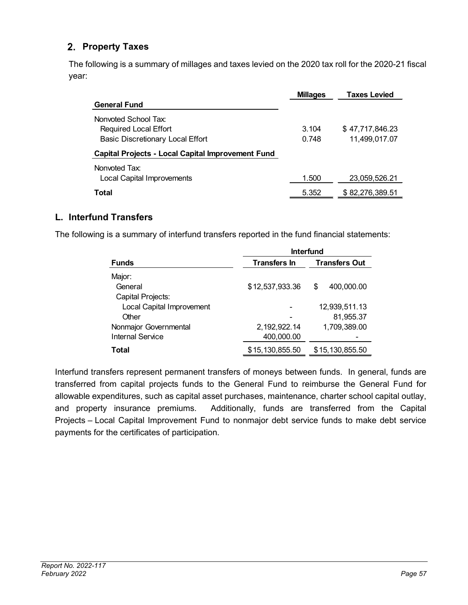### **Property Taxes**

The following is a summary of millages and taxes levied on the 2020 tax roll for the 2020-21 fiscal year:

|                                                          | <b>Millages</b> | <b>Taxes Levied</b> |
|----------------------------------------------------------|-----------------|---------------------|
| <b>General Fund</b>                                      |                 |                     |
| Nonvoted School Tax:                                     |                 |                     |
| Required Local Effort                                    | 3.104           | \$47,717,846.23     |
| <b>Basic Discretionary Local Effort</b>                  | 0.748           | 11,499,017.07       |
| <b>Capital Projects - Local Capital Improvement Fund</b> |                 |                     |
| Nonvoted Tax:                                            |                 |                     |
| Local Capital Improvements                               | 1.500           | 23,059,526.21       |
| <b>Total</b>                                             | 5.352           | \$82,276,389.51     |

### **L. Interfund Transfers**

The following is a summary of interfund transfers reported in the fund financial statements:

|                           | <b>Interfund</b>    |                      |  |  |
|---------------------------|---------------------|----------------------|--|--|
| <b>Funds</b>              | <b>Transfers In</b> | <b>Transfers Out</b> |  |  |
| Major:                    |                     |                      |  |  |
| General                   | \$12,537,933.36     | 400,000.00<br>\$     |  |  |
| Capital Projects:         |                     |                      |  |  |
| Local Capital Improvement |                     | 12,939,511.13        |  |  |
| Other                     |                     | 81,955.37            |  |  |
| Nonmajor Governmental     | 2, 192, 922. 14     | 1,709,389.00         |  |  |
| <b>Internal Service</b>   | 400,000.00          |                      |  |  |
| Total                     | \$15,130,855.50     | \$15,130,855.50      |  |  |

Interfund transfers represent permanent transfers of moneys between funds. In general, funds are transferred from capital projects funds to the General Fund to reimburse the General Fund for allowable expenditures, such as capital asset purchases, maintenance, charter school capital outlay, and property insurance premiums. Additionally, funds are transferred from the Capital Projects – Local Capital Improvement Fund to nonmajor debt service funds to make debt service payments for the certificates of participation.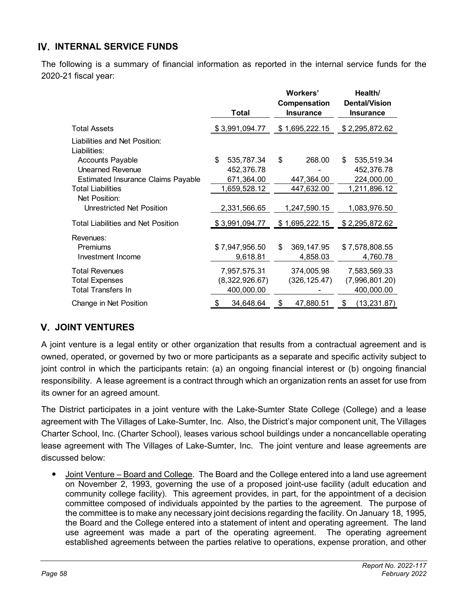### **IV. INTERNAL SERVICE FUNDS**

The following is a summary of financial information as reported in the internal service funds for the 2020-21 fiscal year:

|                                               | <b>Total</b>     | Workers'<br>Compensation<br><b>Insurance</b> | Health/<br><b>Dental/Vision</b><br><b>Insurance</b> |  |  |
|-----------------------------------------------|------------------|----------------------------------------------|-----------------------------------------------------|--|--|
| <b>Total Assets</b>                           | \$3,991,094.77   | \$1,695,222.15                               | \$2,295,872.62                                      |  |  |
| Liabilities and Net Position:<br>Liabilities: |                  |                                              |                                                     |  |  |
| <b>Accounts Payable</b>                       | \$<br>535,787.34 | \$<br>268.00                                 | \$<br>535,519.34                                    |  |  |
| Unearned Revenue                              | 452,376.78       |                                              | 452,376.78                                          |  |  |
| <b>Estimated Insurance Claims Payable</b>     | 671,364.00       | 447,364.00                                   | 224,000.00                                          |  |  |
| <b>Total Liabilities</b>                      | 1,659,528.12     | 447,632.00                                   | 1,211,896.12                                        |  |  |
| Net Position:                                 |                  |                                              |                                                     |  |  |
| Unrestricted Net Position                     | 2,331,566.65     | 1,247,590.15                                 | 1,083,976.50                                        |  |  |
| <b>Total Liabilities and Net Position</b>     | \$3,991,094.77   | \$1,695,222.15                               | \$2,295,872.62                                      |  |  |
| Revenues:                                     |                  |                                              |                                                     |  |  |
| Premiums                                      | \$7,947,956.50   | \$<br>369,147.95                             | \$7,578,808.55                                      |  |  |
| Investment Income                             | 9,618.81         | 4,858.03                                     | 4,760.78                                            |  |  |
| <b>Total Revenues</b>                         | 7,957,575.31     | 374,005.98                                   | 7,583,569.33                                        |  |  |
| <b>Total Expenses</b>                         | (8,322,926.67)   | (326, 125.47)                                | (7,996,801.20)                                      |  |  |
| <b>Total Transfers In</b>                     | 400,000.00       |                                              | 400,000.00                                          |  |  |
| Change in Net Position                        | \$<br>34,648.64  | \$<br>47,880.51                              | \$<br>(13, 231.87)                                  |  |  |

### **JOINT VENTURES**

A joint venture is a legal entity or other organization that results from a contractual agreement and is owned, operated, or governed by two or more participants as a separate and specific activity subject to joint control in which the participants retain: (a) an ongoing financial interest or (b) ongoing financial responsibility. A lease agreement is a contract through which an organization rents an asset for use from its owner for an agreed amount.

The District participates in a joint venture with the Lake-Sumter State College (College) and a lease agreement with The Villages of Lake-Sumter, Inc. Also, the District's major component unit, The Villages Charter School, Inc. (Charter School), leases various school buildings under a noncancellable operating lease agreement with The Villages of Lake-Sumter, Inc. The joint venture and lease agreements are discussed below:

 Joint Venture – Board and College. The Board and the College entered into a land use agreement on November 2, 1993, governing the use of a proposed joint-use facility (adult education and community college facility). This agreement provides, in part, for the appointment of a decision committee composed of individuals appointed by the parties to the agreement. The purpose of the committee is to make any necessary joint decisions regarding the facility. On January 18, 1995, the Board and the College entered into a statement of intent and operating agreement. The land use agreement was made a part of the operating agreement. The operating agreement established agreements between the parties relative to operations, expense proration, and other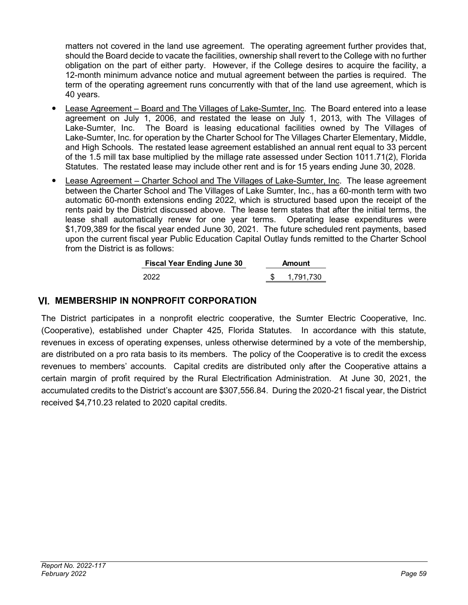matters not covered in the land use agreement. The operating agreement further provides that, should the Board decide to vacate the facilities, ownership shall revert to the College with no further obligation on the part of either party. However, if the College desires to acquire the facility, a 12-month minimum advance notice and mutual agreement between the parties is required. The term of the operating agreement runs concurrently with that of the land use agreement, which is 40 years.

- Lease Agreement Board and The Villages of Lake-Sumter, Inc. The Board entered into a lease agreement on July 1, 2006, and restated the lease on July 1, 2013, with The Villages of Lake-Sumter, Inc. The Board is leasing educational facilities owned by The Villages of Lake-Sumter, Inc. for operation by the Charter School for The Villages Charter Elementary, Middle, and High Schools. The restated lease agreement established an annual rent equal to 33 percent of the 1.5 mill tax base multiplied by the millage rate assessed under Section 1011.71(2), Florida Statutes. The restated lease may include other rent and is for 15 years ending June 30, 2028.
- Lease Agreement Charter School and The Villages of Lake-Sumter, Inc. The lease agreement between the Charter School and The Villages of Lake Sumter, Inc., has a 60-month term with two automatic 60-month extensions ending 2022, which is structured based upon the receipt of the rents paid by the District discussed above. The lease term states that after the initial terms, the lease shall automatically renew for one year terms. Operating lease expenditures were \$1,709,389 for the fiscal year ended June 30, 2021. The future scheduled rent payments, based upon the current fiscal year Public Education Capital Outlay funds remitted to the Charter School from the District is as follows:

| <b>Fiscal Year Ending June 30</b> | Amount    |  |  |  |
|-----------------------------------|-----------|--|--|--|
| 2022                              | 1.791.730 |  |  |  |

### **MEMBERSHIP IN NONPROFIT CORPORATION**

The District participates in a nonprofit electric cooperative, the Sumter Electric Cooperative, Inc. (Cooperative), established under Chapter 425, Florida Statutes. In accordance with this statute, revenues in excess of operating expenses, unless otherwise determined by a vote of the membership, are distributed on a pro rata basis to its members. The policy of the Cooperative is to credit the excess revenues to members' accounts. Capital credits are distributed only after the Cooperative attains a certain margin of profit required by the Rural Electrification Administration. At June 30, 2021, the accumulated credits to the District's account are \$307,556.84. During the 2020-21 fiscal year, the District received \$4,710.23 related to 2020 capital credits.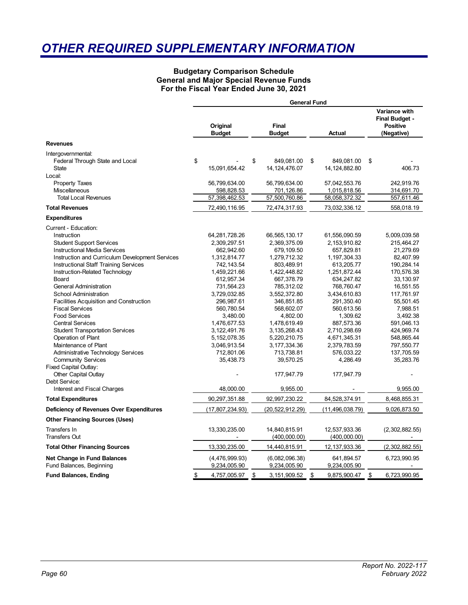# *OTHER REQUIRED SUPPLEMENTARY INFORMATION*

#### **Budgetary Comparison Schedule General and Major Special Revenue Funds For the Fiscal Year Ended June 30, 2021**

|                                                                                                                                                                                                                                                                                                                                                                                                                                                                                                                                                                                                                                                                                          |                                                                                                                                                                                                                                                                           | <b>General Fund</b>                                                                                                                                                                                                                                                                        |                                                                                                                                                                                                                                                                                          |                                                                                                                                                                                                                                                  |
|------------------------------------------------------------------------------------------------------------------------------------------------------------------------------------------------------------------------------------------------------------------------------------------------------------------------------------------------------------------------------------------------------------------------------------------------------------------------------------------------------------------------------------------------------------------------------------------------------------------------------------------------------------------------------------------|---------------------------------------------------------------------------------------------------------------------------------------------------------------------------------------------------------------------------------------------------------------------------|--------------------------------------------------------------------------------------------------------------------------------------------------------------------------------------------------------------------------------------------------------------------------------------------|------------------------------------------------------------------------------------------------------------------------------------------------------------------------------------------------------------------------------------------------------------------------------------------|--------------------------------------------------------------------------------------------------------------------------------------------------------------------------------------------------------------------------------------------------|
|                                                                                                                                                                                                                                                                                                                                                                                                                                                                                                                                                                                                                                                                                          | Original<br><b>Budget</b>                                                                                                                                                                                                                                                 | <b>Final</b><br><b>Budget</b>                                                                                                                                                                                                                                                              | <b>Actual</b>                                                                                                                                                                                                                                                                            | <b>Variance with</b><br>Final Budget -<br><b>Positive</b><br>(Negative)                                                                                                                                                                          |
| <b>Revenues</b>                                                                                                                                                                                                                                                                                                                                                                                                                                                                                                                                                                                                                                                                          |                                                                                                                                                                                                                                                                           |                                                                                                                                                                                                                                                                                            |                                                                                                                                                                                                                                                                                          |                                                                                                                                                                                                                                                  |
| Intergovernmental:<br>Federal Through State and Local<br><b>State</b><br>Local:                                                                                                                                                                                                                                                                                                                                                                                                                                                                                                                                                                                                          | \$<br>15,091,654.42                                                                                                                                                                                                                                                       | \$<br>849,081.00<br>14,124,476.07                                                                                                                                                                                                                                                          | \$<br>849,081.00<br>14, 124, 882. 80                                                                                                                                                                                                                                                     | \$<br>406.73                                                                                                                                                                                                                                     |
| <b>Property Taxes</b>                                                                                                                                                                                                                                                                                                                                                                                                                                                                                                                                                                                                                                                                    | 56,799,634.00                                                                                                                                                                                                                                                             | 56,799,634.00                                                                                                                                                                                                                                                                              | 57,042,553.76                                                                                                                                                                                                                                                                            | 242,919.76                                                                                                                                                                                                                                       |
| Miscellaneous<br><b>Total Local Revenues</b>                                                                                                                                                                                                                                                                                                                                                                                                                                                                                                                                                                                                                                             | 598,828.53<br>57,398,462.53                                                                                                                                                                                                                                               | 701,126.86<br>57,500,760.86                                                                                                                                                                                                                                                                | 1,015,818.56<br>58,058,372.32                                                                                                                                                                                                                                                            | 314,691.70<br>557,611.46                                                                                                                                                                                                                         |
| <b>Total Revenues</b>                                                                                                                                                                                                                                                                                                                                                                                                                                                                                                                                                                                                                                                                    |                                                                                                                                                                                                                                                                           |                                                                                                                                                                                                                                                                                            |                                                                                                                                                                                                                                                                                          |                                                                                                                                                                                                                                                  |
|                                                                                                                                                                                                                                                                                                                                                                                                                                                                                                                                                                                                                                                                                          | 72,490,116.95                                                                                                                                                                                                                                                             | 72,474,317.93                                                                                                                                                                                                                                                                              | 73,032,336.12                                                                                                                                                                                                                                                                            | 558,018.19                                                                                                                                                                                                                                       |
| <b>Expenditures</b>                                                                                                                                                                                                                                                                                                                                                                                                                                                                                                                                                                                                                                                                      |                                                                                                                                                                                                                                                                           |                                                                                                                                                                                                                                                                                            |                                                                                                                                                                                                                                                                                          |                                                                                                                                                                                                                                                  |
| Current - Education:<br>Instruction<br><b>Student Support Services</b><br><b>Instructional Media Services</b><br>Instruction and Curriculum Development Services<br><b>Instructional Staff Training Services</b><br>Instruction-Related Technology<br>Board<br><b>General Administration</b><br>School Administration<br><b>Facilities Acquisition and Construction</b><br><b>Fiscal Services</b><br><b>Food Services</b><br><b>Central Services</b><br><b>Student Transportation Services</b><br>Operation of Plant<br>Maintenance of Plant<br><b>Administrative Technology Services</b><br><b>Community Services</b><br>Fixed Capital Outlay:<br>Other Capital Outlay<br>Debt Service: | 64,281,728.26<br>2,309,297.51<br>662,942.60<br>1,312,814.77<br>742, 143.54<br>1,459,221.66<br>612,957.34<br>731,564.23<br>3,729,032.85<br>296,987.61<br>560,780.54<br>3,480.00<br>1,476,677.53<br>3,122,491.76<br>5,152,078.35<br>3,046,913.54<br>712,801.06<br>35,438.73 | 66,565,130.17<br>2,369,375.09<br>679,109.50<br>1,279,712.32<br>803,489.91<br>1,422,448.82<br>667,378.79<br>785,312.02<br>3,552,372.80<br>346,851.85<br>568.602.07<br>4,802.00<br>1,478,619.49<br>3, 135, 268.43<br>5,220,210.75<br>3, 177, 334.36<br>713,738.81<br>39,570.25<br>177,947.79 | 61,556,090.59<br>2, 153, 910.82<br>657,829.81<br>1, 197, 304. 33<br>613,205.77<br>1,251,872.44<br>634,247.82<br>768,760.47<br>3,434,610.83<br>291,350.40<br>560,613.56<br>1,309.62<br>887,573.36<br>2,710,298.69<br>4,671,345.31<br>2,379,783.59<br>576,033.22<br>4,286.49<br>177,947.79 | 5,009,039.58<br>215,464.27<br>21,279.69<br>82,407.99<br>190,284.14<br>170,576.38<br>33,130.97<br>16,551.55<br>117,761.97<br>55,501.45<br>7,988.51<br>3,492.38<br>591,046.13<br>424,969.74<br>548,865.44<br>797,550.77<br>137,705.59<br>35,283.76 |
| Interest and Fiscal Charges                                                                                                                                                                                                                                                                                                                                                                                                                                                                                                                                                                                                                                                              | 48,000.00                                                                                                                                                                                                                                                                 | 9,955.00                                                                                                                                                                                                                                                                                   |                                                                                                                                                                                                                                                                                          | 9,955.00                                                                                                                                                                                                                                         |
| <b>Total Expenditures</b>                                                                                                                                                                                                                                                                                                                                                                                                                                                                                                                                                                                                                                                                | 90,297,351.88                                                                                                                                                                                                                                                             | 92,997,230.22                                                                                                                                                                                                                                                                              | 84,528,374.91                                                                                                                                                                                                                                                                            | 8,468,855.31                                                                                                                                                                                                                                     |
| <b>Deficiency of Revenues Over Expenditures</b>                                                                                                                                                                                                                                                                                                                                                                                                                                                                                                                                                                                                                                          | (17, 807, 234.93)                                                                                                                                                                                                                                                         | (20, 522, 912.29)                                                                                                                                                                                                                                                                          | (11, 496, 038.79)                                                                                                                                                                                                                                                                        | 9,026,873.50                                                                                                                                                                                                                                     |
| <b>Other Financing Sources (Uses)</b>                                                                                                                                                                                                                                                                                                                                                                                                                                                                                                                                                                                                                                                    |                                                                                                                                                                                                                                                                           |                                                                                                                                                                                                                                                                                            |                                                                                                                                                                                                                                                                                          |                                                                                                                                                                                                                                                  |
| Transfers In<br><b>Transfers Out</b>                                                                                                                                                                                                                                                                                                                                                                                                                                                                                                                                                                                                                                                     | 13,330,235.00                                                                                                                                                                                                                                                             | 14,840,815.91<br>(400,000.00)                                                                                                                                                                                                                                                              | 12,537,933.36<br>(400,000.00)                                                                                                                                                                                                                                                            | (2,302,882.55)                                                                                                                                                                                                                                   |
| <b>Total Other Financing Sources</b>                                                                                                                                                                                                                                                                                                                                                                                                                                                                                                                                                                                                                                                     | 13,330,235.00                                                                                                                                                                                                                                                             | 14,440,815.91                                                                                                                                                                                                                                                                              | 12, 137, 933. 36                                                                                                                                                                                                                                                                         | (2,302,882.55)                                                                                                                                                                                                                                   |
| <b>Net Change in Fund Balances</b><br>Fund Balances, Beginning                                                                                                                                                                                                                                                                                                                                                                                                                                                                                                                                                                                                                           | (4,476,999.93)<br>9,234,005.90                                                                                                                                                                                                                                            | (6,082,096.38)<br>9,234,005.90                                                                                                                                                                                                                                                             | 641,894.57<br>9,234,005.90                                                                                                                                                                                                                                                               | 6,723,990.95                                                                                                                                                                                                                                     |
| <b>Fund Balances, Ending</b>                                                                                                                                                                                                                                                                                                                                                                                                                                                                                                                                                                                                                                                             | \$<br>4,757,005.97                                                                                                                                                                                                                                                        | \$<br>3,151,909.52                                                                                                                                                                                                                                                                         | \$<br>9,875,900.47                                                                                                                                                                                                                                                                       | \$<br>6,723,990.95                                                                                                                                                                                                                               |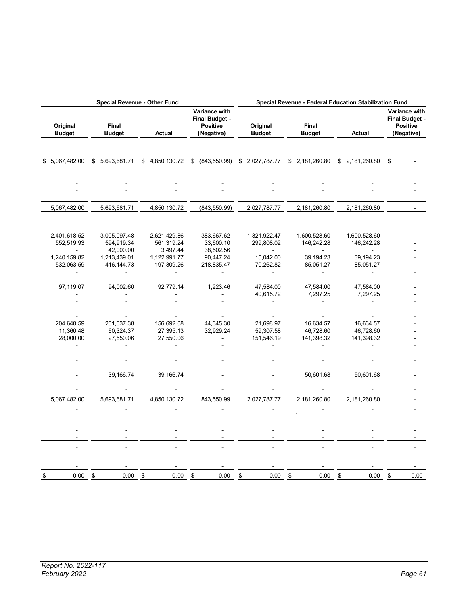| Variance with<br>Final Budget -<br><b>Positive</b><br><b>Positive</b><br>Original<br>Final<br>Original<br><b>Final</b><br><b>Actual</b><br><b>Budget</b><br><b>Actual</b><br><b>Budget</b><br><b>Budget</b><br>(Negative)<br><b>Budget</b><br>(Negative)<br>\$ 5,693,681.71<br>\$4,850,130.72<br>\$ (843,550.99) \$ 2,027,787.77<br>\$2,181,260.80<br>\$ 2,181,260.80<br>\$ 5,067,482.00<br>\$<br>5,067,482.00<br>5,693,681.71<br>4,850,130.72<br>(843, 550.99)<br>2,027,787.77<br>2,181,260.80<br>2,181,260.80<br>2,401,618.52<br>3,005,097.48<br>2,621,429.86<br>383,667.62<br>1,321,922.47<br>1,600,528.60<br>1,600,528.60<br>33,600.10<br>552,519.93<br>594,919.34<br>561,319.24<br>299,808.02<br>146,242.28<br>146,242.28<br>3,497.44<br>38,502.56<br>42,000.00<br>1,240,159.82<br>1,213,439.01<br>1,122,991.77<br>90,447.24<br>15,042.00<br>39, 194. 23<br>39, 194.23<br>197,309.26<br>218,835.47<br>532,063.59<br>416, 144. 73<br>70,262.82<br>85,051.27<br>85,051.27<br>1,223.46<br>47,584.00<br>47,584.00<br>47,584.00<br>97,119.07<br>94,002.60<br>92,779.14<br>40,615.72<br>7,297.25<br>7,297.25<br>204,640.59<br>201,037.38<br>156,692.08<br>44,345.30<br>21,698.97<br>16,634.57<br>16,634.57<br>11,360.48<br>60,324.37<br>27,395.13<br>32,929.24<br>59,307.58<br>46,728.60<br>46,728.60<br>28,000.00<br>27,550.06<br>27,550.06<br>151,546.19<br>141,398.32<br>141,398.32<br>39, 166.74<br>39, 166.74<br>50,601.68<br>50,601.68<br>5,067,482.00<br>4,850,130.72<br>843,550.99<br>2,027,787.77<br>2,181,260.80<br>2,181,260.80<br>5,693,681.71 |                       | Special Revenue - Other Fund              |                       |                    | Special Revenue - Federal Education Stabilization Fund |                       |            |                                 |  |  |
|-----------------------------------------------------------------------------------------------------------------------------------------------------------------------------------------------------------------------------------------------------------------------------------------------------------------------------------------------------------------------------------------------------------------------------------------------------------------------------------------------------------------------------------------------------------------------------------------------------------------------------------------------------------------------------------------------------------------------------------------------------------------------------------------------------------------------------------------------------------------------------------------------------------------------------------------------------------------------------------------------------------------------------------------------------------------------------------------------------------------------------------------------------------------------------------------------------------------------------------------------------------------------------------------------------------------------------------------------------------------------------------------------------------------------------------------------------------------------------------------------------------------------------------------------------------|-----------------------|-------------------------------------------|-----------------------|--------------------|--------------------------------------------------------|-----------------------|------------|---------------------------------|--|--|
|                                                                                                                                                                                                                                                                                                                                                                                                                                                                                                                                                                                                                                                                                                                                                                                                                                                                                                                                                                                                                                                                                                                                                                                                                                                                                                                                                                                                                                                                                                                                                           |                       |                                           |                       |                    |                                                        |                       |            | Variance with<br>Final Budget - |  |  |
|                                                                                                                                                                                                                                                                                                                                                                                                                                                                                                                                                                                                                                                                                                                                                                                                                                                                                                                                                                                                                                                                                                                                                                                                                                                                                                                                                                                                                                                                                                                                                           |                       |                                           |                       |                    |                                                        |                       |            |                                 |  |  |
|                                                                                                                                                                                                                                                                                                                                                                                                                                                                                                                                                                                                                                                                                                                                                                                                                                                                                                                                                                                                                                                                                                                                                                                                                                                                                                                                                                                                                                                                                                                                                           |                       |                                           |                       |                    |                                                        |                       |            |                                 |  |  |
|                                                                                                                                                                                                                                                                                                                                                                                                                                                                                                                                                                                                                                                                                                                                                                                                                                                                                                                                                                                                                                                                                                                                                                                                                                                                                                                                                                                                                                                                                                                                                           |                       |                                           |                       |                    |                                                        |                       |            |                                 |  |  |
|                                                                                                                                                                                                                                                                                                                                                                                                                                                                                                                                                                                                                                                                                                                                                                                                                                                                                                                                                                                                                                                                                                                                                                                                                                                                                                                                                                                                                                                                                                                                                           |                       |                                           |                       |                    |                                                        |                       |            |                                 |  |  |
|                                                                                                                                                                                                                                                                                                                                                                                                                                                                                                                                                                                                                                                                                                                                                                                                                                                                                                                                                                                                                                                                                                                                                                                                                                                                                                                                                                                                                                                                                                                                                           |                       |                                           |                       |                    |                                                        |                       |            |                                 |  |  |
|                                                                                                                                                                                                                                                                                                                                                                                                                                                                                                                                                                                                                                                                                                                                                                                                                                                                                                                                                                                                                                                                                                                                                                                                                                                                                                                                                                                                                                                                                                                                                           |                       |                                           |                       |                    |                                                        |                       |            |                                 |  |  |
|                                                                                                                                                                                                                                                                                                                                                                                                                                                                                                                                                                                                                                                                                                                                                                                                                                                                                                                                                                                                                                                                                                                                                                                                                                                                                                                                                                                                                                                                                                                                                           |                       |                                           |                       |                    |                                                        |                       |            |                                 |  |  |
|                                                                                                                                                                                                                                                                                                                                                                                                                                                                                                                                                                                                                                                                                                                                                                                                                                                                                                                                                                                                                                                                                                                                                                                                                                                                                                                                                                                                                                                                                                                                                           |                       |                                           |                       |                    |                                                        |                       |            |                                 |  |  |
|                                                                                                                                                                                                                                                                                                                                                                                                                                                                                                                                                                                                                                                                                                                                                                                                                                                                                                                                                                                                                                                                                                                                                                                                                                                                                                                                                                                                                                                                                                                                                           |                       |                                           |                       |                    |                                                        |                       |            |                                 |  |  |
|                                                                                                                                                                                                                                                                                                                                                                                                                                                                                                                                                                                                                                                                                                                                                                                                                                                                                                                                                                                                                                                                                                                                                                                                                                                                                                                                                                                                                                                                                                                                                           |                       |                                           |                       |                    |                                                        |                       |            |                                 |  |  |
|                                                                                                                                                                                                                                                                                                                                                                                                                                                                                                                                                                                                                                                                                                                                                                                                                                                                                                                                                                                                                                                                                                                                                                                                                                                                                                                                                                                                                                                                                                                                                           |                       |                                           |                       |                    |                                                        |                       |            |                                 |  |  |
|                                                                                                                                                                                                                                                                                                                                                                                                                                                                                                                                                                                                                                                                                                                                                                                                                                                                                                                                                                                                                                                                                                                                                                                                                                                                                                                                                                                                                                                                                                                                                           |                       |                                           |                       |                    |                                                        |                       |            |                                 |  |  |
|                                                                                                                                                                                                                                                                                                                                                                                                                                                                                                                                                                                                                                                                                                                                                                                                                                                                                                                                                                                                                                                                                                                                                                                                                                                                                                                                                                                                                                                                                                                                                           |                       |                                           |                       |                    |                                                        |                       |            |                                 |  |  |
|                                                                                                                                                                                                                                                                                                                                                                                                                                                                                                                                                                                                                                                                                                                                                                                                                                                                                                                                                                                                                                                                                                                                                                                                                                                                                                                                                                                                                                                                                                                                                           |                       |                                           |                       |                    |                                                        |                       |            |                                 |  |  |
|                                                                                                                                                                                                                                                                                                                                                                                                                                                                                                                                                                                                                                                                                                                                                                                                                                                                                                                                                                                                                                                                                                                                                                                                                                                                                                                                                                                                                                                                                                                                                           |                       |                                           |                       |                    |                                                        |                       |            |                                 |  |  |
|                                                                                                                                                                                                                                                                                                                                                                                                                                                                                                                                                                                                                                                                                                                                                                                                                                                                                                                                                                                                                                                                                                                                                                                                                                                                                                                                                                                                                                                                                                                                                           |                       |                                           |                       |                    |                                                        |                       |            |                                 |  |  |
|                                                                                                                                                                                                                                                                                                                                                                                                                                                                                                                                                                                                                                                                                                                                                                                                                                                                                                                                                                                                                                                                                                                                                                                                                                                                                                                                                                                                                                                                                                                                                           |                       |                                           |                       |                    |                                                        |                       |            |                                 |  |  |
|                                                                                                                                                                                                                                                                                                                                                                                                                                                                                                                                                                                                                                                                                                                                                                                                                                                                                                                                                                                                                                                                                                                                                                                                                                                                                                                                                                                                                                                                                                                                                           |                       |                                           |                       |                    |                                                        |                       |            |                                 |  |  |
|                                                                                                                                                                                                                                                                                                                                                                                                                                                                                                                                                                                                                                                                                                                                                                                                                                                                                                                                                                                                                                                                                                                                                                                                                                                                                                                                                                                                                                                                                                                                                           |                       |                                           |                       |                    |                                                        |                       |            |                                 |  |  |
|                                                                                                                                                                                                                                                                                                                                                                                                                                                                                                                                                                                                                                                                                                                                                                                                                                                                                                                                                                                                                                                                                                                                                                                                                                                                                                                                                                                                                                                                                                                                                           |                       |                                           |                       |                    |                                                        |                       |            |                                 |  |  |
|                                                                                                                                                                                                                                                                                                                                                                                                                                                                                                                                                                                                                                                                                                                                                                                                                                                                                                                                                                                                                                                                                                                                                                                                                                                                                                                                                                                                                                                                                                                                                           |                       |                                           |                       |                    |                                                        |                       |            |                                 |  |  |
|                                                                                                                                                                                                                                                                                                                                                                                                                                                                                                                                                                                                                                                                                                                                                                                                                                                                                                                                                                                                                                                                                                                                                                                                                                                                                                                                                                                                                                                                                                                                                           |                       |                                           |                       |                    |                                                        |                       |            |                                 |  |  |
|                                                                                                                                                                                                                                                                                                                                                                                                                                                                                                                                                                                                                                                                                                                                                                                                                                                                                                                                                                                                                                                                                                                                                                                                                                                                                                                                                                                                                                                                                                                                                           |                       |                                           |                       |                    |                                                        |                       |            |                                 |  |  |
|                                                                                                                                                                                                                                                                                                                                                                                                                                                                                                                                                                                                                                                                                                                                                                                                                                                                                                                                                                                                                                                                                                                                                                                                                                                                                                                                                                                                                                                                                                                                                           |                       |                                           |                       |                    |                                                        |                       |            |                                 |  |  |
|                                                                                                                                                                                                                                                                                                                                                                                                                                                                                                                                                                                                                                                                                                                                                                                                                                                                                                                                                                                                                                                                                                                                                                                                                                                                                                                                                                                                                                                                                                                                                           |                       |                                           |                       |                    |                                                        |                       |            |                                 |  |  |
|                                                                                                                                                                                                                                                                                                                                                                                                                                                                                                                                                                                                                                                                                                                                                                                                                                                                                                                                                                                                                                                                                                                                                                                                                                                                                                                                                                                                                                                                                                                                                           |                       |                                           |                       |                    |                                                        |                       |            |                                 |  |  |
|                                                                                                                                                                                                                                                                                                                                                                                                                                                                                                                                                                                                                                                                                                                                                                                                                                                                                                                                                                                                                                                                                                                                                                                                                                                                                                                                                                                                                                                                                                                                                           |                       |                                           |                       |                    |                                                        |                       |            |                                 |  |  |
|                                                                                                                                                                                                                                                                                                                                                                                                                                                                                                                                                                                                                                                                                                                                                                                                                                                                                                                                                                                                                                                                                                                                                                                                                                                                                                                                                                                                                                                                                                                                                           |                       |                                           |                       |                    |                                                        |                       |            |                                 |  |  |
|                                                                                                                                                                                                                                                                                                                                                                                                                                                                                                                                                                                                                                                                                                                                                                                                                                                                                                                                                                                                                                                                                                                                                                                                                                                                                                                                                                                                                                                                                                                                                           |                       |                                           |                       |                    |                                                        |                       |            |                                 |  |  |
|                                                                                                                                                                                                                                                                                                                                                                                                                                                                                                                                                                                                                                                                                                                                                                                                                                                                                                                                                                                                                                                                                                                                                                                                                                                                                                                                                                                                                                                                                                                                                           |                       |                                           |                       |                    |                                                        |                       |            |                                 |  |  |
|                                                                                                                                                                                                                                                                                                                                                                                                                                                                                                                                                                                                                                                                                                                                                                                                                                                                                                                                                                                                                                                                                                                                                                                                                                                                                                                                                                                                                                                                                                                                                           | 0.00<br>$\frac{1}{2}$ | $\frac{\mathcal{L}}{\mathcal{L}}$<br>0.00 | $\frac{1}{2}$<br>0.00 | $\pmb{\$}$<br>0.00 | $\frac{3}{2}$<br>0.00                                  | $\frac{3}{2}$<br>0.00 | \$<br>0.00 | $\boldsymbol{\$}$<br>0.00       |  |  |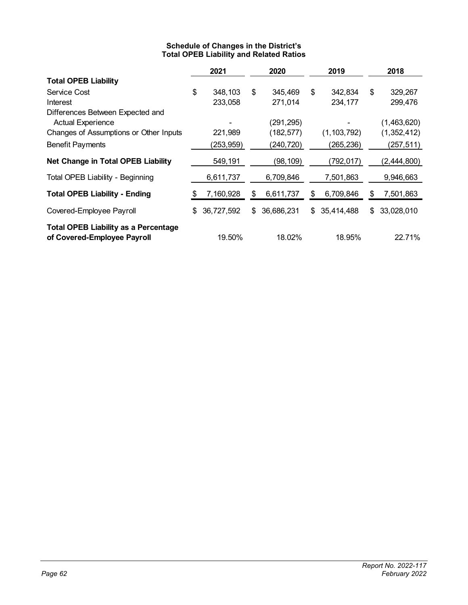#### **Schedule of Changes in the District's Total OPEB Liability and Related Ratios**

|                                                                            | 2021             | 2020             |     | 2019          | 2018             |
|----------------------------------------------------------------------------|------------------|------------------|-----|---------------|------------------|
| <b>Total OPEB Liability</b>                                                |                  |                  |     |               |                  |
| Service Cost                                                               | \$<br>348,103    | \$<br>345,469    | \$  | 342,834       | \$<br>329,267    |
| Interest                                                                   | 233,058          | 271,014          |     | 234,177       | 299,476          |
| Differences Between Expected and                                           |                  |                  |     |               |                  |
| <b>Actual Experience</b>                                                   |                  | (291, 295)       |     |               | (1,463,620)      |
| Changes of Assumptions or Other Inputs                                     | 221,989          | (182, 577)       |     | (1, 103, 792) | (1,352,412)      |
| <b>Benefit Payments</b>                                                    | (253, 959)       | (240, 720)       |     | (265,236)     | (257, 511)       |
| <b>Net Change in Total OPEB Liability</b>                                  | 549,191          | (98,109)         |     | (792, 017)    | (2,444,800)      |
| Total OPEB Liability - Beginning                                           | 6,611,737        | 6,709,846        |     | 7,501,863     | 9,946,663        |
| <b>Total OPEB Liability - Ending</b>                                       | 7,160,928        | \$<br>6,611,737  | \$  | 6,709,846     | \$<br>7,501,863  |
| Covered-Employee Payroll                                                   | \$<br>36,727,592 | \$<br>36,686,231 | \$. | 35,414,488    | \$<br>33,028,010 |
| <b>Total OPEB Liability as a Percentage</b><br>of Covered-Employee Payroll | 19.50%           | 18.02%           |     | 18.95%        | 22.71%           |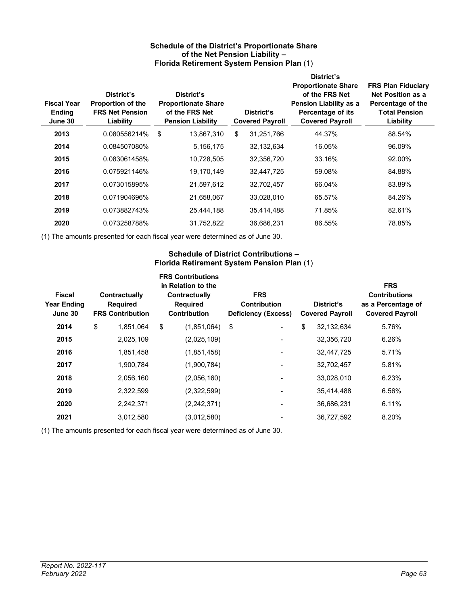#### **Schedule of the District's Proportionate Share of the Net Pension Liability – Florida Retirement System Pension Plan** (1)

| <b>Fiscal Year</b><br><b>Ending</b><br>June 30 | District's<br><b>Proportion of the</b><br><b>FRS Net Pension</b><br>Liability | District's<br><b>Proportionate Share</b><br>of the FRS Net<br><b>Pension Liability</b> | District's<br><b>Covered Payroll</b> | District's<br><b>Proportionate Share</b><br>of the FRS Net<br>Pension Liability as a<br>Percentage of its<br><b>Covered Payroll</b> | <b>FRS Plan Fiduciary</b><br>Net Position as a<br>Percentage of the<br><b>Total Pension</b><br>Liability |
|------------------------------------------------|-------------------------------------------------------------------------------|----------------------------------------------------------------------------------------|--------------------------------------|-------------------------------------------------------------------------------------------------------------------------------------|----------------------------------------------------------------------------------------------------------|
| 2013                                           | 0.080556214%                                                                  | \$<br>13,867,310                                                                       | \$<br>31,251,766                     | 44.37%                                                                                                                              | 88.54%                                                                                                   |
| 2014                                           | 0.084507080%                                                                  | 5, 156, 175                                                                            | 32,132,634                           | 16.05%                                                                                                                              | 96.09%                                                                                                   |
| 2015                                           | 0.083061458%                                                                  | 10,728,505                                                                             | 32,356,720                           | 33.16%                                                                                                                              | 92.00%                                                                                                   |
| 2016                                           | 0.075921146%                                                                  | 19,170,149                                                                             | 32,447,725                           | 59.08%                                                                                                                              | 84.88%                                                                                                   |
| 2017                                           | 0.073015895%                                                                  | 21,597,612                                                                             | 32,702,457                           | 66.04%                                                                                                                              | 83.89%                                                                                                   |
| 2018                                           | 0.071904696%                                                                  | 21,658,067                                                                             | 33,028,010                           | 65.57%                                                                                                                              | 84.26%                                                                                                   |
| 2019                                           | 0.073882743%                                                                  | 25,444,188                                                                             | 35,414,488                           | 71.85%                                                                                                                              | 82.61%                                                                                                   |
| 2020                                           | 0.073258788%                                                                  | 31,752,822                                                                             | 36,686,231                           | 86.55%                                                                                                                              | 78.85%                                                                                                   |

(1) The amounts presented for each fiscal year were determined as of June 30.

#### **Schedule of District Contributions – Florida Retirement System Pension Plan** (1)

| <b>Fiscal</b><br><b>Year Ending</b><br>June 30 | Contractually<br><b>Required</b><br><b>FRS Contribution</b> | <b>FRS Contributions</b><br>in Relation to the<br>Contractually<br><b>Required</b><br><b>Contribution</b> |             | <b>FRS</b><br><b>Contribution</b><br><b>Deficiency (Excess)</b> | District's<br><b>Covered Payroll</b> | <b>FRS</b><br><b>Contributions</b><br>as a Percentage of<br><b>Covered Payroll</b> |  |
|------------------------------------------------|-------------------------------------------------------------|-----------------------------------------------------------------------------------------------------------|-------------|-----------------------------------------------------------------|--------------------------------------|------------------------------------------------------------------------------------|--|
| 2014                                           | \$<br>1,851,064                                             | \$                                                                                                        | (1,851,064) | \$                                                              | \$<br>32,132,634                     | 5.76%                                                                              |  |
| 2015                                           | 2,025,109                                                   |                                                                                                           | (2,025,109) |                                                                 | 32,356,720                           | 6.26%                                                                              |  |
| 2016                                           | 1,851,458                                                   |                                                                                                           | (1,851,458) |                                                                 | 32.447.725                           | 5.71%                                                                              |  |
| 2017                                           | 1,900,784                                                   |                                                                                                           | (1,900,784) |                                                                 | 32,702,457                           | 5.81%                                                                              |  |
| 2018                                           | 2,056,160                                                   |                                                                                                           | (2,056,160) |                                                                 | 33,028,010                           | 6.23%                                                                              |  |
| 2019                                           | 2,322,599                                                   |                                                                                                           | (2,322,599) |                                                                 | 35.414.488                           | 6.56%                                                                              |  |
| 2020                                           | 2,242,371                                                   |                                                                                                           | (2,242,371) |                                                                 | 36,686,231                           | 6.11%                                                                              |  |
| 2021                                           | 3,012,580                                                   |                                                                                                           | (3,012,580) |                                                                 | 36,727,592                           | 8.20%                                                                              |  |

(1) The amounts presented for each fiscal year were determined as of June 30.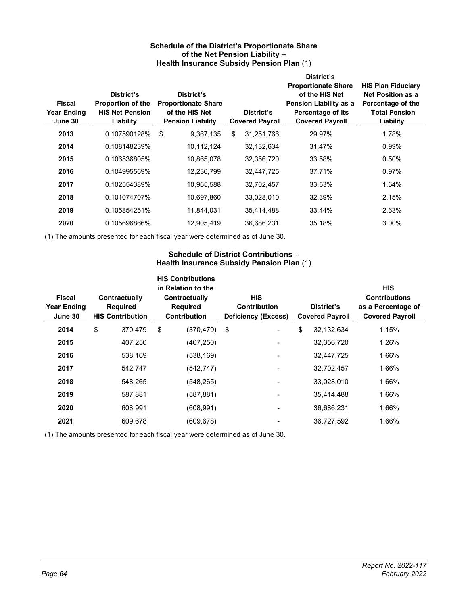#### **Schedule of the District's Proportionate Share of the Net Pension Liability – Health Insurance Subsidy Pension Plan** (1)

| <b>Fiscal</b><br><b>Year Ending</b><br>June 30 | District's<br><b>Proportion of the</b><br><b>HIS Net Pension</b><br>Liability | District's<br><b>Proportionate Share</b><br>of the HIS Net<br><b>Pension Liability</b> | District's<br><b>Covered Payroll</b> | District's<br><b>Proportionate Share</b><br>of the HIS Net<br><b>Pension Liability as a</b><br>Percentage of its<br><b>Covered Payroll</b> | <b>HIS Plan Fiduciary</b><br>Net Position as a<br>Percentage of the<br><b>Total Pension</b><br>Liability |
|------------------------------------------------|-------------------------------------------------------------------------------|----------------------------------------------------------------------------------------|--------------------------------------|--------------------------------------------------------------------------------------------------------------------------------------------|----------------------------------------------------------------------------------------------------------|
| 2013                                           | 0.107590128%                                                                  | \$<br>9,367,135                                                                        | \$<br>31.251.766                     | 29.97%                                                                                                                                     | 1.78%                                                                                                    |
| 2014                                           | 0.108148239%                                                                  | 10,112,124                                                                             | 32, 132, 634                         | 31.47%                                                                                                                                     | 0.99%                                                                                                    |
| 2015                                           | 0.106536805%                                                                  | 10,865,078                                                                             | 32,356,720                           | 33.58%                                                                                                                                     | 0.50%                                                                                                    |
| 2016                                           | 0.104995569%                                                                  | 12,236,799                                                                             | 32,447,725                           | 37.71%                                                                                                                                     | 0.97%                                                                                                    |
| 2017                                           | 0.102554389%                                                                  | 10,965,588                                                                             | 32,702,457                           | 33.53%                                                                                                                                     | 1.64%                                                                                                    |
| 2018                                           | 0.101074707%                                                                  | 10,697,860                                                                             | 33,028,010                           | 32.39%                                                                                                                                     | 2.15%                                                                                                    |
| 2019                                           | 0.105854251%                                                                  | 11,844,031                                                                             | 35,414,488                           | 33.44%                                                                                                                                     | 2.63%                                                                                                    |
| 2020                                           | 0.105696866%                                                                  | 12,905,419                                                                             | 36,686,231                           | 35.18%                                                                                                                                     | 3.00%                                                                                                    |

(1) The amounts presented for each fiscal year were determined as of June 30.

#### **Schedule of District Contributions – Health Insurance Subsidy Pension Plan** (1)

| <b>Fiscal</b><br><b>Year Ending</b><br>June 30 | <b>HIS Contributions</b><br>in Relation to the<br><b>Contractually</b><br>Contractually<br><b>Required</b><br><b>Required</b><br><b>HIS Contribution</b><br><b>Contribution</b> |         |    | <b>HIS</b><br><b>Contribution</b><br><b>Deficiency (Excess)</b> | District's<br><b>Covered Payroll</b> | <b>HIS</b><br><b>Contributions</b><br>as a Percentage of<br><b>Covered Payroll</b> |       |
|------------------------------------------------|---------------------------------------------------------------------------------------------------------------------------------------------------------------------------------|---------|----|-----------------------------------------------------------------|--------------------------------------|------------------------------------------------------------------------------------|-------|
| 2014                                           | \$                                                                                                                                                                              | 370,479 | \$ | (370, 479)                                                      | \$                                   | \$<br>32,132,634                                                                   | 1.15% |
| 2015                                           |                                                                                                                                                                                 | 407,250 |    | (407,250)                                                       | $\blacksquare$                       | 32,356,720                                                                         | 1.26% |
| 2016                                           |                                                                                                                                                                                 | 538,169 |    | (538, 169)                                                      |                                      | 32,447,725                                                                         | 1.66% |
| 2017                                           |                                                                                                                                                                                 | 542,747 |    | (542,747)                                                       |                                      | 32,702,457                                                                         | 1.66% |
| 2018                                           |                                                                                                                                                                                 | 548.265 |    | (548,265)                                                       |                                      | 33,028,010                                                                         | 1.66% |
| 2019                                           |                                                                                                                                                                                 | 587,881 |    | (587,881)                                                       |                                      | 35,414,488                                                                         | 1.66% |
| 2020                                           |                                                                                                                                                                                 | 608,991 |    | (608, 991)                                                      |                                      | 36,686,231                                                                         | 1.66% |
| 2021                                           |                                                                                                                                                                                 | 609.678 |    | (609, 678)                                                      |                                      | 36.727.592                                                                         | 1.66% |

(1) The amounts presented for each fiscal year were determined as of June 30.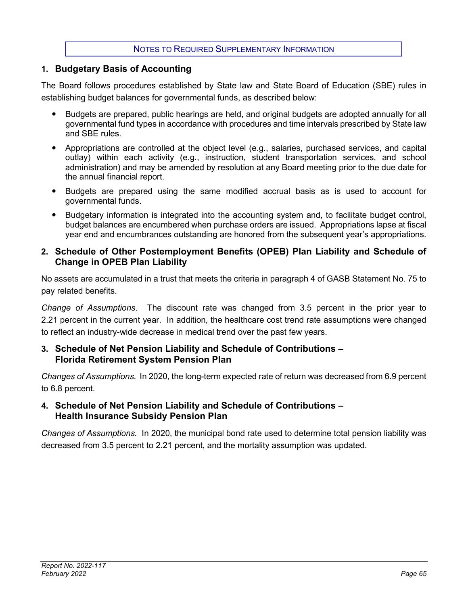#### NOTES TO REQUIRED SUPPLEMENTARY INFORMATION

#### **1. Budgetary Basis of Accounting**

The Board follows procedures established by State law and State Board of Education (SBE) rules in establishing budget balances for governmental funds, as described below:

- Budgets are prepared, public hearings are held, and original budgets are adopted annually for all governmental fund types in accordance with procedures and time intervals prescribed by State law and SBE rules.
- Appropriations are controlled at the object level (e.g., salaries, purchased services, and capital outlay) within each activity (e.g., instruction, student transportation services, and school administration) and may be amended by resolution at any Board meeting prior to the due date for the annual financial report.
- Budgets are prepared using the same modified accrual basis as is used to account for governmental funds.
- Budgetary information is integrated into the accounting system and, to facilitate budget control, budget balances are encumbered when purchase orders are issued. Appropriations lapse at fiscal year end and encumbrances outstanding are honored from the subsequent year's appropriations.

#### **2. Schedule of Other Postemployment Benefits (OPEB) Plan Liability and Schedule of Change in OPEB Plan Liability**

No assets are accumulated in a trust that meets the criteria in paragraph 4 of GASB Statement No. 75 to pay related benefits.

*Change of Assumptions*. The discount rate was changed from 3.5 percent in the prior year to 2.21 percent in the current year. In addition, the healthcare cost trend rate assumptions were changed to reflect an industry-wide decrease in medical trend over the past few years.

#### **3. Schedule of Net Pension Liability and Schedule of Contributions – Florida Retirement System Pension Plan**

*Changes of Assumptions.* In 2020, the long-term expected rate of return was decreased from 6.9 percent to 6.8 percent.

#### **4. Schedule of Net Pension Liability and Schedule of Contributions – Health Insurance Subsidy Pension Plan**

*Changes of Assumptions.* In 2020, the municipal bond rate used to determine total pension liability was decreased from 3.5 percent to 2.21 percent, and the mortality assumption was updated.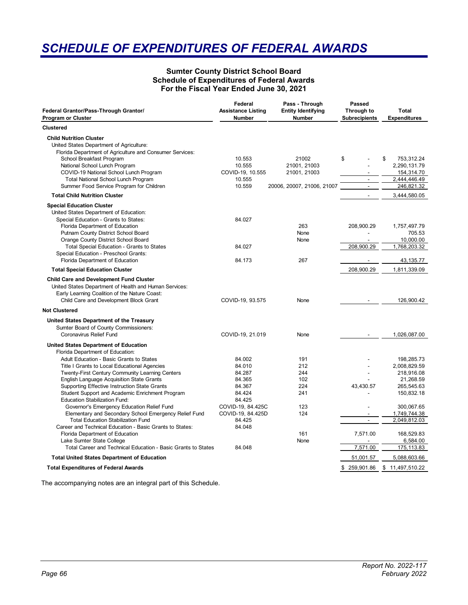# *SCHEDULE OF EXPENDITURES OF FEDERAL AWARDS*

#### **Sumter County District School Board Schedule of Expenditures of Federal Awards For the Fiscal Year Ended June 30, 2021**

| Federal Grantor/Pass-Through Grantor/<br><b>Program or Cluster</b>                                                                                                                                                                                                                                                                                                              | Federal<br><b>Assistance Listing</b><br><b>Number</b>              | Pass - Through<br><b>Entity Identifying</b><br><b>Number</b>        | <b>Passed</b><br>Through to<br><b>Subrecipients</b>    | <b>Total</b><br><b>Expenditures</b>                                               |
|---------------------------------------------------------------------------------------------------------------------------------------------------------------------------------------------------------------------------------------------------------------------------------------------------------------------------------------------------------------------------------|--------------------------------------------------------------------|---------------------------------------------------------------------|--------------------------------------------------------|-----------------------------------------------------------------------------------|
| <b>Clustered</b>                                                                                                                                                                                                                                                                                                                                                                |                                                                    |                                                                     |                                                        |                                                                                   |
| <b>Child Nutrition Cluster</b><br>United States Department of Agriculture:                                                                                                                                                                                                                                                                                                      |                                                                    |                                                                     |                                                        |                                                                                   |
| Florida Department of Agriculture and Consumer Services:<br>School Breakfast Program<br>National School Lunch Program<br>COVID-19 National School Lunch Program<br><b>Total National School Lunch Program</b><br>Summer Food Service Program for Children                                                                                                                       | 10.553<br>10.555<br>COVID-19, 10.555<br>10.555<br>10.559           | 21002<br>21001, 21003<br>21001, 21003<br>20006, 20007, 21006, 21007 | \$<br>$\overline{a}$<br>$\overline{a}$<br>$\mathbf{r}$ | \$<br>753,312.24<br>2,290,131.79<br>154,314.70<br>2,444,446.49<br>246,821.32      |
| <b>Total Child Nutrition Cluster</b>                                                                                                                                                                                                                                                                                                                                            |                                                                    |                                                                     | $\blacksquare$                                         | 3,444,580.05                                                                      |
| <b>Special Education Cluster</b><br>United States Department of Education:<br>Special Education - Grants to States:<br>Florida Department of Education<br>Putnam County District School Board                                                                                                                                                                                   | 84.027                                                             | 263<br>None                                                         | 208,900.29                                             | 1,757,497.79<br>705.53                                                            |
| Orange County District School Board<br><b>Total Special Education - Grants to States</b>                                                                                                                                                                                                                                                                                        | 84.027                                                             | None                                                                | 208,900.29                                             | 10.000.00<br>1,768,203.32                                                         |
| Special Education - Preschool Grants:                                                                                                                                                                                                                                                                                                                                           |                                                                    |                                                                     |                                                        |                                                                                   |
| Florida Department of Education                                                                                                                                                                                                                                                                                                                                                 | 84.173                                                             | 267                                                                 |                                                        | 43, 135. 77                                                                       |
| <b>Total Special Education Cluster</b>                                                                                                                                                                                                                                                                                                                                          |                                                                    |                                                                     | 208,900.29                                             | 1,811,339.09                                                                      |
| <b>Child Care and Development Fund Cluster</b><br>United States Department of Health and Human Services:<br>Early Learning Coalition of the Nature Coast:<br>Child Care and Development Block Grant                                                                                                                                                                             | COVID-19, 93.575                                                   | None                                                                |                                                        | 126,900.42                                                                        |
| <b>Not Clustered</b>                                                                                                                                                                                                                                                                                                                                                            |                                                                    |                                                                     |                                                        |                                                                                   |
| United States Department of the Treasury<br>Sumter Board of County Commissioners:<br>Coronavirus Relief Fund                                                                                                                                                                                                                                                                    | COVID-19, 21.019                                                   | None                                                                |                                                        | 1,026,087.00                                                                      |
| <b>United States Department of Education</b>                                                                                                                                                                                                                                                                                                                                    |                                                                    |                                                                     |                                                        |                                                                                   |
| Florida Department of Education:<br>Adult Education - Basic Grants to States<br>Title I Grants to Local Educational Agencies<br>Twenty-First Century Community Learning Centers<br><b>English Language Acquisition State Grants</b><br>Supporting Effective Instruction State Grants<br>Student Support and Academic Enrichment Program<br><b>Education Stabilization Fund:</b> | 84.002<br>84.010<br>84.287<br>84.365<br>84.367<br>84.424<br>84.425 | 191<br>212<br>244<br>102<br>224<br>241                              | ÷.<br>43,430.57                                        | 198,285.73<br>2,008,829.59<br>218,916.08<br>21,268.59<br>265,545.63<br>150,832.18 |
| Governor's Emergency Education Relief Fund                                                                                                                                                                                                                                                                                                                                      | COVID-19, 84.425C                                                  | 123                                                                 |                                                        | 300,067.65                                                                        |
| Elementary and Secondary School Emergency Relief Fund<br><b>Total Education Stabilization Fund</b><br>Career and Technical Education - Basic Grants to States:<br>Florida Department of Education                                                                                                                                                                               | COVID-19, 84.425D<br>84.425<br>84.048                              | 124<br>161                                                          | $\blacksquare$<br>7,571.00                             | 1,749,744.38<br>2,049,812.03<br>168,529.83                                        |
| Lake Sumter State College                                                                                                                                                                                                                                                                                                                                                       |                                                                    | None                                                                |                                                        | 6,584.00                                                                          |
| Total Career and Technical Education - Basic Grants to States                                                                                                                                                                                                                                                                                                                   | 84.048                                                             |                                                                     | 7,571.00                                               | 175,113.83                                                                        |
| <b>Total United States Department of Education</b>                                                                                                                                                                                                                                                                                                                              |                                                                    |                                                                     | 51,001.57                                              | 5,088,603.66                                                                      |
| <b>Total Expenditures of Federal Awards</b>                                                                                                                                                                                                                                                                                                                                     |                                                                    |                                                                     |                                                        | \$ 259,901.86 \$ 11,497,510.22                                                    |

The accompanying notes are an integral part of this Schedule.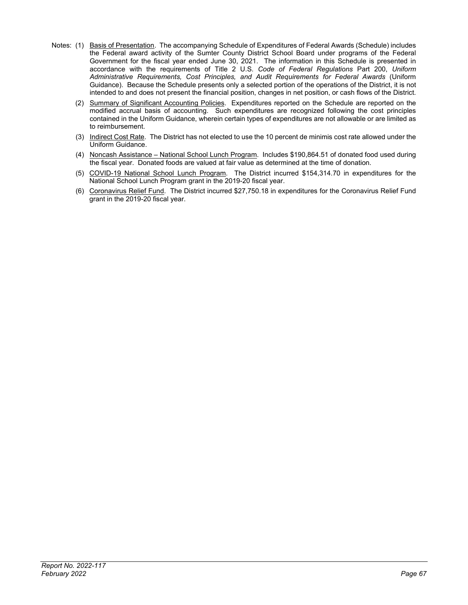- Notes: (1) Basis of Presentation. The accompanying Schedule of Expenditures of Federal Awards (Schedule) includes the Federal award activity of the Sumter County District School Board under programs of the Federal Government for the fiscal year ended June 30, 2021. The information in this Schedule is presented in accordance with the requirements of Title 2 U.S. *Code of Federal Regulations* Part 200, *Uniform Administrative Requirements, Cost Principles, and Audit Requirements for Federal Awards* (Uniform Guidance). Because the Schedule presents only a selected portion of the operations of the District, it is not intended to and does not present the financial position, changes in net position, or cash flows of the District.
	- (2) Summary of Significant Accounting Policies. Expenditures reported on the Schedule are reported on the modified accrual basis of accounting. Such expenditures are recognized following the cost principles contained in the Uniform Guidance, wherein certain types of expenditures are not allowable or are limited as to reimbursement.
	- (3) Indirect Cost Rate. The District has not elected to use the 10 percent de minimis cost rate allowed under the Uniform Guidance.
	- (4) Noncash Assistance National School Lunch Program. Includes \$190,864.51 of donated food used during the fiscal year. Donated foods are valued at fair value as determined at the time of donation.
	- (5) COVID-19 National School Lunch Program. The District incurred \$154,314.70 in expenditures for the National School Lunch Program grant in the 2019-20 fiscal year.
	- (6) Coronavirus Relief Fund. The District incurred \$27,750.18 in expenditures for the Coronavirus Relief Fund grant in the 2019-20 fiscal year.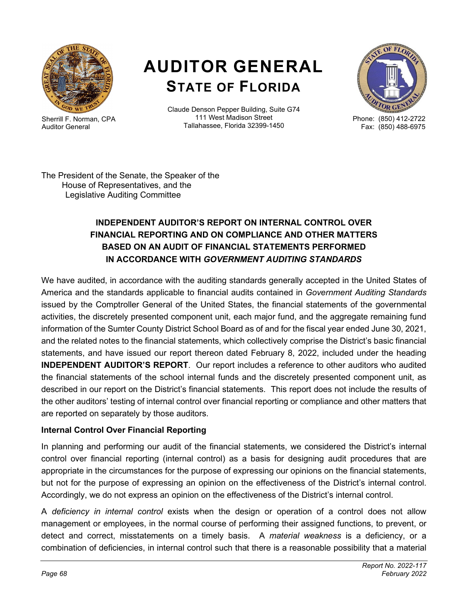

Sherrill F. Norman, CPA Auditor General

# **AUDITOR GENERAL STATE OF FLORIDA**

Claude Denson Pepper Building, Suite G74 111 West Madison Street Tallahassee, Florida 32399-1450



Phone: (850) 412-2722 Fax: (850) 488-6975

The President of the Senate, the Speaker of the House of Representatives, and the Legislative Auditing Committee

### **INDEPENDENT AUDITOR'S REPORT ON INTERNAL CONTROL OVER FINANCIAL REPORTING AND ON COMPLIANCE AND OTHER MATTERS BASED ON AN AUDIT OF FINANCIAL STATEMENTS PERFORMED IN ACCORDANCE WITH** *GOVERNMENT AUDITING STANDARDS*

We have audited, in accordance with the auditing standards generally accepted in the United States of America and the standards applicable to financial audits contained in *Government Auditing Standards* issued by the Comptroller General of the United States, the financial statements of the governmental activities, the discretely presented component unit, each major fund, and the aggregate remaining fund information of the Sumter County District School Board as of and for the fiscal year ended June 30, 2021, and the related notes to the financial statements, which collectively comprise the District's basic financial statements, and have issued our report thereon dated February 8, 2022, included under the heading **INDEPENDENT AUDITOR'S REPORT**. Our report includes a reference to other auditors who audited the financial statements of the school internal funds and the discretely presented component unit, as described in our report on the District's financial statements. This report does not include the results of the other auditors' testing of internal control over financial reporting or compliance and other matters that are reported on separately by those auditors.

#### **Internal Control Over Financial Reporting**

In planning and performing our audit of the financial statements, we considered the District's internal control over financial reporting (internal control) as a basis for designing audit procedures that are appropriate in the circumstances for the purpose of expressing our opinions on the financial statements, but not for the purpose of expressing an opinion on the effectiveness of the District's internal control. Accordingly, we do not express an opinion on the effectiveness of the District's internal control.

A *deficiency in internal control* exists when the design or operation of a control does not allow management or employees, in the normal course of performing their assigned functions, to prevent, or detect and correct, misstatements on a timely basis. A *material weakness* is a deficiency, or a combination of deficiencies, in internal control such that there is a reasonable possibility that a material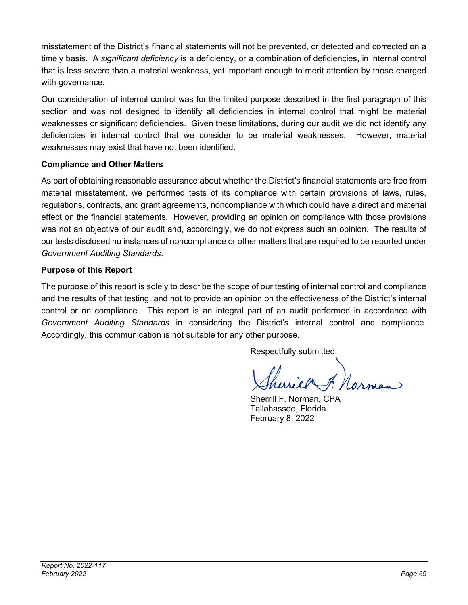misstatement of the District's financial statements will not be prevented, or detected and corrected on a timely basis. A *significant deficiency* is a deficiency, or a combination of deficiencies, in internal control that is less severe than a material weakness, yet important enough to merit attention by those charged with governance.

Our consideration of internal control was for the limited purpose described in the first paragraph of this section and was not designed to identify all deficiencies in internal control that might be material weaknesses or significant deficiencies. Given these limitations, during our audit we did not identify any deficiencies in internal control that we consider to be material weaknesses. However, material weaknesses may exist that have not been identified.

#### **Compliance and Other Matters**

As part of obtaining reasonable assurance about whether the District's financial statements are free from material misstatement, we performed tests of its compliance with certain provisions of laws, rules, regulations, contracts, and grant agreements, noncompliance with which could have a direct and material effect on the financial statements. However, providing an opinion on compliance with those provisions was not an objective of our audit and, accordingly, we do not express such an opinion. The results of our tests disclosed no instances of noncompliance or other matters that are required to be reported under *Government Auditing Standards*.

#### **Purpose of this Report**

The purpose of this report is solely to describe the scope of our testing of internal control and compliance and the results of that testing, and not to provide an opinion on the effectiveness of the District's internal control or on compliance. This report is an integral part of an audit performed in accordance with *Government Auditing Standards* in considering the District's internal control and compliance. Accordingly, this communication is not suitable for any other purpose.

Respectfully submitted,

Sherrill F. Norman, CPA Tallahassee, Florida February 8, 2022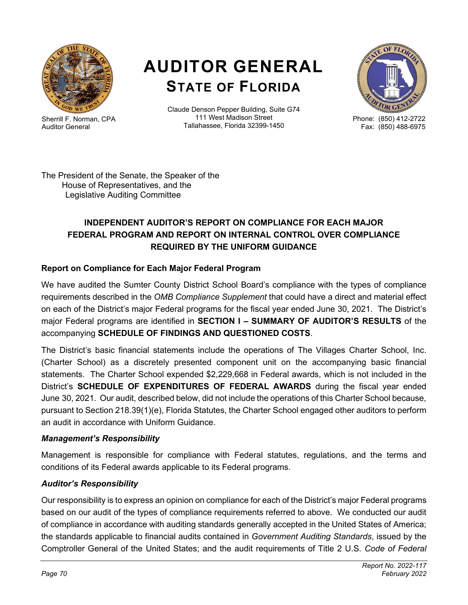

Sherrill F. Norman, CPA Auditor General

# **AUDITOR GENERAL STATE OF FLORIDA**

Claude Denson Pepper Building, Suite G74 111 West Madison Street Tallahassee, Florida 32399-1450



Phone: (850) 412-2722 Fax: (850) 488-6975

The President of the Senate, the Speaker of the House of Representatives, and the Legislative Auditing Committee

### **INDEPENDENT AUDITOR'S REPORT ON COMPLIANCE FOR EACH MAJOR FEDERAL PROGRAM AND REPORT ON INTERNAL CONTROL OVER COMPLIANCE REQUIRED BY THE UNIFORM GUIDANCE**

#### **Report on Compliance for Each Major Federal Program**

We have audited the Sumter County District School Board's compliance with the types of compliance requirements described in the *OMB Compliance Supplement* that could have a direct and material effect on each of the District's major Federal programs for the fiscal year ended June 30, 2021. The District's major Federal programs are identified in **SECTION I – SUMMARY OF AUDITOR'S RESULTS** of the accompanying **SCHEDULE OF FINDINGS AND QUESTIONED COSTS**.

The District's basic financial statements include the operations of The Villages Charter School, Inc. (Charter School) as a discretely presented component unit on the accompanying basic financial statements. The Charter School expended \$2,229,668 in Federal awards, which is not included in the District's **SCHEDULE OF EXPENDITURES OF FEDERAL AWARDS** during the fiscal year ended June 30, 2021. Our audit, described below, did not include the operations of this Charter School because, pursuant to Section 218.39(1)(e), Florida Statutes, the Charter School engaged other auditors to perform an audit in accordance with Uniform Guidance.

#### *Management's Responsibility*

Management is responsible for compliance with Federal statutes, regulations, and the terms and conditions of its Federal awards applicable to its Federal programs.

#### *Auditor's Responsibility*

Our responsibility is to express an opinion on compliance for each of the District's major Federal programs based on our audit of the types of compliance requirements referred to above. We conducted our audit of compliance in accordance with auditing standards generally accepted in the United States of America; the standards applicable to financial audits contained in *Government Auditing Standards*, issued by the Comptroller General of the United States; and the audit requirements of Title 2 U.S. *Code of Federal*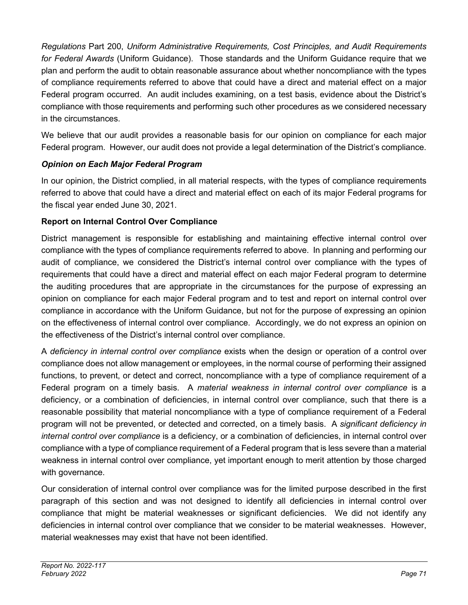*Regulations* Part 200, *Uniform Administrative Requirements, Cost Principles, and Audit Requirements for Federal Awards* (Uniform Guidance). Those standards and the Uniform Guidance require that we plan and perform the audit to obtain reasonable assurance about whether noncompliance with the types of compliance requirements referred to above that could have a direct and material effect on a major Federal program occurred. An audit includes examining, on a test basis, evidence about the District's compliance with those requirements and performing such other procedures as we considered necessary in the circumstances.

We believe that our audit provides a reasonable basis for our opinion on compliance for each major Federal program. However, our audit does not provide a legal determination of the District's compliance.

#### *Opinion on Each Major Federal Program*

In our opinion, the District complied, in all material respects, with the types of compliance requirements referred to above that could have a direct and material effect on each of its major Federal programs for the fiscal year ended June 30, 2021.

#### **Report on Internal Control Over Compliance**

District management is responsible for establishing and maintaining effective internal control over compliance with the types of compliance requirements referred to above. In planning and performing our audit of compliance, we considered the District's internal control over compliance with the types of requirements that could have a direct and material effect on each major Federal program to determine the auditing procedures that are appropriate in the circumstances for the purpose of expressing an opinion on compliance for each major Federal program and to test and report on internal control over compliance in accordance with the Uniform Guidance, but not for the purpose of expressing an opinion on the effectiveness of internal control over compliance. Accordingly, we do not express an opinion on the effectiveness of the District's internal control over compliance.

A *deficiency in internal control over compliance* exists when the design or operation of a control over compliance does not allow management or employees, in the normal course of performing their assigned functions, to prevent, or detect and correct, noncompliance with a type of compliance requirement of a Federal program on a timely basis. A *material weakness in internal control over compliance* is a deficiency, or a combination of deficiencies, in internal control over compliance, such that there is a reasonable possibility that material noncompliance with a type of compliance requirement of a Federal program will not be prevented, or detected and corrected, on a timely basis. A *significant deficiency in internal control over compliance* is a deficiency, or a combination of deficiencies, in internal control over compliance with a type of compliance requirement of a Federal program that is less severe than a material weakness in internal control over compliance, yet important enough to merit attention by those charged with governance.

Our consideration of internal control over compliance was for the limited purpose described in the first paragraph of this section and was not designed to identify all deficiencies in internal control over compliance that might be material weaknesses or significant deficiencies. We did not identify any deficiencies in internal control over compliance that we consider to be material weaknesses. However, material weaknesses may exist that have not been identified.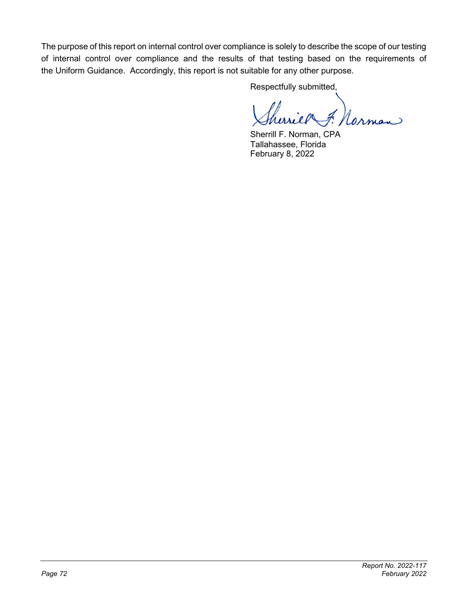The purpose of this report on internal control over compliance is solely to describe the scope of our testing of internal control over compliance and the results of that testing based on the requirements of the Uniform Guidance. Accordingly, this report is not suitable for any other purpose.

Respectfully submitted,

F. Norman

Sherrill F. Norman, CPA Tallahassee, Florida February 8, 2022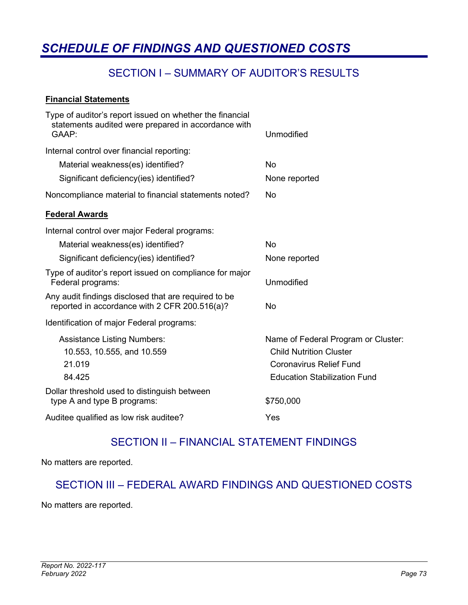# *SCHEDULE OF FINDINGS AND QUESTIONED COSTS*

## SECTION I – SUMMARY OF AUDITOR'S RESULTS

#### **Financial Statements**

| Type of auditor's report issued on whether the financial<br>statements audited were prepared in accordance with<br>GAAP: | Unmodified                                                            |
|--------------------------------------------------------------------------------------------------------------------------|-----------------------------------------------------------------------|
| Internal control over financial reporting:                                                                               |                                                                       |
| Material weakness(es) identified?                                                                                        | <b>No</b>                                                             |
| Significant deficiency(ies) identified?                                                                                  | None reported                                                         |
| Noncompliance material to financial statements noted?                                                                    | No                                                                    |
| <b>Federal Awards</b>                                                                                                    |                                                                       |
| Internal control over major Federal programs:                                                                            |                                                                       |
| Material weakness(es) identified?                                                                                        | <b>No</b>                                                             |
| Significant deficiency(ies) identified?                                                                                  | None reported                                                         |
| Type of auditor's report issued on compliance for major<br>Federal programs:                                             | Unmodified                                                            |
| Any audit findings disclosed that are required to be<br>reported in accordance with 2 CFR 200.516(a)?                    | <b>No</b>                                                             |
| Identification of major Federal programs:                                                                                |                                                                       |
| <b>Assistance Listing Numbers:</b><br>10.553, 10.555, and 10.559                                                         | Name of Federal Program or Cluster:<br><b>Child Nutrition Cluster</b> |
| 21.019                                                                                                                   | <b>Coronavirus Relief Fund</b>                                        |
| 84.425                                                                                                                   | <b>Education Stabilization Fund</b>                                   |
| Dollar threshold used to distinguish between<br>type A and type B programs:                                              | \$750,000                                                             |
| Auditee qualified as low risk auditee?                                                                                   | Yes                                                                   |

## SECTION II – FINANCIAL STATEMENT FINDINGS

No matters are reported.

## SECTION III – FEDERAL AWARD FINDINGS AND QUESTIONED COSTS

No matters are reported.